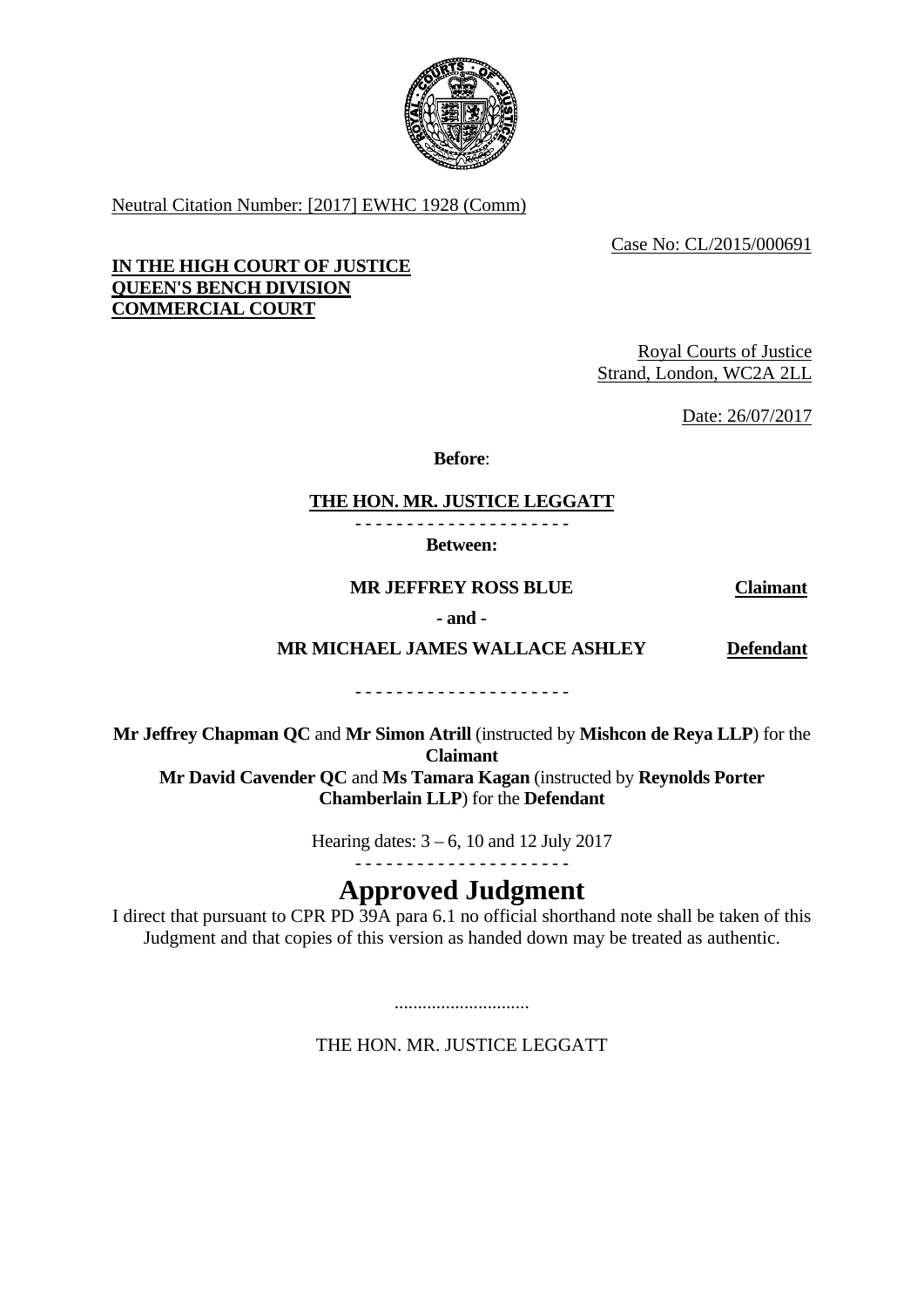

Neutral Citation Number: [2017] EWHC 1928 (Comm)

Case No: CL/2015/000691

# **IN THE HIGH COURT OF JUSTICE QUEEN'S BENCH DIVISION COMMERCIAL COURT**

Royal Courts of Justice Strand, London, WC2A 2LL

Date: 26/07/2017

**Before**:

#### - - - - - - - - - - - - - - - - - - - - - **THE HON. MR. JUSTICE LEGGATT**

**Between:** 

# **MR JEFFREY ROSS BLUE Claimant**

**- and -**

**MR MICHAEL JAMES WALLACE ASHLEY Defendant** 

- - - - - - - - - - - - - - - - - - - - -

**Mr Jeffrey Chapman QC** and **Mr Simon Atrill** (instructed by **Mishcon de Reya LLP**) for the **Claimant** 

**Mr David Cavender QC** and **Ms Tamara Kagan** (instructed by **Reynolds Porter Chamberlain LLP**) for the **Defendant**

Hearing dates:  $3 - 6$ , 10 and 12 July 2017

- - - - - - - - - - - - - - - - - - - - -

# **Approved Judgment**

I direct that pursuant to CPR PD 39A para 6.1 no official shorthand note shall be taken of this Judgment and that copies of this version as handed down may be treated as authentic.

.............................

THE HON. MR. JUSTICE LEGGATT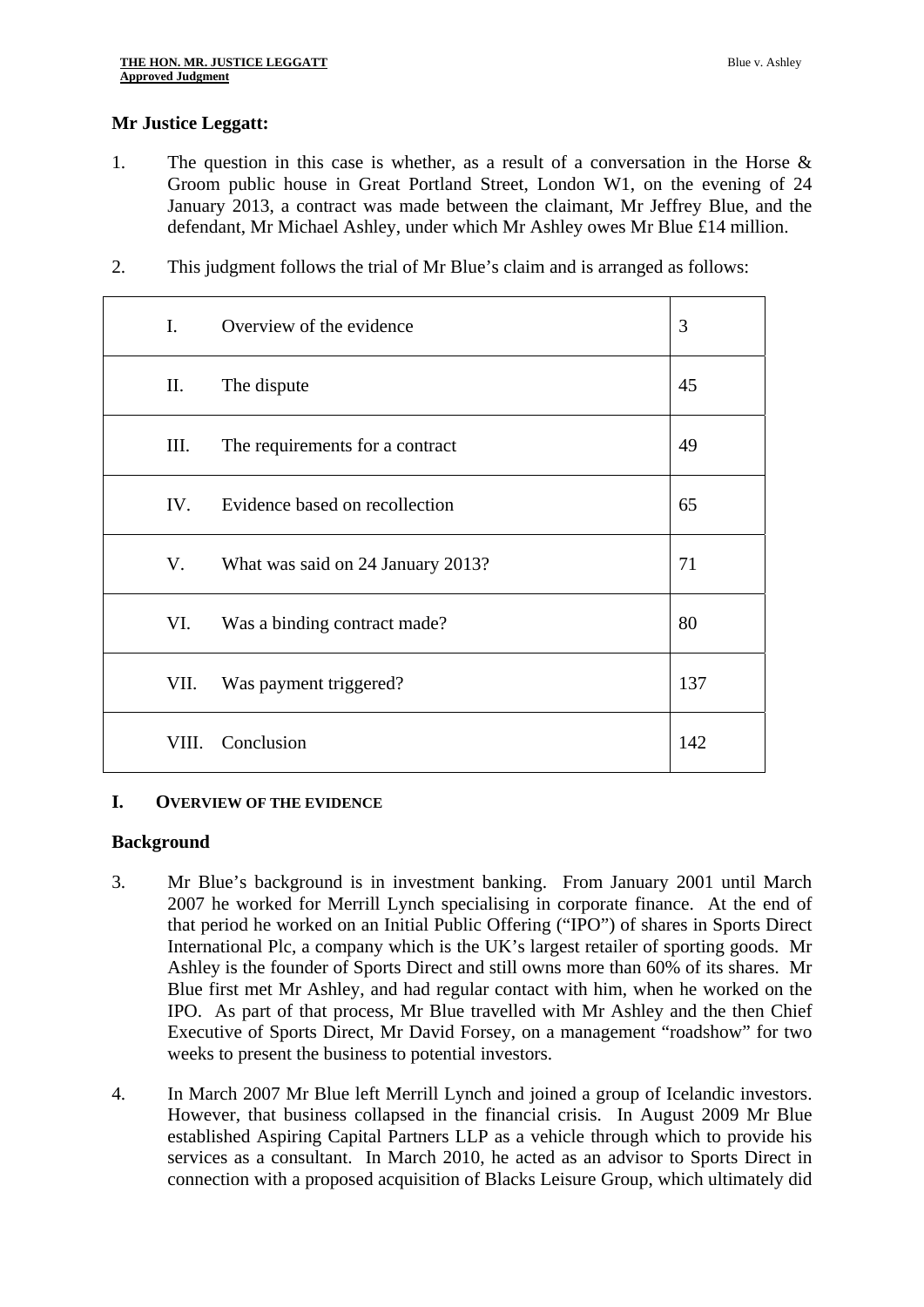# **Mr Justice Leggatt:**

- 1. The question in this case is whether, as a result of a conversation in the Horse  $\&$ Groom public house in Great Portland Street, London W1, on the evening of 24 January 2013, a contract was made between the claimant, Mr Jeffrey Blue, and the defendant, Mr Michael Ashley, under which Mr Ashley owes Mr Blue £14 million.
- 2. This judgment follows the trial of Mr Blue's claim and is arranged as follows:

| $\mathbf{I}$ . | Overview of the evidence          | 3   |
|----------------|-----------------------------------|-----|
| П.             | The dispute                       | 45  |
| Ш.             | The requirements for a contract   | 49  |
| IV.            | Evidence based on recollection    | 65  |
| V.             | What was said on 24 January 2013? | 71  |
| VI.            | Was a binding contract made?      | 80  |
| VII.           | Was payment triggered?            | 137 |
|                | VIII. Conclusion                  | 142 |

#### **I. OVERVIEW OF THE EVIDENCE**

# **Background**

- 3. Mr Blue's background is in investment banking. From January 2001 until March 2007 he worked for Merrill Lynch specialising in corporate finance. At the end of that period he worked on an Initial Public Offering ("IPO") of shares in Sports Direct International Plc, a company which is the UK's largest retailer of sporting goods. Mr Ashley is the founder of Sports Direct and still owns more than 60% of its shares. Mr Blue first met Mr Ashley, and had regular contact with him, when he worked on the IPO. As part of that process, Mr Blue travelled with Mr Ashley and the then Chief Executive of Sports Direct, Mr David Forsey, on a management "roadshow" for two weeks to present the business to potential investors.
- 4. In March 2007 Mr Blue left Merrill Lynch and joined a group of Icelandic investors. However, that business collapsed in the financial crisis. In August 2009 Mr Blue established Aspiring Capital Partners LLP as a vehicle through which to provide his services as a consultant. In March 2010, he acted as an advisor to Sports Direct in connection with a proposed acquisition of Blacks Leisure Group, which ultimately did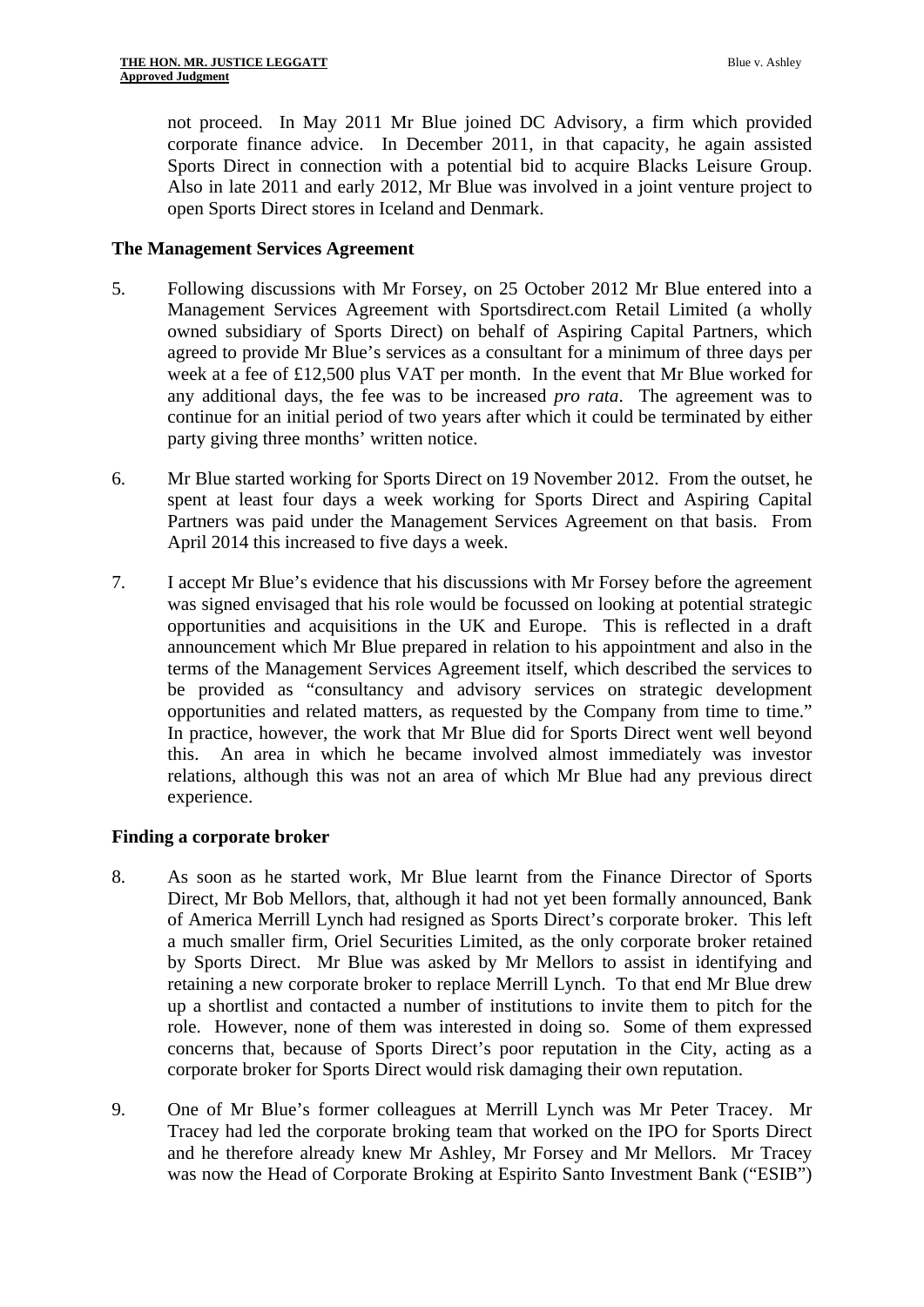Sports Direct in connection with a potential bid to acquire Blacks Leisure Group. Also in late 2011 and early 2012, Mr Blue was involved in a joint venture project to not proceed. In May 2011 Mr Blue joined DC Advisory, a firm which provided corporate finance advice. In December 2011, in that capacity, he again assisted open Sports Direct stores in Iceland and Denmark.

# **The Management Services Agreement**

- 5. Following discussions with Mr Forsey, on 25 October 2012 Mr Blue entered into a Management Services Agreement with Sportsdirect.com Retail Limited (a wholly owned subsidiary of Sports Direct) on behalf of Aspiring Capital Partners, which agreed to provide Mr Blue's services as a consultant for a minimum of three days per week at a fee of £12,500 plus VAT per month. In the event that Mr Blue worked for any additional days, the fee was to be increased *pro rata*. The agreement was to continue for an initial period of two years after which it could be terminated by either party giving three months' written notice.
- 6. Mr Blue started working for Sports Direct on 19 November 2012. From the outset, he spent at least four days a week working for Sports Direct and Aspiring Capital Partners was paid under the Management Services Agreement on that basis. From April 2014 this increased to five days a week.
- 7. I accept Mr Blue's evidence that his discussions with Mr Forsey before the agreement was signed envisaged that his role would be focussed on looking at potential strategic opportunities and acquisitions in the UK and Europe. This is reflected in a draft announcement which Mr Blue prepared in relation to his appointment and also in the terms of the Management Services Agreement itself, which described the services to be provided as "consultancy and advisory services on strategic development opportunities and related matters, as requested by the Company from time to time." In practice, however, the work that Mr Blue did for Sports Direct went well beyond this. An area in which he became involved almost immediately was investor relations, although this was not an area of which Mr Blue had any previous direct experience.

# **Finding a corporate broker**

- 8. As soon as he started work, Mr Blue learnt from the Finance Director of Sports Direct, Mr Bob Mellors, that, although it had not yet been formally announced, Bank of America Merrill Lynch had resigned as Sports Direct's corporate broker. This left a much smaller firm, Oriel Securities Limited, as the only corporate broker retained by Sports Direct. Mr Blue was asked by Mr Mellors to assist in identifying and retaining a new corporate broker to replace Merrill Lynch. To that end Mr Blue drew up a shortlist and contacted a number of institutions to invite them to pitch for the role. However, none of them was interested in doing so. Some of them expressed concerns that, because of Sports Direct's poor reputation in the City, acting as a corporate broker for Sports Direct would risk damaging their own reputation.
- 9. One of Mr Blue's former colleagues at Merrill Lynch was Mr Peter Tracey. Mr Tracey had led the corporate broking team that worked on the IPO for Sports Direct and he therefore already knew Mr Ashley, Mr Forsey and Mr Mellors. Mr Tracey was now the Head of Corporate Broking at Espirito Santo Investment Bank ("ESIB")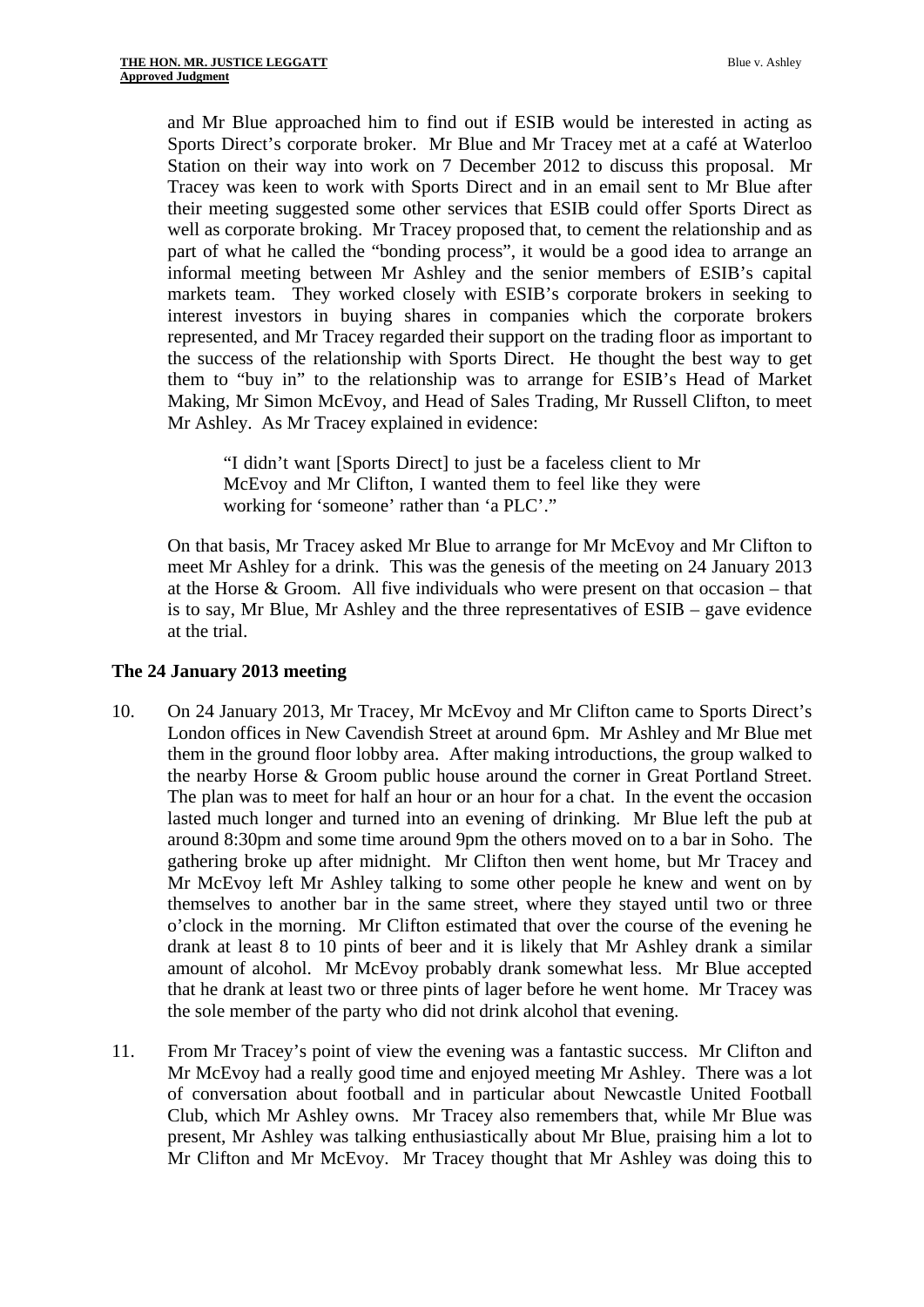and Mr Blue approached him to find out if ESIB would be interested in acting as Sports Direct's corporate broker. Mr Blue and Mr Tracey met at a café at Waterloo Station on their way into work on 7 December 2012 to discuss this proposal. Mr Tracey was keen to work with Sports Direct and in an email sent to Mr Blue after their meeting suggested some other services that ESIB could offer Sports Direct as well as corporate broking. Mr Tracey proposed that, to cement the relationship and as part of what he called the "bonding process", it would be a good idea to arrange an informal meeting between Mr Ashley and the senior members of ESIB's capital markets team. They worked closely with ESIB's corporate brokers in seeking to interest investors in buying shares in companies which the corporate brokers represented, and Mr Tracey regarded their support on the trading floor as important to the success of the relationship with Sports Direct. He thought the best way to get them to "buy in" to the relationship was to arrange for ESIB's Head of Market Making, Mr Simon McEvoy, and Head of Sales Trading, Mr Russell Clifton, to meet Mr Ashley. As Mr Tracey explained in evidence:

"I didn't want [Sports Direct] to just be a faceless client to Mr McEvoy and Mr Clifton, I wanted them to feel like they were working for 'someone' rather than 'a PLC'."

On that basis, Mr Tracey asked Mr Blue to arrange for Mr McEvoy and Mr Clifton to meet Mr Ashley for a drink. This was the genesis of the meeting on 24 January 2013 at the Horse & Groom. All five individuals who were present on that occasion – that is to say, Mr Blue, Mr Ashley and the three representatives of ESIB – gave evidence at the trial.

# **The 24 January 2013 meeting**

- 10. On 24 January 2013, Mr Tracey, Mr McEvoy and Mr Clifton came to Sports Direct's London offices in New Cavendish Street at around 6pm. Mr Ashley and Mr Blue met them in the ground floor lobby area. After making introductions, the group walked to the nearby Horse & Groom public house around the corner in Great Portland Street. The plan was to meet for half an hour or an hour for a chat. In the event the occasion lasted much longer and turned into an evening of drinking. Mr Blue left the pub at around 8:30pm and some time around 9pm the others moved on to a bar in Soho. The gathering broke up after midnight. Mr Clifton then went home, but Mr Tracey and Mr McEvoy left Mr Ashley talking to some other people he knew and went on by themselves to another bar in the same street, where they stayed until two or three o'clock in the morning. Mr Clifton estimated that over the course of the evening he drank at least 8 to 10 pints of beer and it is likely that Mr Ashley drank a similar amount of alcohol. Mr McEvoy probably drank somewhat less. Mr Blue accepted that he drank at least two or three pints of lager before he went home. Mr Tracey was the sole member of the party who did not drink alcohol that evening.
- 11. From Mr Tracey's point of view the evening was a fantastic success. Mr Clifton and Mr McEvoy had a really good time and enjoyed meeting Mr Ashley. There was a lot of conversation about football and in particular about Newcastle United Football Club, which Mr Ashley owns. Mr Tracey also remembers that, while Mr Blue was present, Mr Ashley was talking enthusiastically about Mr Blue, praising him a lot to Mr Clifton and Mr McEvoy. Mr Tracey thought that Mr Ashley was doing this to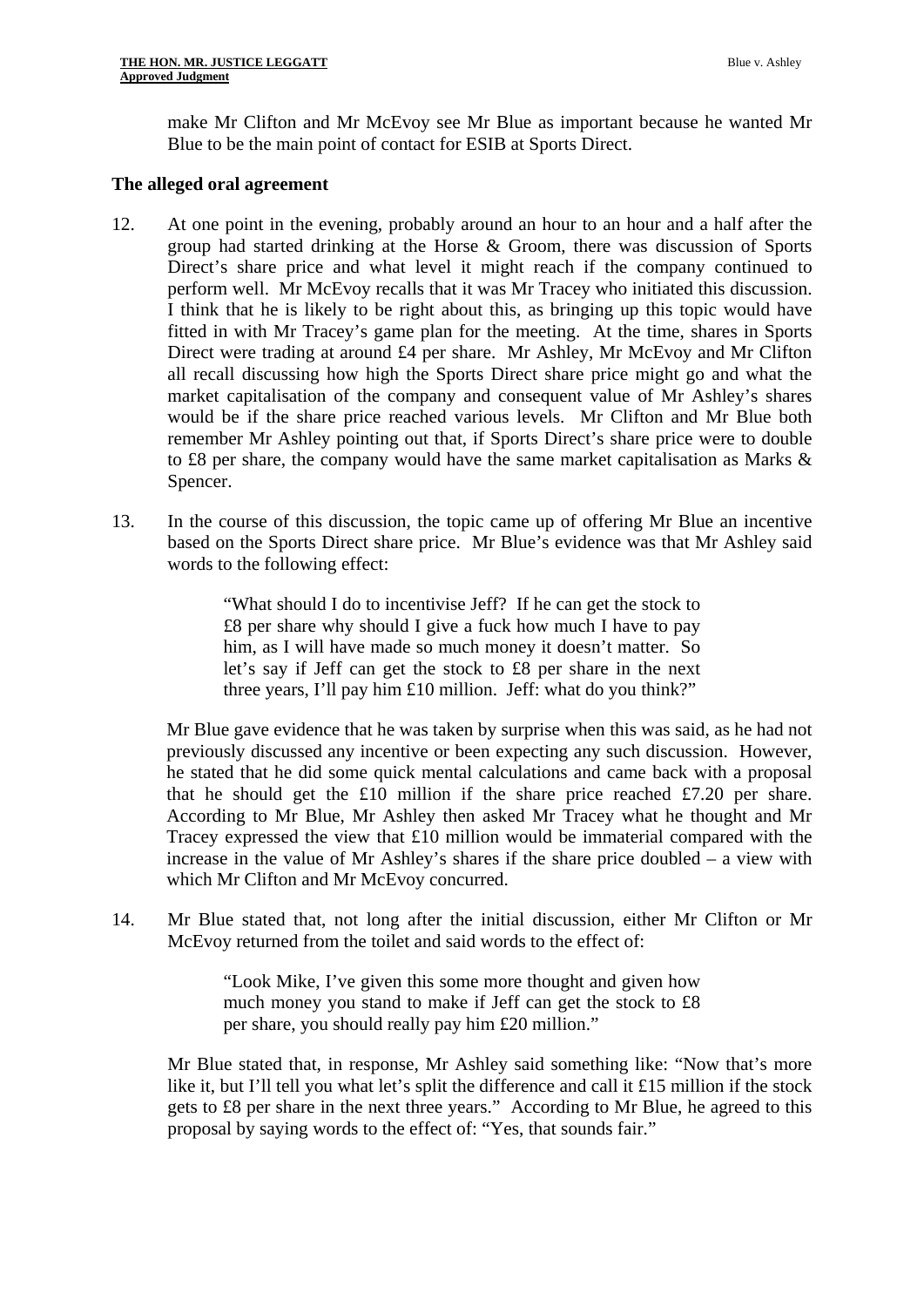make Mr Clifton and Mr McEvoy see Mr Blue as important because he wanted Mr Blue to be the main point of contact for ESIB at Sports Direct.

### **The alleged oral agreement**

- perform well. Mr McEvoy recalls that it was Mr Tracey who initiated this discussion. 12. At one point in the evening, probably around an hour to an hour and a half after the group had started drinking at the Horse & Groom, there was discussion of Sports Direct's share price and what level it might reach if the company continued to I think that he is likely to be right about this, as bringing up this topic would have fitted in with Mr Tracey's game plan for the meeting. At the time, shares in Sports Direct were trading at around £4 per share. Mr Ashley, Mr McEvoy and Mr Clifton all recall discussing how high the Sports Direct share price might go and what the market capitalisation of the company and consequent value of Mr Ashley's shares would be if the share price reached various levels. Mr Clifton and Mr Blue both remember Mr Ashley pointing out that, if Sports Direct's share price were to double to £8 per share, the company would have the same market capitalisation as Marks & Spencer.
- 13. In the course of this discussion, the topic came up of offering Mr Blue an incentive based on the Sports Direct share price. Mr Blue's evidence was that Mr Ashley said words to the following effect:

"What should I do to incentivise Jeff? If he can get the stock to £8 per share why should I give a fuck how much I have to pay him, as I will have made so much money it doesn't matter. So let's say if Jeff can get the stock to £8 per share in the next three years, I'll pay him £10 million. Jeff: what do you think?"

 that he should get the £10 million if the share price reached £7.20 per share. According to Mr Blue, Mr Ashley then asked Mr Tracey what he thought and Mr Mr Blue gave evidence that he was taken by surprise when this was said, as he had not previously discussed any incentive or been expecting any such discussion. However, he stated that he did some quick mental calculations and came back with a proposal Tracey expressed the view that £10 million would be immaterial compared with the increase in the value of Mr Ashley's shares if the share price doubled – a view with which Mr Clifton and Mr McEvoy concurred.

14. Mr Blue stated that, not long after the initial discussion, either Mr Clifton or Mr McEvoy returned from the toilet and said words to the effect of:

> "Look Mike, I've given this some more thought and given how much money you stand to make if Jeff can get the stock to £8 per share, you should really pay him £20 million."

Mr Blue stated that, in response, Mr Ashley said something like: "Now that's more like it, but I'll tell you what let's split the difference and call it £15 million if the stock gets to £8 per share in the next three years." According to Mr Blue, he agreed to this proposal by saying words to the effect of: "Yes, that sounds fair."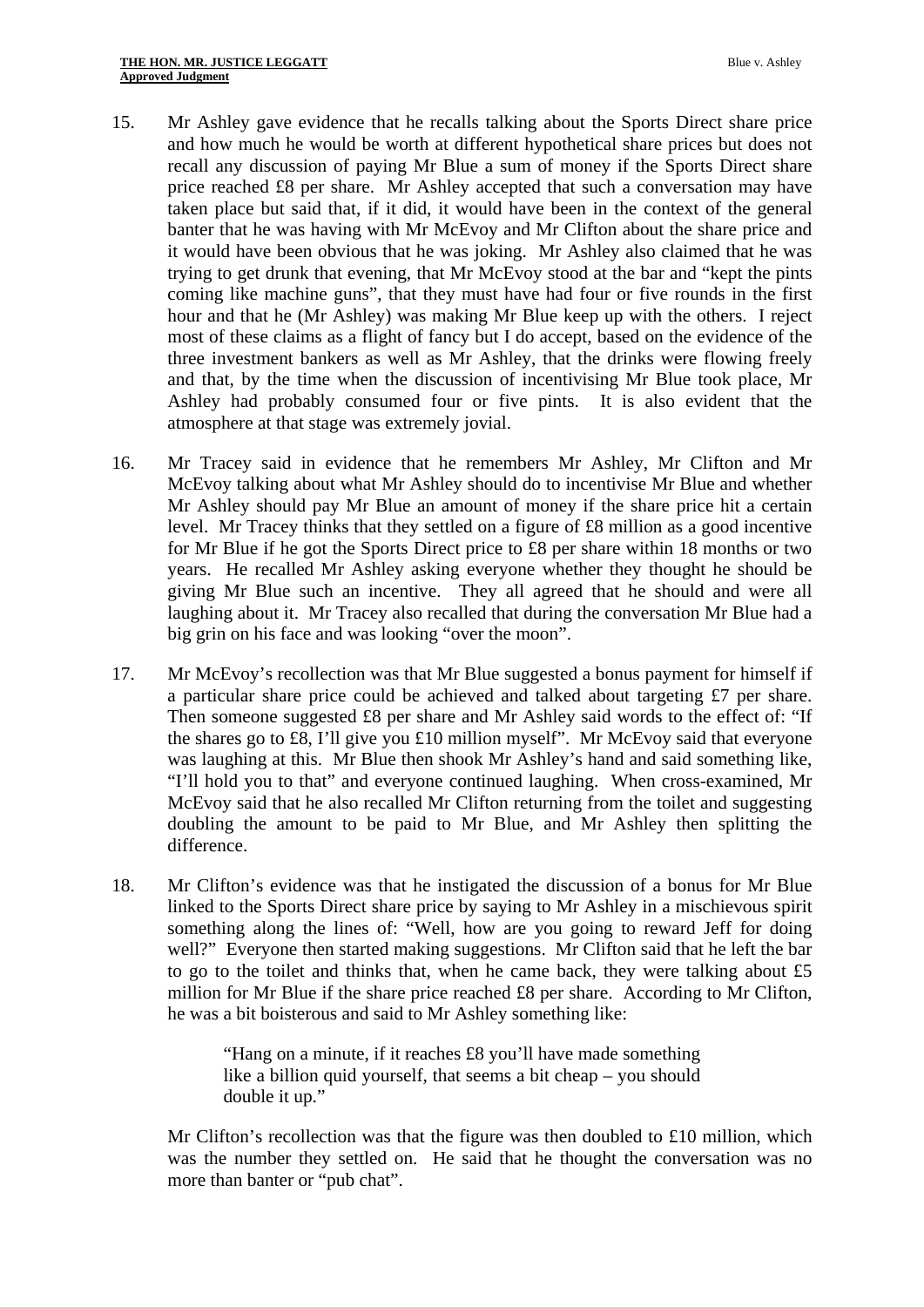- 15. Mr Ashley gave evidence that he recalls talking about the Sports Direct share price and how much he would be worth at different hypothetical share prices but does not recall any discussion of paying Mr Blue a sum of money if the Sports Direct share price reached £8 per share. Mr Ashley accepted that such a conversation may have taken place but said that, if it did, it would have been in the context of the general banter that he was having with Mr McEvoy and Mr Clifton about the share price and it would have been obvious that he was joking. Mr Ashley also claimed that he was trying to get drunk that evening, that Mr McEvoy stood at the bar and "kept the pints coming like machine guns", that they must have had four or five rounds in the first hour and that he (Mr Ashley) was making Mr Blue keep up with the others. I reject most of these claims as a flight of fancy but I do accept, based on the evidence of the three investment bankers as well as Mr Ashley, that the drinks were flowing freely and that, by the time when the discussion of incentivising Mr Blue took place, Mr Ashley had probably consumed four or five pints. It is also evident that the atmosphere at that stage was extremely jovial.
- 16. Mr Tracey said in evidence that he remembers Mr Ashley, Mr Clifton and Mr McEvoy talking about what Mr Ashley should do to incentivise Mr Blue and whether Mr Ashley should pay Mr Blue an amount of money if the share price hit a certain level. Mr Tracey thinks that they settled on a figure of £8 million as a good incentive for Mr Blue if he got the Sports Direct price to £8 per share within 18 months or two years. He recalled Mr Ashley asking everyone whether they thought he should be giving Mr Blue such an incentive. They all agreed that he should and were all laughing about it. Mr Tracey also recalled that during the conversation Mr Blue had a big grin on his face and was looking "over the moon".
- 17. Mr McEvoy's recollection was that Mr Blue suggested a bonus payment for himself if a particular share price could be achieved and talked about targeting £7 per share. Then someone suggested £8 per share and Mr Ashley said words to the effect of: "If the shares go to £8, I'll give you £10 million myself". Mr McEvoy said that everyone was laughing at this. Mr Blue then shook Mr Ashley's hand and said something like, "I'll hold you to that" and everyone continued laughing. When cross-examined, Mr McEvoy said that he also recalled Mr Clifton returning from the toilet and suggesting doubling the amount to be paid to Mr Blue, and Mr Ashley then splitting the difference.
- 18. Mr Clifton's evidence was that he instigated the discussion of a bonus for Mr Blue linked to the Sports Direct share price by saying to Mr Ashley in a mischievous spirit something along the lines of: "Well, how are you going to reward Jeff for doing well?" Everyone then started making suggestions. Mr Clifton said that he left the bar to go to the toilet and thinks that, when he came back, they were talking about £5 million for Mr Blue if the share price reached £8 per share. According to Mr Clifton, he was a bit boisterous and said to Mr Ashley something like:

"Hang on a minute, if it reaches £8 you'll have made something like a billion quid yourself, that seems a bit cheap – you should double it up."

Mr Clifton's recollection was that the figure was then doubled to £10 million, which was the number they settled on. He said that he thought the conversation was no more than banter or "pub chat".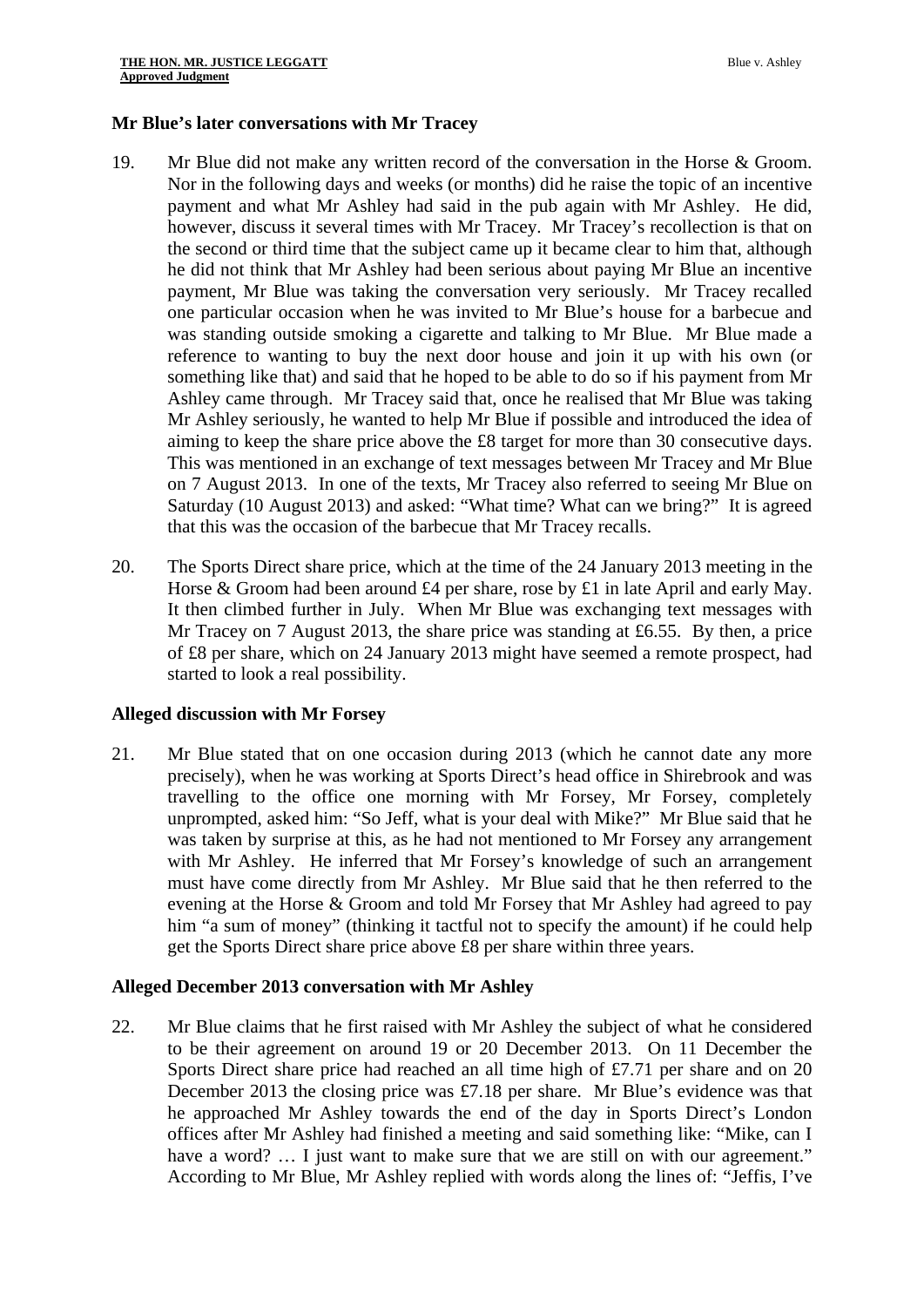# **Mr Blue's later conversations with Mr Tracey**

- 19. Mr Blue did not make any written record of the conversation in the Horse & Groom. Nor in the following days and weeks (or months) did he raise the topic of an incentive payment and what Mr Ashley had said in the pub again with Mr Ashley. He did, however, discuss it several times with Mr Tracey. Mr Tracey's recollection is that on the second or third time that the subject came up it became clear to him that, although he did not think that Mr Ashley had been serious about paying Mr Blue an incentive payment, Mr Blue was taking the conversation very seriously. Mr Tracey recalled one particular occasion when he was invited to Mr Blue's house for a barbecue and was standing outside smoking a cigarette and talking to Mr Blue. Mr Blue made a reference to wanting to buy the next door house and join it up with his own (or something like that) and said that he hoped to be able to do so if his payment from Mr Ashley came through. Mr Tracey said that, once he realised that Mr Blue was taking Mr Ashley seriously, he wanted to help Mr Blue if possible and introduced the idea of aiming to keep the share price above the £8 target for more than 30 consecutive days. This was mentioned in an exchange of text messages between Mr Tracey and Mr Blue on 7 August 2013. In one of the texts, Mr Tracey also referred to seeing Mr Blue on Saturday (10 August 2013) and asked: "What time? What can we bring?" It is agreed that this was the occasion of the barbecue that Mr Tracey recalls.
- 20. The Sports Direct share price, which at the time of the 24 January 2013 meeting in the Horse & Groom had been around £4 per share, rose by £1 in late April and early May. It then climbed further in July. When Mr Blue was exchanging text messages with Mr Tracey on 7 August 2013, the share price was standing at £6.55. By then, a price of £8 per share, which on 24 January 2013 might have seemed a remote prospect, had started to look a real possibility.

# **Alleged discussion with Mr Forsey**

21. Mr Blue stated that on one occasion during 2013 (which he cannot date any more precisely), when he was working at Sports Direct's head office in Shirebrook and was travelling to the office one morning with Mr Forsey, Mr Forsey, completely unprompted, asked him: "So Jeff, what is your deal with Mike?" Mr Blue said that he was taken by surprise at this, as he had not mentioned to Mr Forsey any arrangement with Mr Ashley. He inferred that Mr Forsey's knowledge of such an arrangement must have come directly from Mr Ashley. Mr Blue said that he then referred to the evening at the Horse & Groom and told Mr Forsey that Mr Ashley had agreed to pay him "a sum of money" (thinking it tactful not to specify the amount) if he could help get the Sports Direct share price above £8 per share within three years.

#### **Alleged December 2013 conversation with Mr Ashley**

22. Mr Blue claims that he first raised with Mr Ashley the subject of what he considered to be their agreement on around 19 or 20 December 2013. On 11 December the Sports Direct share price had reached an all time high of £7.71 per share and on 20 December 2013 the closing price was £7.18 per share. Mr Blue's evidence was that he approached Mr Ashley towards the end of the day in Sports Direct's London offices after Mr Ashley had finished a meeting and said something like: "Mike, can I have a word? ... I just want to make sure that we are still on with our agreement." According to Mr Blue, Mr Ashley replied with words along the lines of: "Jeffis, I've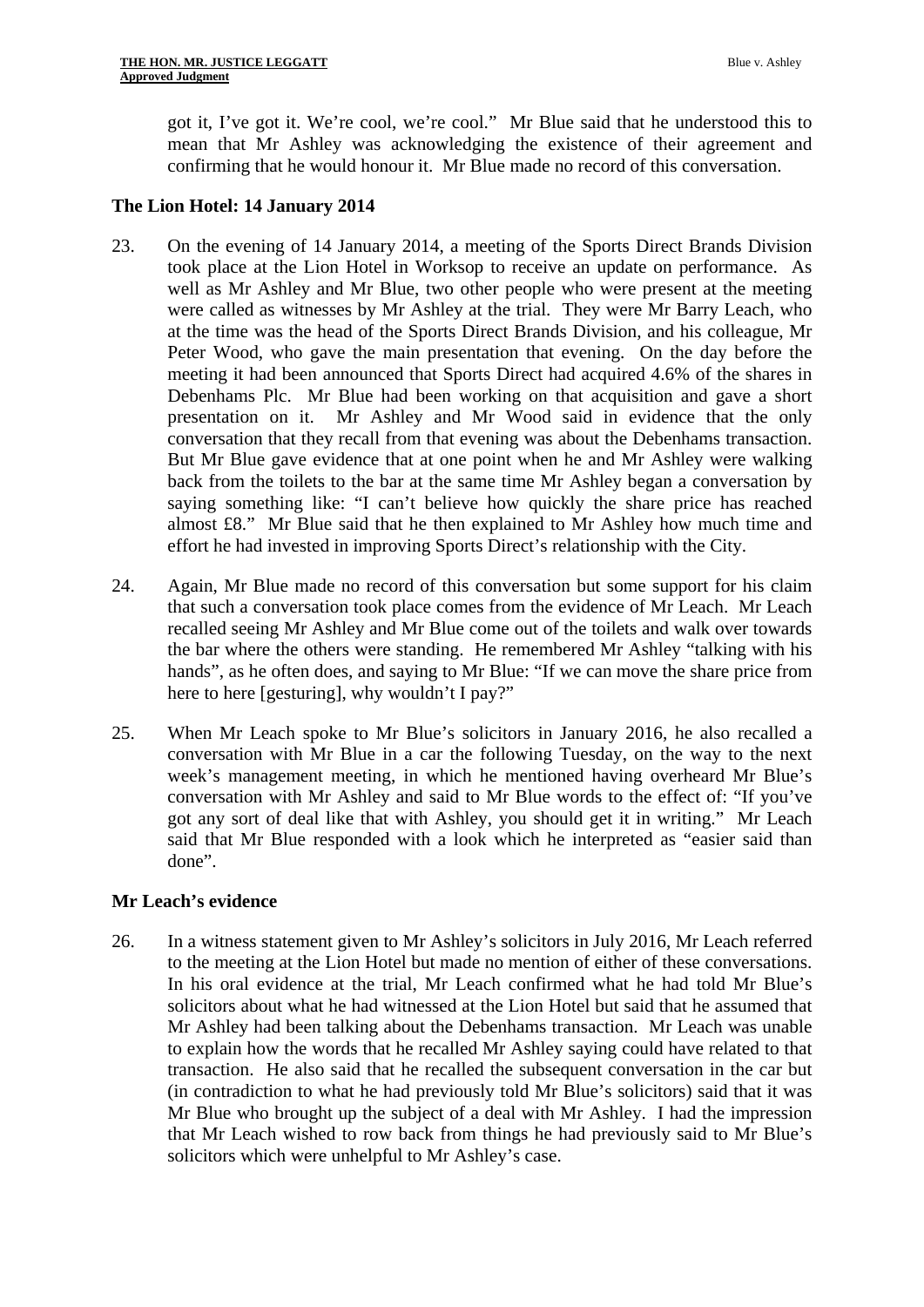got it, I've got it. We're cool, we're cool." Mr Blue said that he understood this to mean that Mr Ashley was acknowledging the existence of their agreement and confirming that he would honour it. Mr Blue made no record of this conversation.

# **The Lion Hotel: 14 January 2014**

- 23. On the evening of 14 January 2014, a meeting of the Sports Direct Brands Division took place at the Lion Hotel in Worksop to receive an update on performance. As well as Mr Ashley and Mr Blue, two other people who were present at the meeting were called as witnesses by Mr Ashley at the trial. They were Mr Barry Leach, who at the time was the head of the Sports Direct Brands Division, and his colleague, Mr Peter Wood, who gave the main presentation that evening. On the day before the meeting it had been announced that Sports Direct had acquired 4.6% of the shares in Debenhams Plc. Mr Blue had been working on that acquisition and gave a short presentation on it. Mr Ashley and Mr Wood said in evidence that the only conversation that they recall from that evening was about the Debenhams transaction. But Mr Blue gave evidence that at one point when he and Mr Ashley were walking back from the toilets to the bar at the same time Mr Ashley began a conversation by saying something like: "I can't believe how quickly the share price has reached almost £8." Mr Blue said that he then explained to Mr Ashley how much time and effort he had invested in improving Sports Direct's relationship with the City.
- 24. Again, Mr Blue made no record of this conversation but some support for his claim that such a conversation took place comes from the evidence of Mr Leach. Mr Leach recalled seeing Mr Ashley and Mr Blue come out of the toilets and walk over towards the bar where the others were standing. He remembered Mr Ashley "talking with his hands", as he often does, and saying to Mr Blue: "If we can move the share price from here to here [gesturing], why wouldn't I pay?"
- 25. When Mr Leach spoke to Mr Blue's solicitors in January 2016, he also recalled a conversation with Mr Blue in a car the following Tuesday, on the way to the next week's management meeting, in which he mentioned having overheard Mr Blue's conversation with Mr Ashley and said to Mr Blue words to the effect of: "If you've got any sort of deal like that with Ashley, you should get it in writing." Mr Leach said that Mr Blue responded with a look which he interpreted as "easier said than done".

# **Mr Leach's evidence**

26. In a witness statement given to Mr Ashley's solicitors in July 2016, Mr Leach referred to the meeting at the Lion Hotel but made no mention of either of these conversations. In his oral evidence at the trial, Mr Leach confirmed what he had told Mr Blue's solicitors about what he had witnessed at the Lion Hotel but said that he assumed that Mr Ashley had been talking about the Debenhams transaction. Mr Leach was unable to explain how the words that he recalled Mr Ashley saying could have related to that transaction. He also said that he recalled the subsequent conversation in the car but (in contradiction to what he had previously told Mr Blue's solicitors) said that it was Mr Blue who brought up the subject of a deal with Mr Ashley. I had the impression that Mr Leach wished to row back from things he had previously said to Mr Blue's solicitors which were unhelpful to Mr Ashley's case.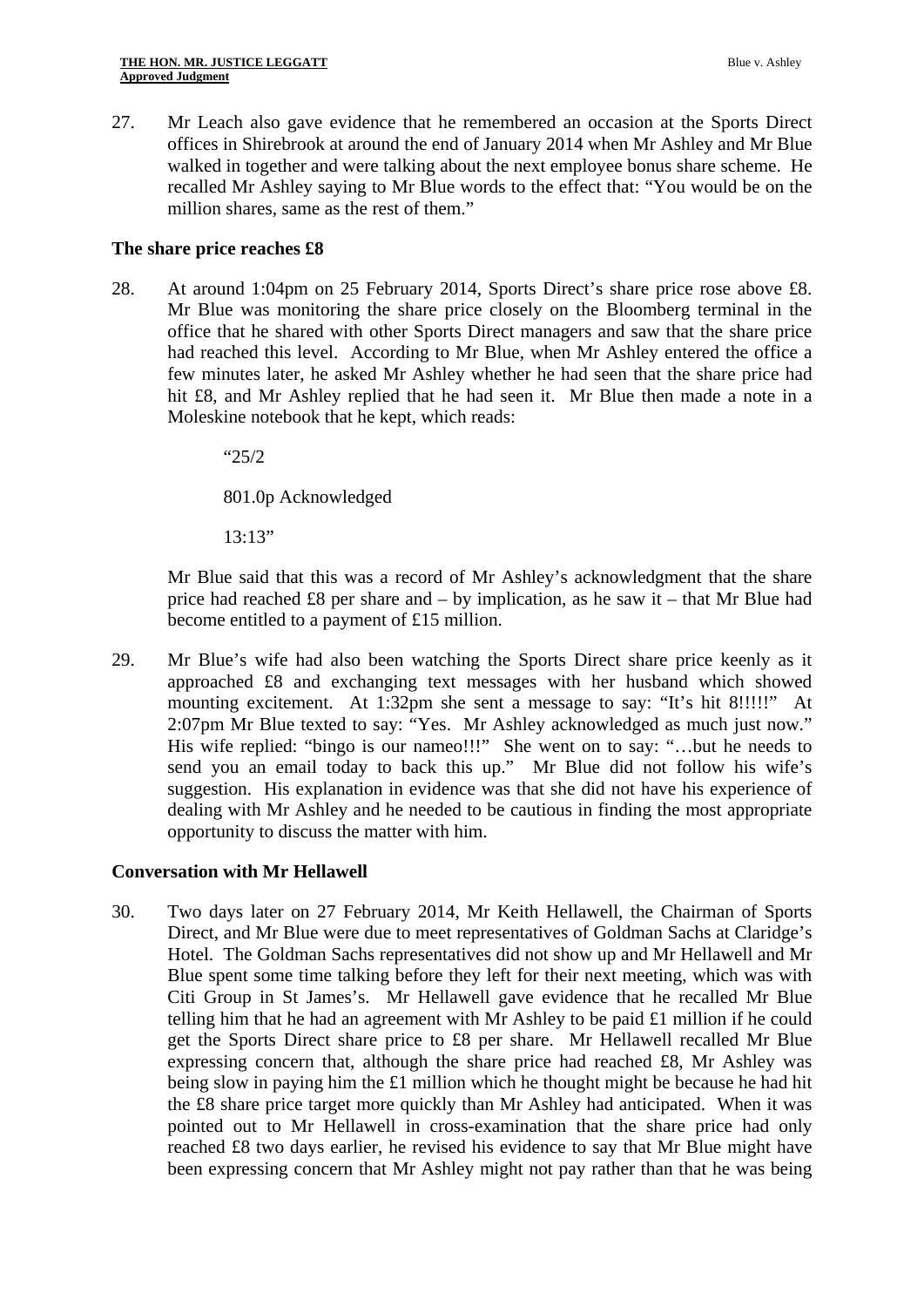27. Mr Leach also gave evidence that he remembered an occasion at the Sports Direct offices in Shirebrook at around the end of January 2014 when Mr Ashley and Mr Blue walked in together and were talking about the next employee bonus share scheme. He recalled Mr Ashley saying to Mr Blue words to the effect that: "You would be on the million shares, same as the rest of them."

# **The share price reaches £8**

28. At around 1:04pm on 25 February 2014, Sports Direct's share price rose above £8. Mr Blue was monitoring the share price closely on the Bloomberg terminal in the office that he shared with other Sports Direct managers and saw that the share price had reached this level. According to Mr Blue, when Mr Ashley entered the office a few minutes later, he asked Mr Ashley whether he had seen that the share price had hit £8, and Mr Ashley replied that he had seen it. Mr Blue then made a note in a Moleskine notebook that he kept, which reads:

"25/2

801.0p Acknowledged

 $13:13"$ 

Mr Blue said that this was a record of Mr Ashley's acknowledgment that the share price had reached £8 per share and – by implication, as he saw it – that Mr Blue had become entitled to a payment of £15 million.

29. Mr Blue's wife had also been watching the Sports Direct share price keenly as it approached £8 and exchanging text messages with her husband which showed mounting excitement. At 1:32pm she sent a message to say: "It's hit 8!!!!!" At 2:07pm Mr Blue texted to say: "Yes. Mr Ashley acknowledged as much just now." His wife replied: "bingo is our nameo!!!" She went on to say: "…but he needs to send you an email today to back this up." Mr Blue did not follow his wife's suggestion. His explanation in evidence was that she did not have his experience of dealing with Mr Ashley and he needed to be cautious in finding the most appropriate opportunity to discuss the matter with him.

# **Conversation with Mr Hellawell**

30. Two days later on 27 February 2014, Mr Keith Hellawell, the Chairman of Sports Direct, and Mr Blue were due to meet representatives of Goldman Sachs at Claridge's Hotel. The Goldman Sachs representatives did not show up and Mr Hellawell and Mr Blue spent some time talking before they left for their next meeting, which was with Citi Group in St James's. Mr Hellawell gave evidence that he recalled Mr Blue telling him that he had an agreement with Mr Ashley to be paid £1 million if he could get the Sports Direct share price to £8 per share. Mr Hellawell recalled Mr Blue expressing concern that, although the share price had reached £8, Mr Ashley was being slow in paying him the £1 million which he thought might be because he had hit the £8 share price target more quickly than Mr Ashley had anticipated. When it was pointed out to Mr Hellawell in cross-examination that the share price had only reached £8 two days earlier, he revised his evidence to say that Mr Blue might have been expressing concern that Mr Ashley might not pay rather than that he was being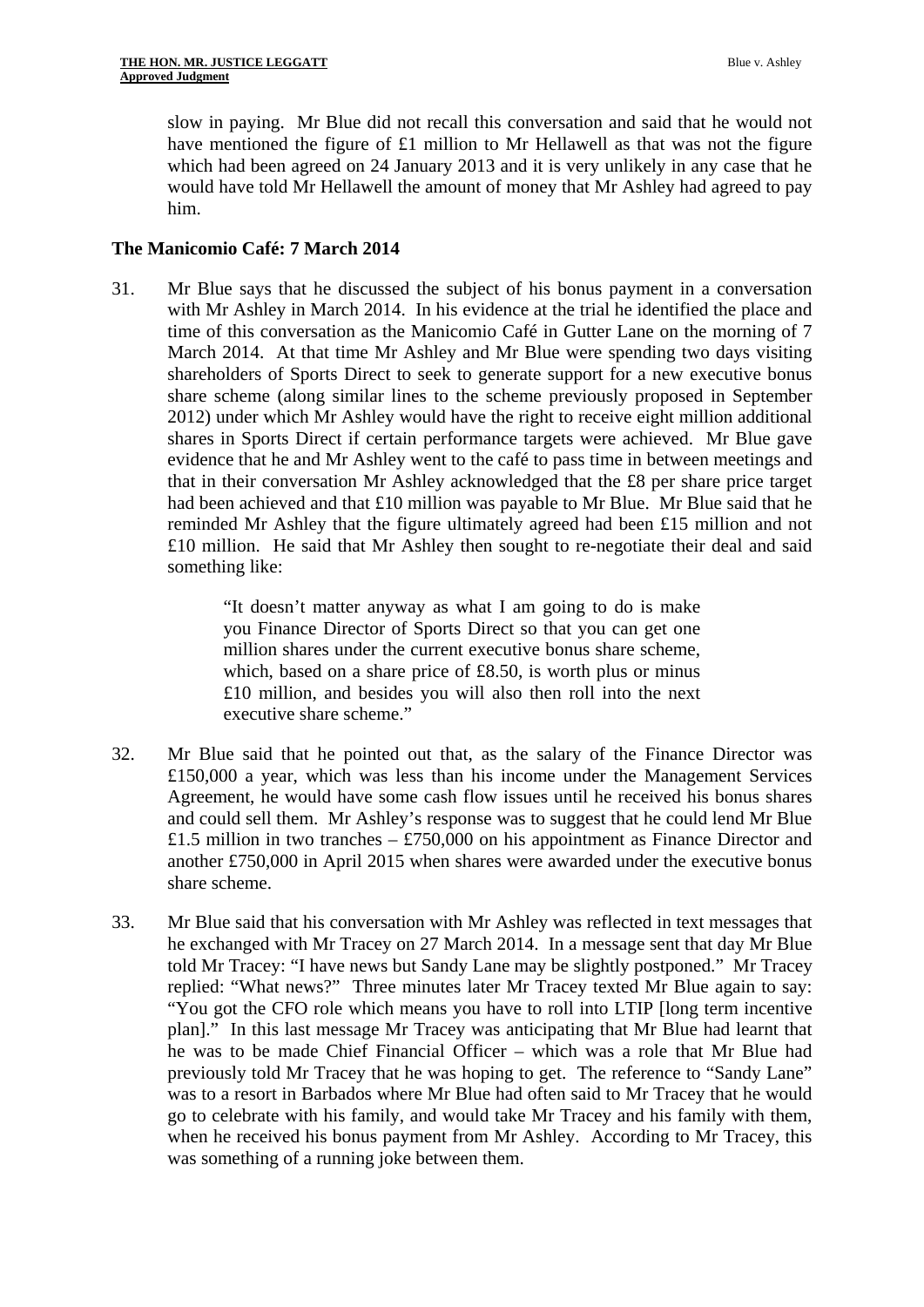slow in paying. Mr Blue did not recall this conversation and said that he would not have mentioned the figure of £1 million to Mr Hellawell as that was not the figure which had been agreed on 24 January 2013 and it is very unlikely in any case that he would have told Mr Hellawell the amount of money that Mr Ashley had agreed to pay him.

# **The Manicomio Café: 7 March 2014**

31. Mr Blue says that he discussed the subject of his bonus payment in a conversation with Mr Ashley in March 2014. In his evidence at the trial he identified the place and time of this conversation as the Manicomio Café in Gutter Lane on the morning of 7 March 2014. At that time Mr Ashley and Mr Blue were spending two days visiting shareholders of Sports Direct to seek to generate support for a new executive bonus share scheme (along similar lines to the scheme previously proposed in September 2012) under which Mr Ashley would have the right to receive eight million additional shares in Sports Direct if certain performance targets were achieved. Mr Blue gave evidence that he and Mr Ashley went to the café to pass time in between meetings and that in their conversation Mr Ashley acknowledged that the £8 per share price target had been achieved and that £10 million was payable to Mr Blue. Mr Blue said that he reminded Mr Ashley that the figure ultimately agreed had been £15 million and not £10 million. He said that Mr Ashley then sought to re-negotiate their deal and said something like:

> "It doesn't matter anyway as what I am going to do is make you Finance Director of Sports Direct so that you can get one million shares under the current executive bonus share scheme, which, based on a share price of £8.50, is worth plus or minus £10 million, and besides you will also then roll into the next executive share scheme."

- 32. Mr Blue said that he pointed out that, as the salary of the Finance Director was £150,000 a year, which was less than his income under the Management Services Agreement, he would have some cash flow issues until he received his bonus shares and could sell them. Mr Ashley's response was to suggest that he could lend Mr Blue £1.5 million in two tranches  $-$  £750,000 on his appointment as Finance Director and another £750,000 in April 2015 when shares were awarded under the executive bonus share scheme.
- 33. Mr Blue said that his conversation with Mr Ashley was reflected in text messages that he exchanged with Mr Tracey on 27 March 2014. In a message sent that day Mr Blue told Mr Tracey: "I have news but Sandy Lane may be slightly postponed." Mr Tracey replied: "What news?" Three minutes later Mr Tracey texted Mr Blue again to say: "You got the CFO role which means you have to roll into LTIP [long term incentive plan]." In this last message Mr Tracey was anticipating that Mr Blue had learnt that he was to be made Chief Financial Officer – which was a role that Mr Blue had previously told Mr Tracey that he was hoping to get. The reference to "Sandy Lane" was to a resort in Barbados where Mr Blue had often said to Mr Tracey that he would go to celebrate with his family, and would take Mr Tracey and his family with them, when he received his bonus payment from Mr Ashley. According to Mr Tracey, this was something of a running joke between them.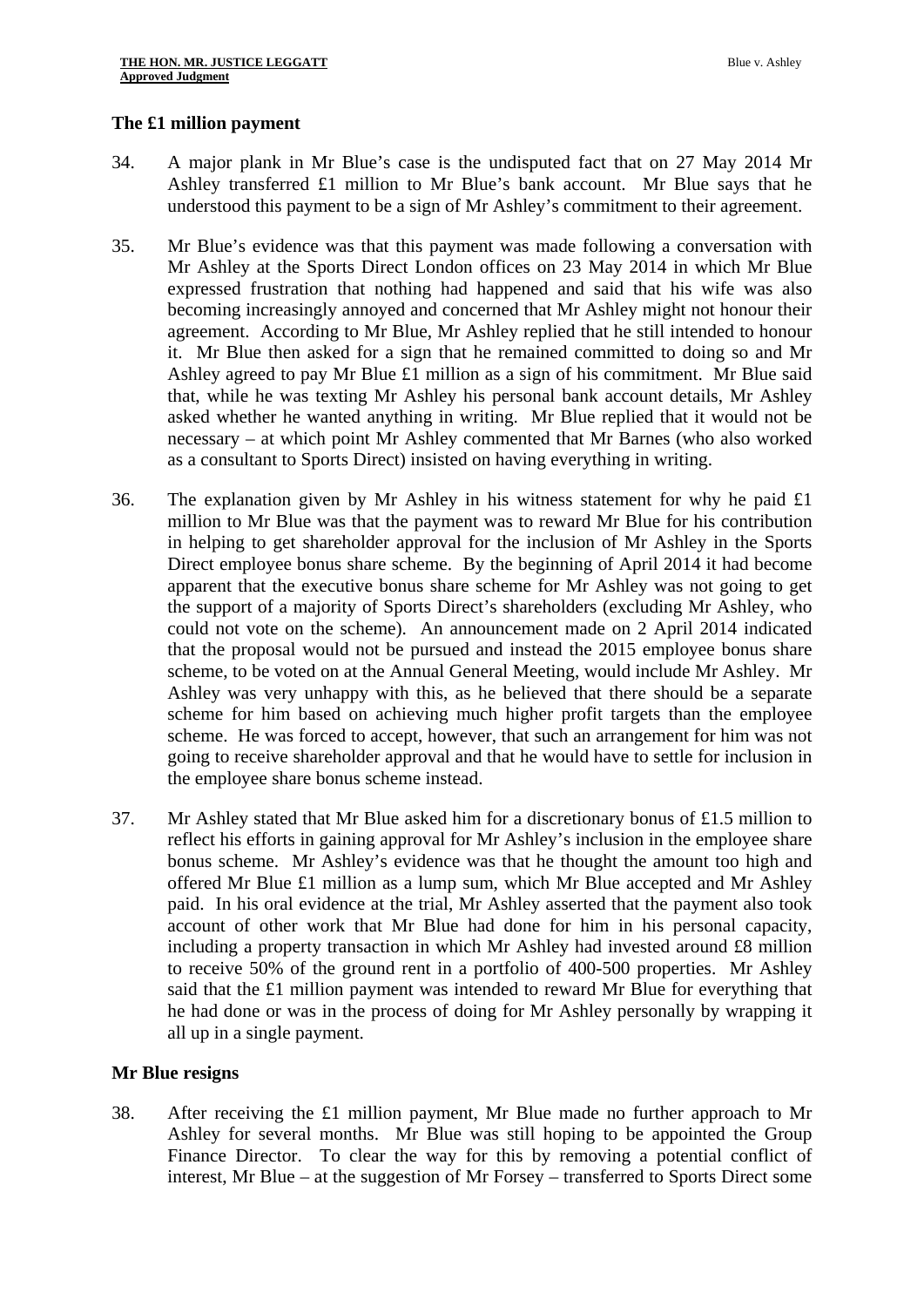# **The £1 million payment**

- 34. A major plank in Mr Blue's case is the undisputed fact that on 27 May 2014 Mr Ashley transferred £1 million to Mr Blue's bank account. Mr Blue says that he understood this payment to be a sign of Mr Ashley's commitment to their agreement.
- 35. Mr Blue's evidence was that this payment was made following a conversation with Mr Ashley at the Sports Direct London offices on 23 May 2014 in which Mr Blue expressed frustration that nothing had happened and said that his wife was also becoming increasingly annoyed and concerned that Mr Ashley might not honour their agreement. According to Mr Blue, Mr Ashley replied that he still intended to honour it. Mr Blue then asked for a sign that he remained committed to doing so and Mr Ashley agreed to pay Mr Blue £1 million as a sign of his commitment. Mr Blue said that, while he was texting Mr Ashley his personal bank account details, Mr Ashley asked whether he wanted anything in writing. Mr Blue replied that it would not be necessary – at which point Mr Ashley commented that Mr Barnes (who also worked as a consultant to Sports Direct) insisted on having everything in writing.
- 36. The explanation given by Mr Ashley in his witness statement for why he paid  $£1$ million to Mr Blue was that the payment was to reward Mr Blue for his contribution in helping to get shareholder approval for the inclusion of Mr Ashley in the Sports Direct employee bonus share scheme. By the beginning of April 2014 it had become apparent that the executive bonus share scheme for Mr Ashley was not going to get the support of a majority of Sports Direct's shareholders (excluding Mr Ashley, who could not vote on the scheme). An announcement made on 2 April 2014 indicated that the proposal would not be pursued and instead the 2015 employee bonus share scheme, to be voted on at the Annual General Meeting, would include Mr Ashley. Mr Ashley was very unhappy with this, as he believed that there should be a separate scheme for him based on achieving much higher profit targets than the employee scheme. He was forced to accept, however, that such an arrangement for him was not going to receive shareholder approval and that he would have to settle for inclusion in the employee share bonus scheme instead.
- 37. Mr Ashley stated that Mr Blue asked him for a discretionary bonus of £1.5 million to reflect his efforts in gaining approval for Mr Ashley's inclusion in the employee share bonus scheme. Mr Ashley's evidence was that he thought the amount too high and offered Mr Blue £1 million as a lump sum, which Mr Blue accepted and Mr Ashley paid. In his oral evidence at the trial, Mr Ashley asserted that the payment also took account of other work that Mr Blue had done for him in his personal capacity, including a property transaction in which Mr Ashley had invested around £8 million to receive 50% of the ground rent in a portfolio of 400-500 properties. Mr Ashley said that the £1 million payment was intended to reward Mr Blue for everything that he had done or was in the process of doing for Mr Ashley personally by wrapping it all up in a single payment.

# **Mr Blue resigns**

38. After receiving the £1 million payment, Mr Blue made no further approach to Mr Ashley for several months. Mr Blue was still hoping to be appointed the Group Finance Director. To clear the way for this by removing a potential conflict of interest, Mr Blue – at the suggestion of Mr Forsey – transferred to Sports Direct some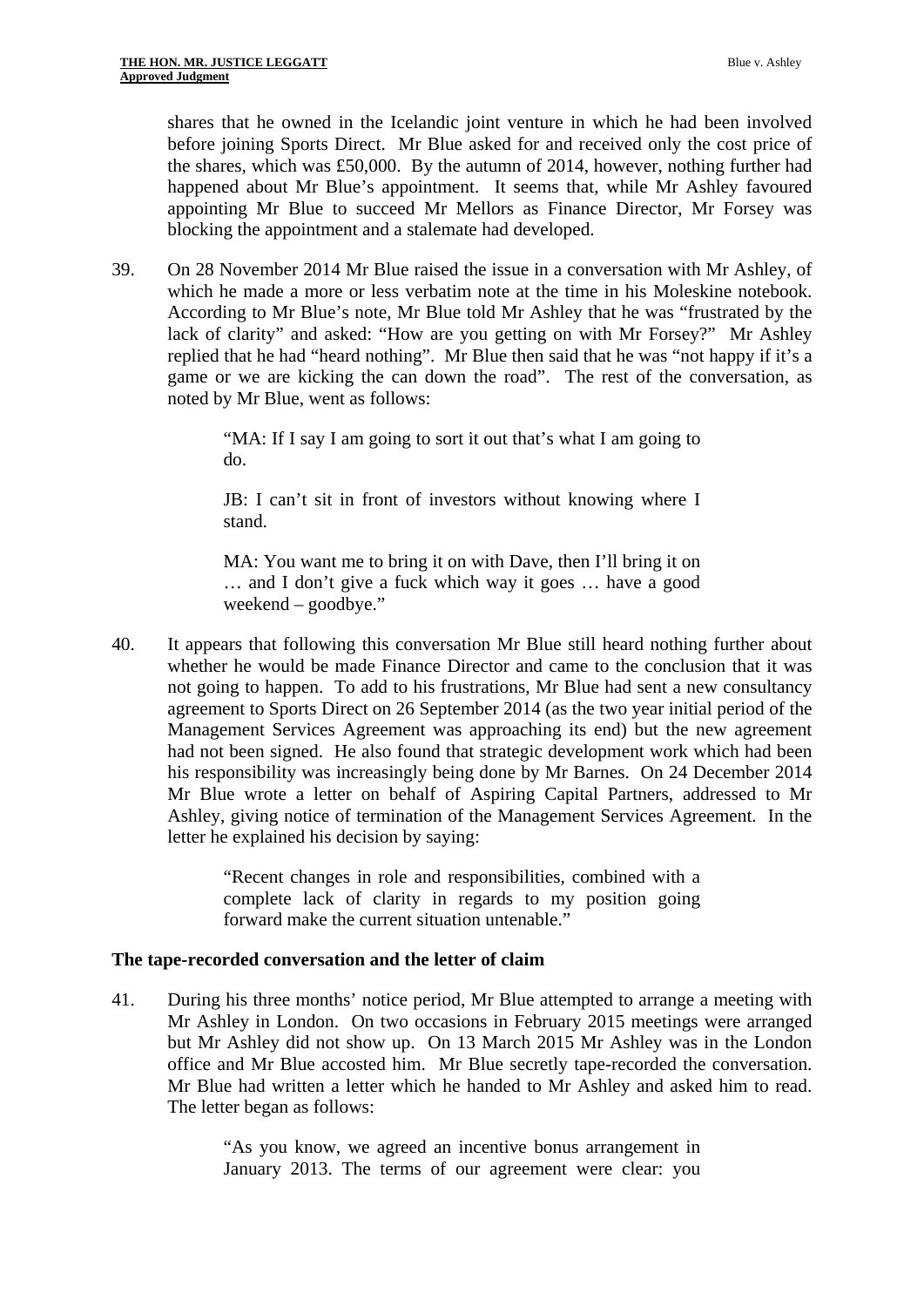shares that he owned in the Icelandic joint venture in which he had been involved before joining Sports Direct. Mr Blue asked for and received only the cost price of the shares, which was £50,000. By the autumn of 2014, however, nothing further had happened about Mr Blue's appointment. It seems that, while Mr Ashley favoured appointing Mr Blue to succeed Mr Mellors as Finance Director, Mr Forsey was blocking the appointment and a stalemate had developed.

39. On 28 November 2014 Mr Blue raised the issue in a conversation with Mr Ashley, of which he made a more or less verbatim note at the time in his Moleskine notebook. According to Mr Blue's note, Mr Blue told Mr Ashley that he was "frustrated by the lack of clarity" and asked: "How are you getting on with Mr Forsey?" Mr Ashley replied that he had "heard nothing". Mr Blue then said that he was "not happy if it's a game or we are kicking the can down the road". The rest of the conversation, as noted by Mr Blue, went as follows:

> "MA: If I say I am going to sort it out that's what I am going to do.

> JB: I can't sit in front of investors without knowing where I stand.

> MA: You want me to bring it on with Dave, then I'll bring it on … and I don't give a fuck which way it goes … have a good weekend – goodbye."

40. It appears that following this conversation Mr Blue still heard nothing further about whether he would be made Finance Director and came to the conclusion that it was not going to happen. To add to his frustrations, Mr Blue had sent a new consultancy agreement to Sports Direct on 26 September 2014 (as the two year initial period of the Management Services Agreement was approaching its end) but the new agreement had not been signed. He also found that strategic development work which had been his responsibility was increasingly being done by Mr Barnes. On 24 December 2014 Mr Blue wrote a letter on behalf of Aspiring Capital Partners, addressed to Mr Ashley, giving notice of termination of the Management Services Agreement. In the letter he explained his decision by saying:

> "Recent changes in role and responsibilities, combined with a complete lack of clarity in regards to my position going forward make the current situation untenable."

# **The tape-recorded conversation and the letter of claim**

41. During his three months' notice period, Mr Blue attempted to arrange a meeting with Mr Ashley in London. On two occasions in February 2015 meetings were arranged but Mr Ashley did not show up. On 13 March 2015 Mr Ashley was in the London office and Mr Blue accosted him. Mr Blue secretly tape-recorded the conversation. Mr Blue had written a letter which he handed to Mr Ashley and asked him to read. The letter began as follows:

> "As you know, we agreed an incentive bonus arrangement in January 2013. The terms of our agreement were clear: you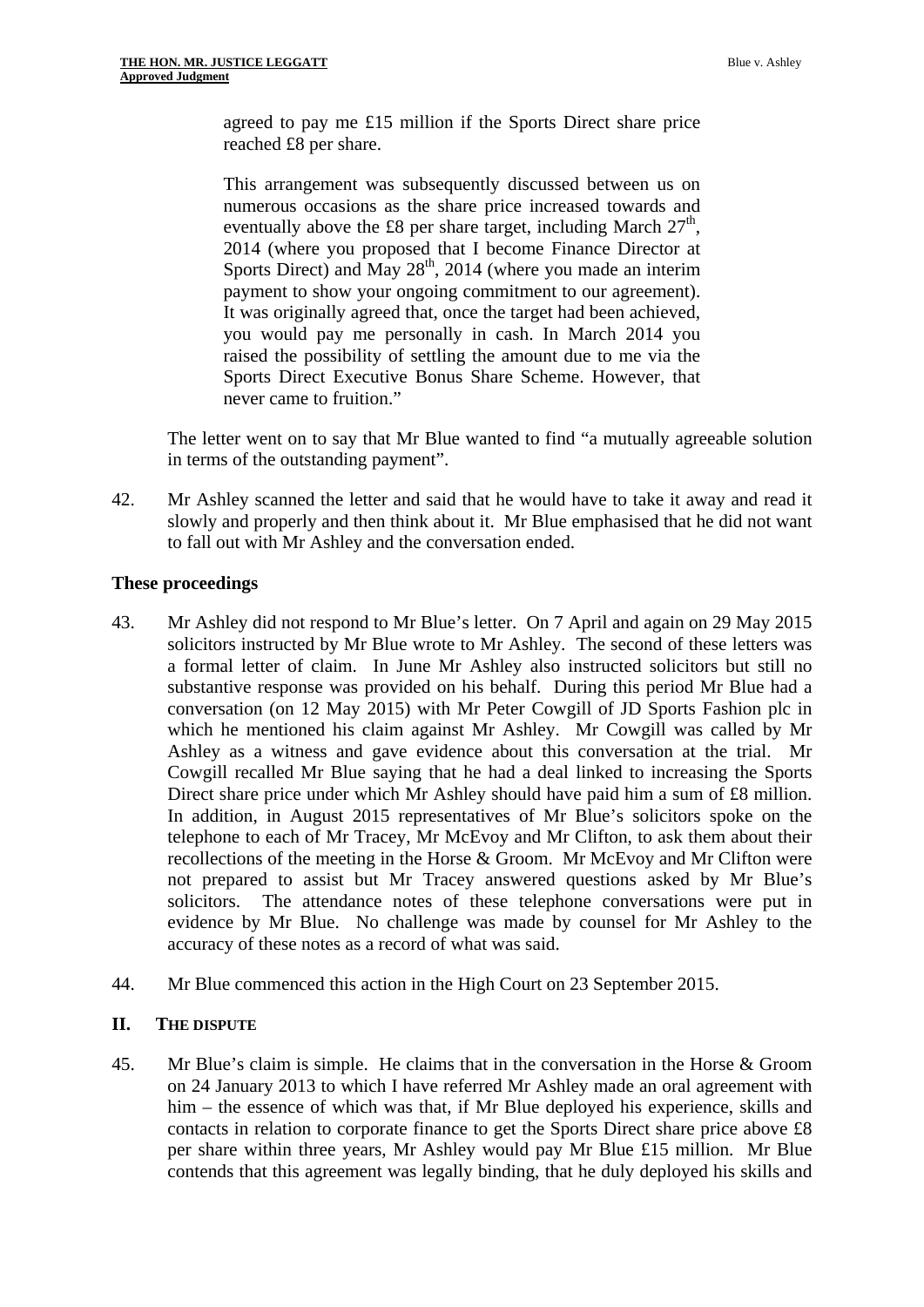agreed to pay me £15 million if the Sports Direct share price reached £8 per share.

This arrangement was subsequently discussed between us on numerous occasions as the share price increased towards and eventually above the £8 per share target, including March  $27<sup>th</sup>$ , 2014 (where you proposed that I become Finance Director at Sports Direct) and May  $28<sup>th</sup>$ , 2014 (where you made an interim payment to show your ongoing commitment to our agreement). It was originally agreed that, once the target had been achieved, you would pay me personally in cash. In March 2014 you raised the possibility of settling the amount due to me via the Sports Direct Executive Bonus Share Scheme. However, that never came to fruition."

The letter went on to say that Mr Blue wanted to find "a mutually agreeable solution in terms of the outstanding payment".

42. Mr Ashley scanned the letter and said that he would have to take it away and read it slowly and properly and then think about it. Mr Blue emphasised that he did not want to fall out with Mr Ashley and the conversation ended.

#### **These proceedings**

- 43. Mr Ashley did not respond to Mr Blue's letter. On 7 April and again on 29 May 2015 solicitors instructed by Mr Blue wrote to Mr Ashley. The second of these letters was a formal letter of claim. In June Mr Ashley also instructed solicitors but still no substantive response was provided on his behalf. During this period Mr Blue had a conversation (on 12 May 2015) with Mr Peter Cowgill of JD Sports Fashion plc in which he mentioned his claim against Mr Ashley. Mr Cowgill was called by Mr Ashley as a witness and gave evidence about this conversation at the trial. Mr Cowgill recalled Mr Blue saying that he had a deal linked to increasing the Sports Direct share price under which Mr Ashley should have paid him a sum of £8 million. In addition, in August 2015 representatives of Mr Blue's solicitors spoke on the telephone to each of Mr Tracey, Mr McEvoy and Mr Clifton, to ask them about their recollections of the meeting in the Horse & Groom. Mr McEvoy and Mr Clifton were not prepared to assist but Mr Tracey answered questions asked by Mr Blue's solicitors. The attendance notes of these telephone conversations were put in evidence by Mr Blue. No challenge was made by counsel for Mr Ashley to the accuracy of these notes as a record of what was said.
- 44. Mr Blue commenced this action in the High Court on 23 September 2015.

#### **II. THE DISPUTE**

45. Mr Blue's claim is simple. He claims that in the conversation in the Horse & Groom on 24 January 2013 to which I have referred Mr Ashley made an oral agreement with him – the essence of which was that, if Mr Blue deployed his experience, skills and contacts in relation to corporate finance to get the Sports Direct share price above £8 per share within three years, Mr Ashley would pay Mr Blue £15 million. Mr Blue contends that this agreement was legally binding, that he duly deployed his skills and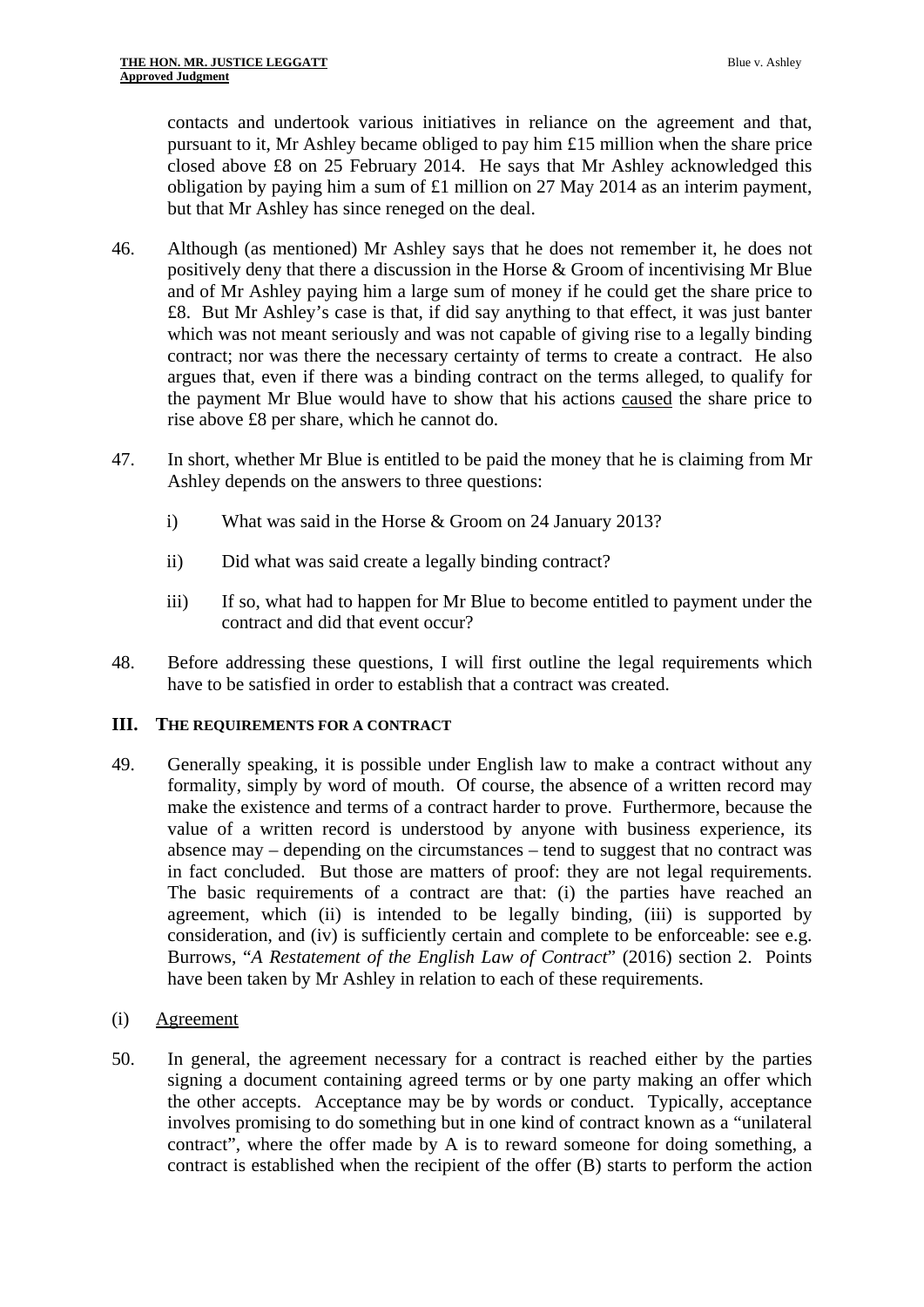contacts and undertook various initiatives in reliance on the agreement and that, pursuant to it, Mr Ashley became obliged to pay him £15 million when the share price closed above £8 on 25 February 2014. He says that Mr Ashley acknowledged this obligation by paying him a sum of £1 million on 27 May 2014 as an interim payment, but that Mr Ashley has since reneged on the deal.

- 46. Although (as mentioned) Mr Ashley says that he does not remember it, he does not positively deny that there a discussion in the Horse & Groom of incentivising Mr Blue and of Mr Ashley paying him a large sum of money if he could get the share price to £8. But Mr Ashley's case is that, if did say anything to that effect, it was just banter which was not meant seriously and was not capable of giving rise to a legally binding contract; nor was there the necessary certainty of terms to create a contract. He also argues that, even if there was a binding contract on the terms alleged, to qualify for the payment Mr Blue would have to show that his actions caused the share price to rise above £8 per share, which he cannot do.
- 47. In short, whether Mr Blue is entitled to be paid the money that he is claiming from Mr Ashley depends on the answers to three questions:
	- i) What was said in the Horse & Groom on 24 January 2013?
	- ii) Did what was said create a legally binding contract?
	- iii) If so, what had to happen for Mr Blue to become entitled to payment under the contract and did that event occur?
- 48. Before addressing these questions, I will first outline the legal requirements which have to be satisfied in order to establish that a contract was created.

# **III. THE REQUIREMENTS FOR A CONTRACT**

- 49. Generally speaking, it is possible under English law to make a contract without any formality, simply by word of mouth. Of course, the absence of a written record may make the existence and terms of a contract harder to prove. Furthermore, because the value of a written record is understood by anyone with business experience, its absence may – depending on the circumstances – tend to suggest that no contract was in fact concluded. But those are matters of proof: they are not legal requirements. The basic requirements of a contract are that: (i) the parties have reached an agreement, which (ii) is intended to be legally binding, (iii) is supported by consideration, and (iv) is sufficiently certain and complete to be enforceable: see e.g. Burrows, "*A Restatement of the English Law of Contract*" (2016) section 2. Points have been taken by Mr Ashley in relation to each of these requirements.
- (i) Agreement
- 50. In general, the agreement necessary for a contract is reached either by the parties signing a document containing agreed terms or by one party making an offer which the other accepts. Acceptance may be by words or conduct. Typically, acceptance involves promising to do something but in one kind of contract known as a "unilateral contract", where the offer made by A is to reward someone for doing something, a contract is established when the recipient of the offer (B) starts to perform the action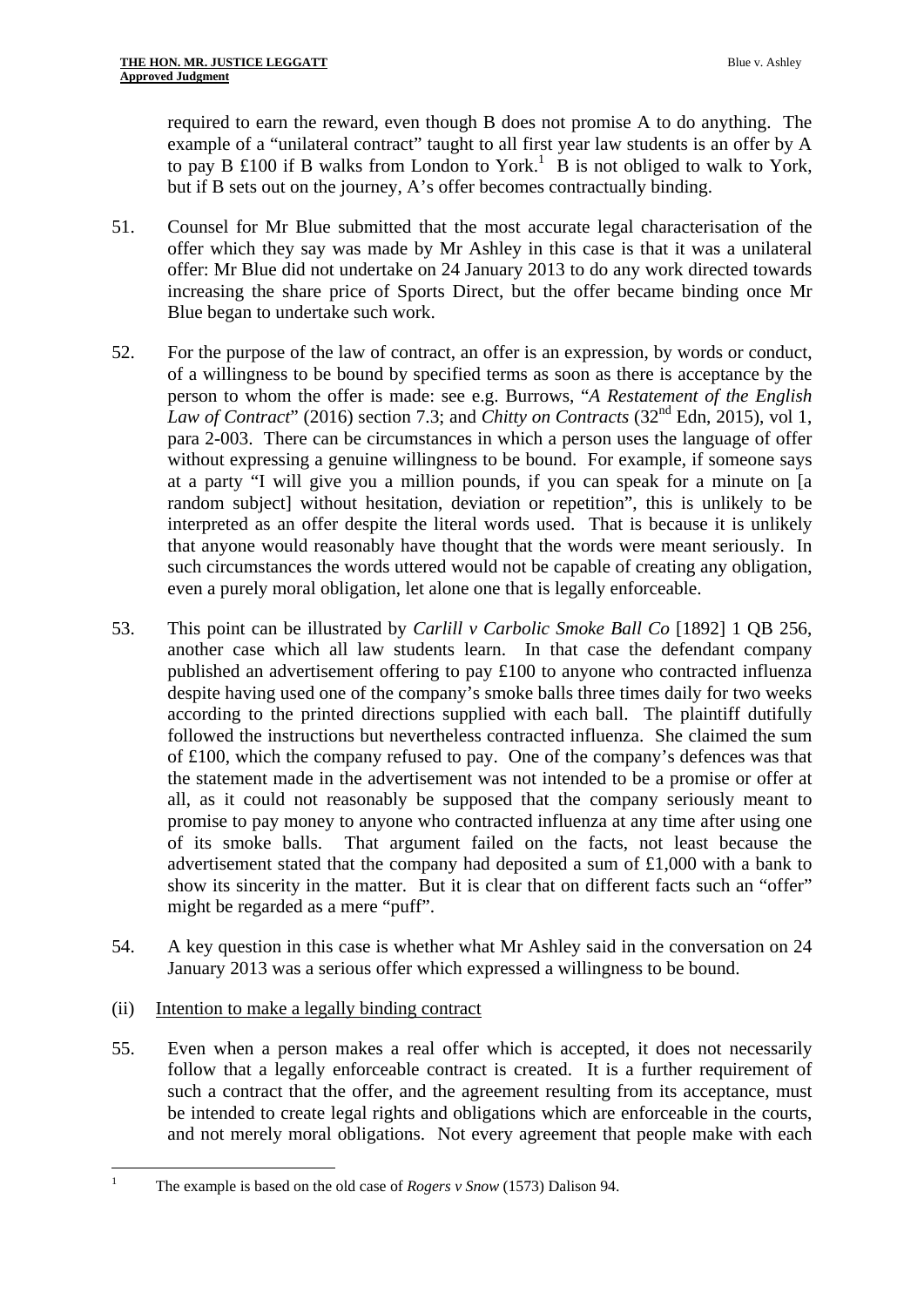required to earn the reward, even though B does not promise A to do anything. The example of a "unilateral contract" taught to all first year law students is an offer by A to pay B £100 if B walks from London to York.<sup>1</sup> B is not obliged to walk to York, but if B sets out on the journey, A's offer becomes contractually binding.

- 51. Counsel for Mr Blue submitted that the most accurate legal characterisation of the offer which they say was made by Mr Ashley in this case is that it was a unilateral offer: Mr Blue did not undertake on 24 January 2013 to do any work directed towards increasing the share price of Sports Direct, but the offer became binding once Mr Blue began to undertake such work.
- 52. For the purpose of the law of contract, an offer is an expression, by words or conduct, of a willingness to be bound by specified terms as soon as there is acceptance by the person to whom the offer is made: see e.g. Burrows, "*A Restatement of the English Law of Contract*" (2016) section 7.3; and *Chitty on Contracts* (32<sup>nd</sup> Edn, 2015), vol 1, para 2-003. There can be circumstances in which a person uses the language of offer without expressing a genuine willingness to be bound. For example, if someone says at a party "I will give you a million pounds, if you can speak for a minute on [a random subject] without hesitation, deviation or repetition", this is unlikely to be interpreted as an offer despite the literal words used. That is because it is unlikely that anyone would reasonably have thought that the words were meant seriously. In such circumstances the words uttered would not be capable of creating any obligation, even a purely moral obligation, let alone one that is legally enforceable.
- 53. This point can be illustrated by *Carlill v Carbolic Smoke Ball Co* [1892] 1 QB 256, another case which all law students learn. In that case the defendant company published an advertisement offering to pay £100 to anyone who contracted influenza despite having used one of the company's smoke balls three times daily for two weeks according to the printed directions supplied with each ball. The plaintiff dutifully followed the instructions but nevertheless contracted influenza. She claimed the sum of £100, which the company refused to pay. One of the company's defences was that the statement made in the advertisement was not intended to be a promise or offer at all, as it could not reasonably be supposed that the company seriously meant to promise to pay money to anyone who contracted influenza at any time after using one of its smoke balls. That argument failed on the facts, not least because the advertisement stated that the company had deposited a sum of £1,000 with a bank to show its sincerity in the matter. But it is clear that on different facts such an "offer" might be regarded as a mere "puff".
- 54. A key question in this case is whether what Mr Ashley said in the conversation on 24 January 2013 was a serious offer which expressed a willingness to be bound.
- (ii) Intention to make a legally binding contract

1

55. Even when a person makes a real offer which is accepted, it does not necessarily follow that a legally enforceable contract is created. It is a further requirement of such a contract that the offer, and the agreement resulting from its acceptance, must be intended to create legal rights and obligations which are enforceable in the courts, and not merely moral obligations. Not every agreement that people make with each

The example is based on the old case of *Rogers v Snow* (1573) Dalison 94.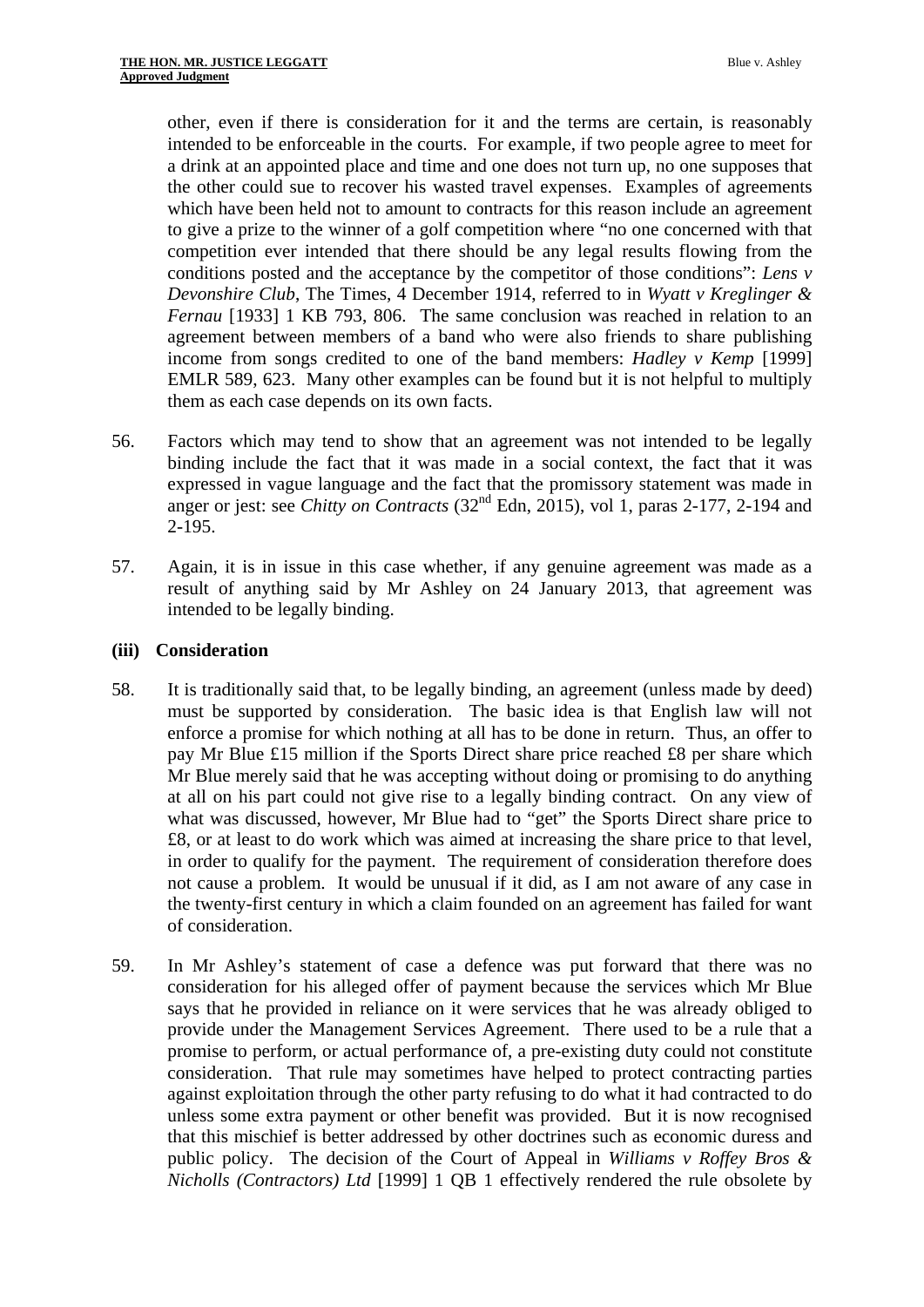other, even if there is consideration for it and the terms are certain, is reasonably intended to be enforceable in the courts. For example, if two people agree to meet for a drink at an appointed place and time and one does not turn up, no one supposes that the other could sue to recover his wasted travel expenses. Examples of agreements which have been held not to amount to contracts for this reason include an agreement to give a prize to the winner of a golf competition where "no one concerned with that competition ever intended that there should be any legal results flowing from the conditions posted and the acceptance by the competitor of those conditions": *Lens v Devonshire Club*, The Times, 4 December 1914, referred to in *Wyatt v Kreglinger & Fernau* [1933] 1 KB 793, 806. The same conclusion was reached in relation to an agreement between members of a band who were also friends to share publishing income from songs credited to one of the band members: *Hadley v Kemp* [1999] EMLR 589, 623. Many other examples can be found but it is not helpful to multiply them as each case depends on its own facts.

- 56. Factors which may tend to show that an agreement was not intended to be legally binding include the fact that it was made in a social context, the fact that it was expressed in vague language and the fact that the promissory statement was made in anger or jest: see *Chitty on Contracts* (32<sup>nd</sup> Edn, 2015), vol 1, paras 2-177, 2-194 and 2-195.
- 57. Again, it is in issue in this case whether, if any genuine agreement was made as a result of anything said by Mr Ashley on 24 January 2013, that agreement was intended to be legally binding.

# **(iii) Consideration**

- 58. It is traditionally said that, to be legally binding, an agreement (unless made by deed) must be supported by consideration. The basic idea is that English law will not enforce a promise for which nothing at all has to be done in return. Thus, an offer to pay Mr Blue £15 million if the Sports Direct share price reached £8 per share which Mr Blue merely said that he was accepting without doing or promising to do anything at all on his part could not give rise to a legally binding contract. On any view of what was discussed, however, Mr Blue had to "get" the Sports Direct share price to £8, or at least to do work which was aimed at increasing the share price to that level, in order to qualify for the payment. The requirement of consideration therefore does not cause a problem. It would be unusual if it did, as I am not aware of any case in the twenty-first century in which a claim founded on an agreement has failed for want of consideration.
- 59. In Mr Ashley's statement of case a defence was put forward that there was no consideration for his alleged offer of payment because the services which Mr Blue says that he provided in reliance on it were services that he was already obliged to provide under the Management Services Agreement. There used to be a rule that a promise to perform, or actual performance of, a pre-existing duty could not constitute consideration. That rule may sometimes have helped to protect contracting parties against exploitation through the other party refusing to do what it had contracted to do unless some extra payment or other benefit was provided. But it is now recognised that this mischief is better addressed by other doctrines such as economic duress and public policy. The decision of the Court of Appeal in *Williams v Roffey Bros & Nicholls (Contractors) Ltd* [1999] 1 QB 1 effectively rendered the rule obsolete by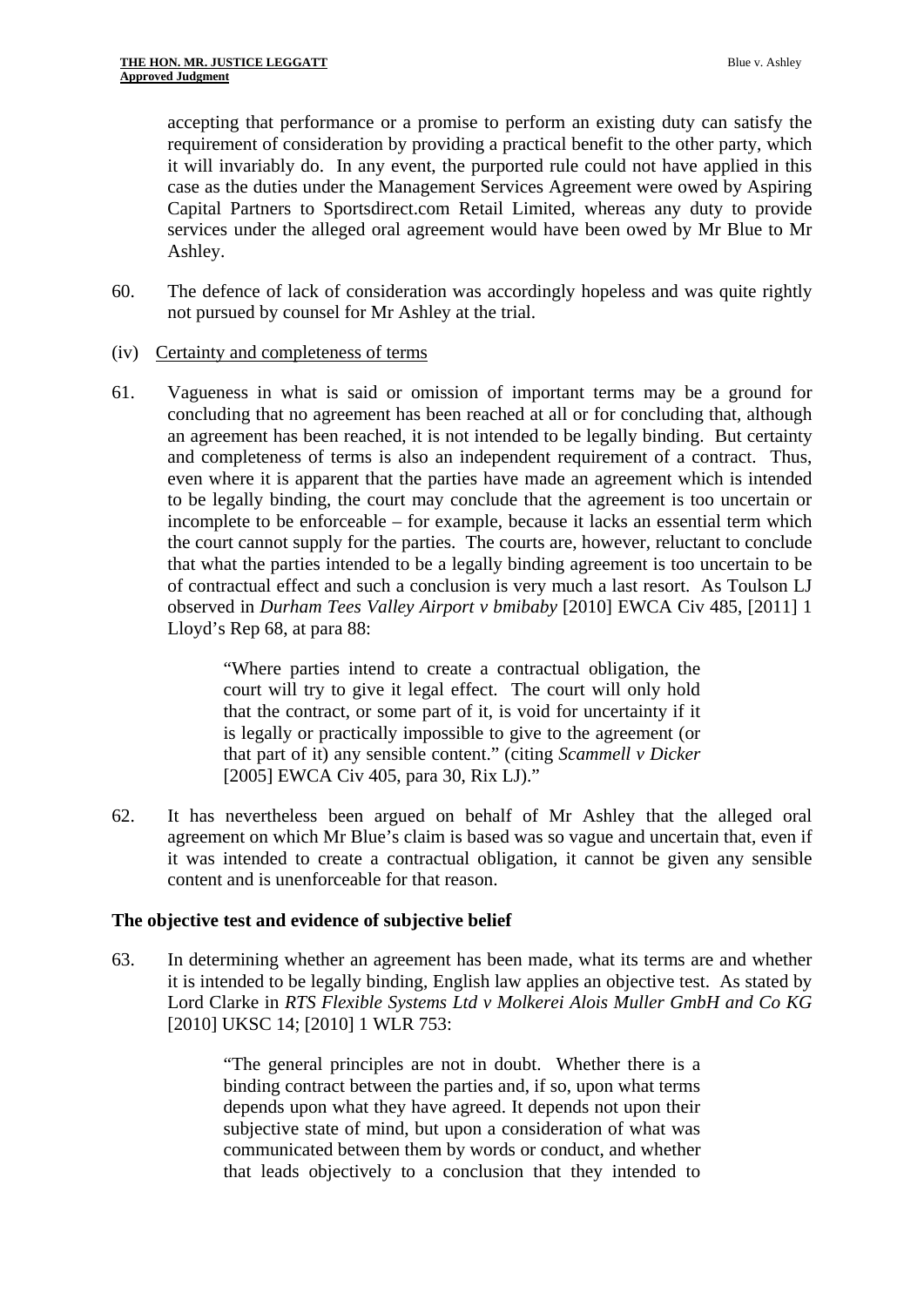accepting that performance or a promise to perform an existing duty can satisfy the requirement of consideration by providing a practical benefit to the other party, which it will invariably do. In any event, the purported rule could not have applied in this case as the duties under the Management Services Agreement were owed by Aspiring Capital Partners to Sportsdirect.com Retail Limited, whereas any duty to provide services under the alleged oral agreement would have been owed by Mr Blue to Mr Ashley.

- 60. The defence of lack of consideration was accordingly hopeless and was quite rightly not pursued by counsel for Mr Ashley at the trial.
- (iv) Certainty and completeness of terms
- 61. Vagueness in what is said or omission of important terms may be a ground for concluding that no agreement has been reached at all or for concluding that, although an agreement has been reached, it is not intended to be legally binding. But certainty and completeness of terms is also an independent requirement of a contract. Thus, even where it is apparent that the parties have made an agreement which is intended to be legally binding, the court may conclude that the agreement is too uncertain or incomplete to be enforceable – for example, because it lacks an essential term which the court cannot supply for the parties. The courts are, however, reluctant to conclude that what the parties intended to be a legally binding agreement is too uncertain to be of contractual effect and such a conclusion is very much a last resort. As Toulson LJ observed in *Durham Tees Valley Airport v bmibaby* [2010] EWCA Civ 485, [2011] 1 Lloyd's Rep 68, at para 88:

"Where parties intend to create a contractual obligation, the court will try to give it legal effect. The court will only hold that the contract, or some part of it, is void for uncertainty if it is legally or practically impossible to give to the agreement (or that part of it) any sensible content." (citing *Scammell v Dicker*  [2005] EWCA Civ 405, para 30, Rix LJ)."

62. It has nevertheless been argued on behalf of Mr Ashley that the alleged oral agreement on which Mr Blue's claim is based was so vague and uncertain that, even if it was intended to create a contractual obligation, it cannot be given any sensible content and is unenforceable for that reason.

# **The objective test and evidence of subjective belief**

63. In determining whether an agreement has been made, what its terms are and whether it is intended to be legally binding, English law applies an objective test. As stated by Lord Clarke in *RTS Flexible Systems Ltd v Molkerei Alois Muller GmbH and Co KG*  [2010] UKSC 14; [2010] 1 WLR 753:

> "The general principles are not in doubt. Whether there is a binding contract between the parties and, if so, upon what terms depends upon what they have agreed. It depends not upon their subjective state of mind, but upon a consideration of what was communicated between them by words or conduct, and whether that leads objectively to a conclusion that they intended to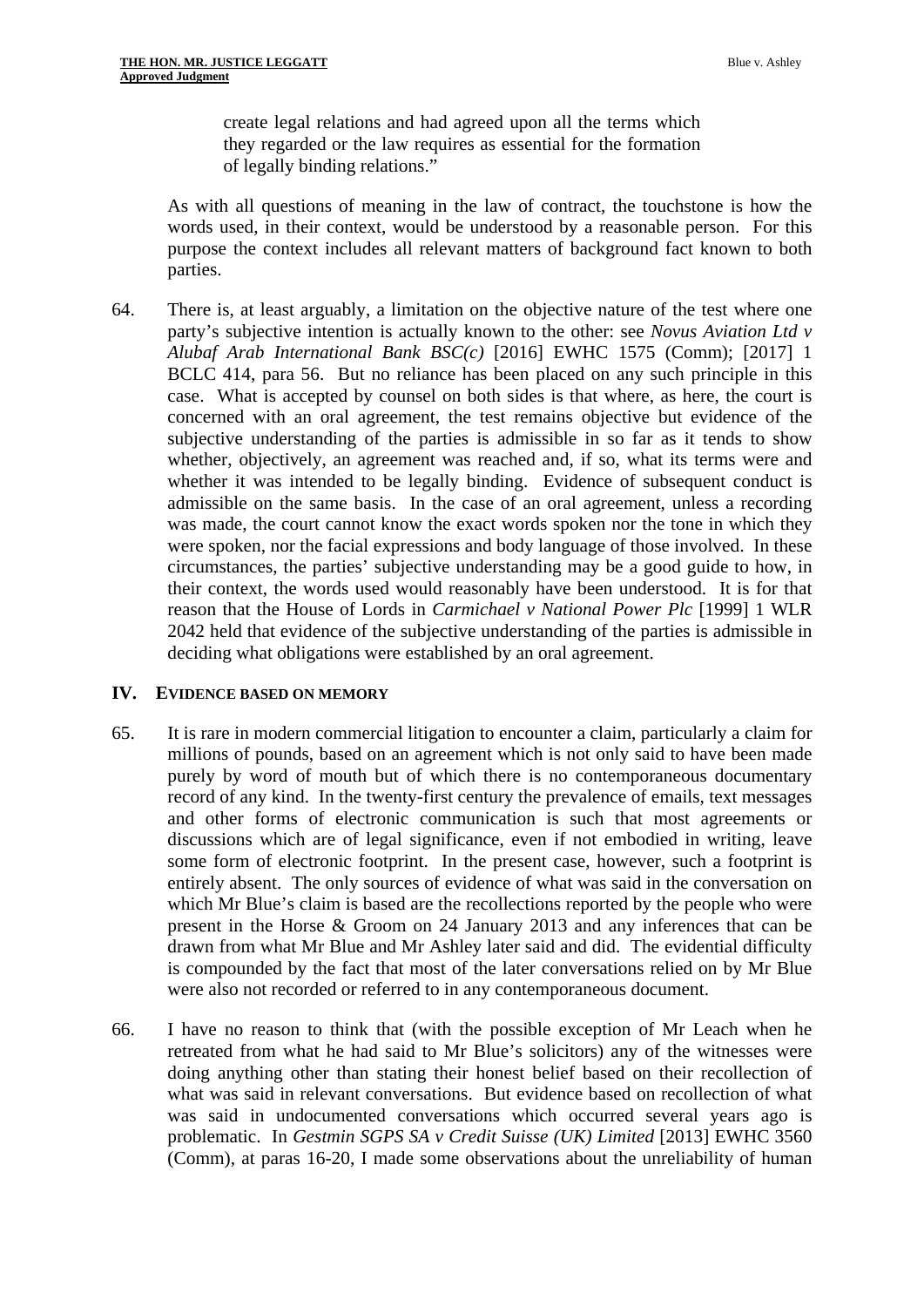create legal relations and had agreed upon all the terms which they regarded or the law requires as essential for the formation of legally binding relations."

As with all questions of meaning in the law of contract, the touchstone is how the words used, in their context, would be understood by a reasonable person. For this purpose the context includes all relevant matters of background fact known to both parties.

64. There is, at least arguably, a limitation on the objective nature of the test where one party's subjective intention is actually known to the other: see *Novus Aviation Ltd v Alubaf Arab International Bank BSC(c)* [2016] EWHC 1575 (Comm); [2017] 1 BCLC 414, para 56. But no reliance has been placed on any such principle in this case. What is accepted by counsel on both sides is that where, as here, the court is concerned with an oral agreement, the test remains objective but evidence of the subjective understanding of the parties is admissible in so far as it tends to show whether, objectively, an agreement was reached and, if so, what its terms were and whether it was intended to be legally binding. Evidence of subsequent conduct is admissible on the same basis. In the case of an oral agreement, unless a recording was made, the court cannot know the exact words spoken nor the tone in which they were spoken, nor the facial expressions and body language of those involved. In these circumstances, the parties' subjective understanding may be a good guide to how, in their context, the words used would reasonably have been understood. It is for that reason that the House of Lords in *Carmichael v National Power Plc* [1999] 1 WLR 2042 held that evidence of the subjective understanding of the parties is admissible in deciding what obligations were established by an oral agreement.

#### **IV. EVIDENCE BASED ON MEMORY**

- 65. It is rare in modern commercial litigation to encounter a claim, particularly a claim for millions of pounds, based on an agreement which is not only said to have been made purely by word of mouth but of which there is no contemporaneous documentary record of any kind. In the twenty-first century the prevalence of emails, text messages and other forms of electronic communication is such that most agreements or discussions which are of legal significance, even if not embodied in writing, leave some form of electronic footprint. In the present case, however, such a footprint is entirely absent. The only sources of evidence of what was said in the conversation on which Mr Blue's claim is based are the recollections reported by the people who were present in the Horse & Groom on 24 January 2013 and any inferences that can be drawn from what Mr Blue and Mr Ashley later said and did. The evidential difficulty is compounded by the fact that most of the later conversations relied on by Mr Blue were also not recorded or referred to in any contemporaneous document.
- 66. I have no reason to think that (with the possible exception of Mr Leach when he retreated from what he had said to Mr Blue's solicitors) any of the witnesses were doing anything other than stating their honest belief based on their recollection of what was said in relevant conversations. But evidence based on recollection of what was said in undocumented conversations which occurred several years ago is problematic. In *Gestmin SGPS SA v Credit Suisse (UK) Limited* [2013] EWHC 3560 (Comm), at paras 16-20, I made some observations about the unreliability of human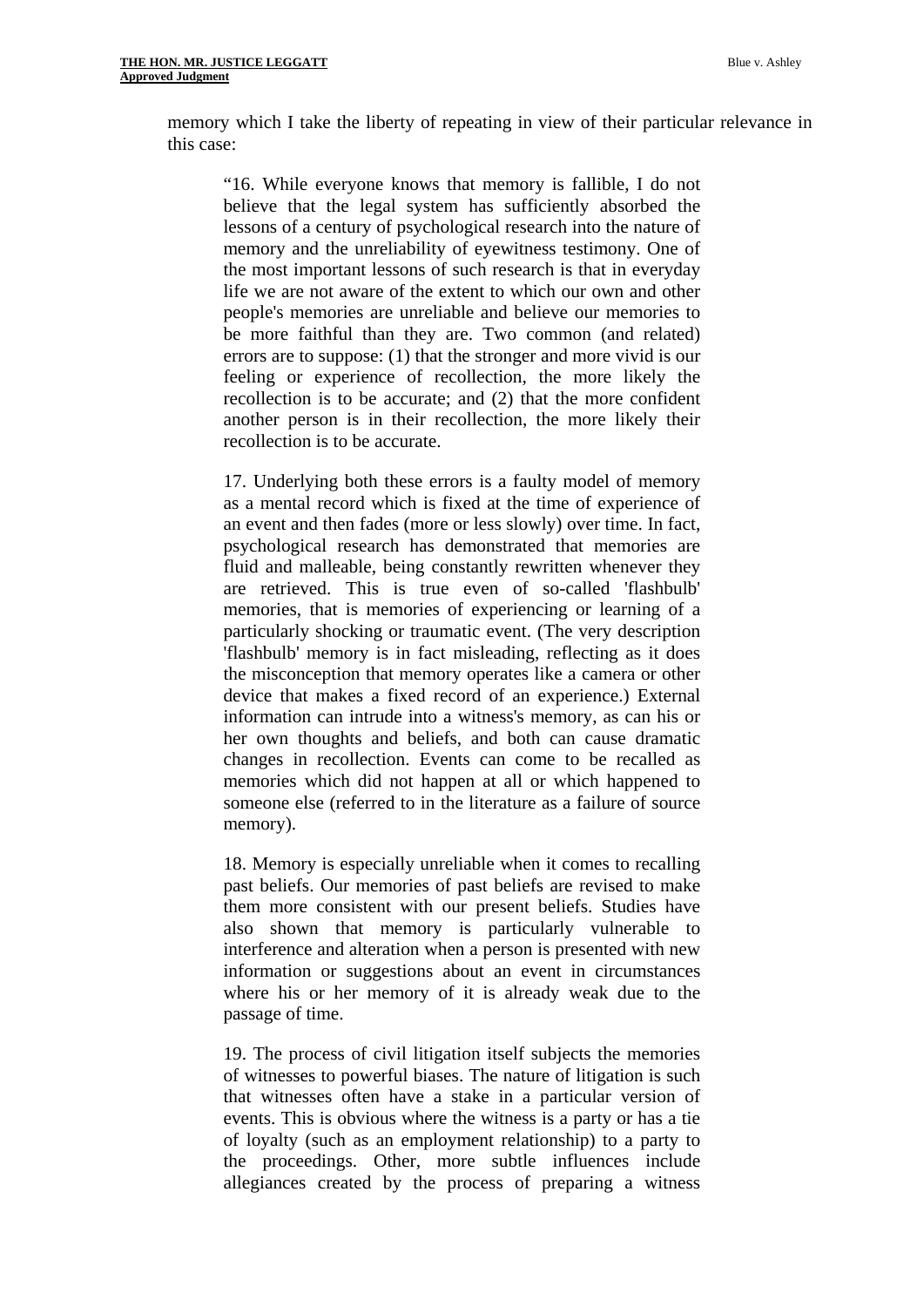memory which I take the liberty of repeating in view of their particular relevance in this case:

"16. While everyone knows that memory is fallible, I do not believe that the legal system has sufficiently absorbed the lessons of a century of psychological research into the nature of memory and the unreliability of eyewitness testimony. One of the most important lessons of such research is that in everyday life we are not aware of the extent to which our own and other people's memories are unreliable and believe our memories to be more faithful than they are. Two common (and related) errors are to suppose: (1) that the stronger and more vivid is our feeling or experience of recollection, the more likely the recollection is to be accurate; and (2) that the more confident another person is in their recollection, the more likely their recollection is to be accurate.

17. Underlying both these errors is a faulty model of memory as a mental record which is fixed at the time of experience of an event and then fades (more or less slowly) over time. In fact, psychological research has demonstrated that memories are fluid and malleable, being constantly rewritten whenever they are retrieved. This is true even of so-called 'flashbulb' memories, that is memories of experiencing or learning of a particularly shocking or traumatic event. (The very description 'flashbulb' memory is in fact misleading, reflecting as it does the misconception that memory operates like a camera or other device that makes a fixed record of an experience.) External information can intrude into a witness's memory, as can his or her own thoughts and beliefs, and both can cause dramatic changes in recollection. Events can come to be recalled as memories which did not happen at all or which happened to someone else (referred to in the literature as a failure of source memory).

18. Memory is especially unreliable when it comes to recalling past beliefs. Our memories of past beliefs are revised to make them more consistent with our present beliefs. Studies have also shown that memory is particularly vulnerable to interference and alteration when a person is presented with new information or suggestions about an event in circumstances where his or her memory of it is already weak due to the passage of time.

19. The process of civil litigation itself subjects the memories of witnesses to powerful biases. The nature of litigation is such that witnesses often have a stake in a particular version of events. This is obvious where the witness is a party or has a tie of loyalty (such as an employment relationship) to a party to the proceedings. Other, more subtle influences include allegiances created by the process of preparing a witness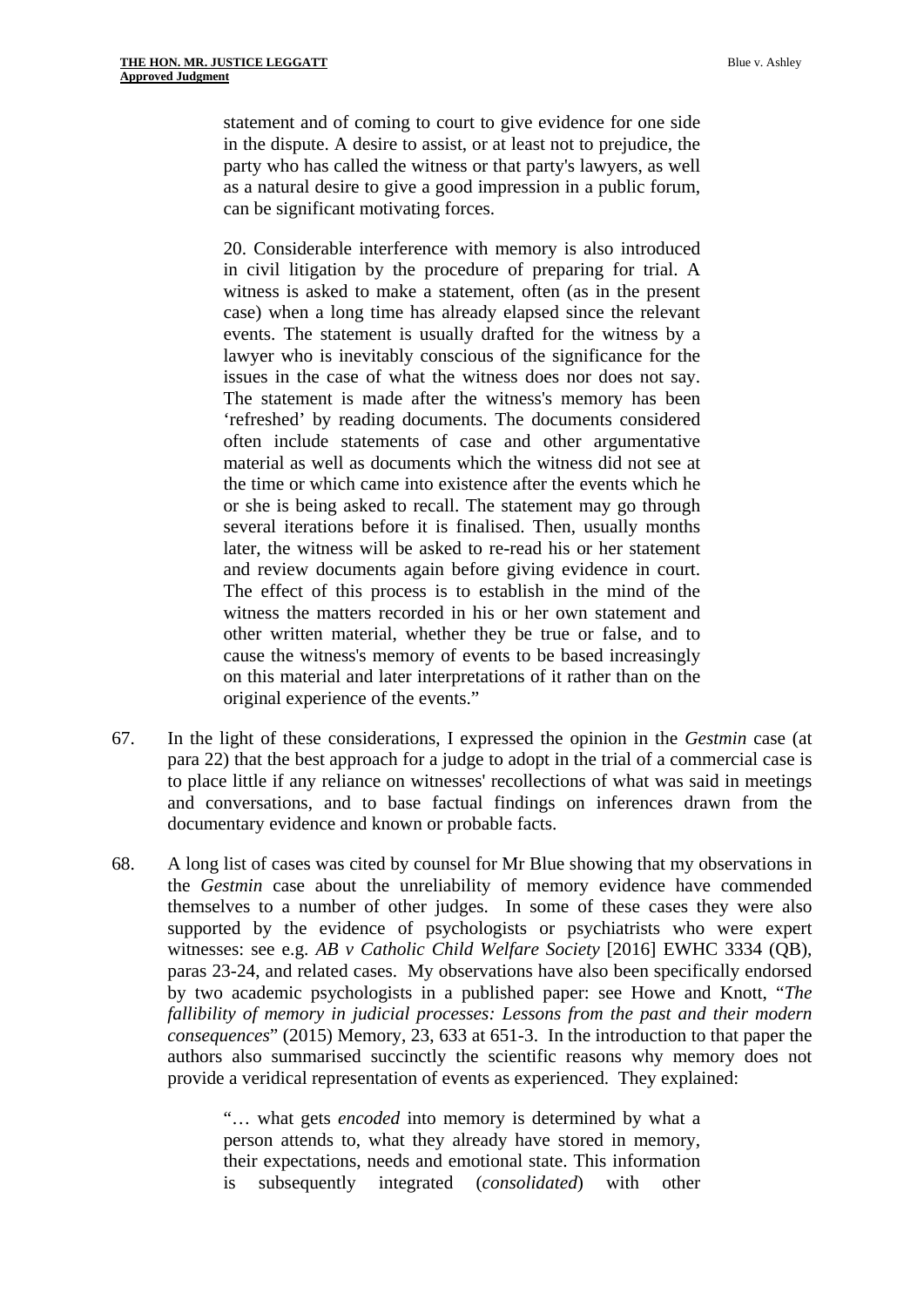statement and of coming to court to give evidence for one side in the dispute. A desire to assist, or at least not to prejudice, the party who has called the witness or that party's lawyers, as well as a natural desire to give a good impression in a public forum, can be significant motivating forces.

original experience of the events." 20. Considerable interference with memory is also introduced in civil litigation by the procedure of preparing for trial. A witness is asked to make a statement, often (as in the present case) when a long time has already elapsed since the relevant events. The statement is usually drafted for the witness by a lawyer who is inevitably conscious of the significance for the issues in the case of what the witness does nor does not say. The statement is made after the witness's memory has been 'refreshed' by reading documents. The documents considered often include statements of case and other argumentative material as well as documents which the witness did not see at the time or which came into existence after the events which he or she is being asked to recall. The statement may go through several iterations before it is finalised. Then, usually months later, the witness will be asked to re-read his or her statement and review documents again before giving evidence in court. The effect of this process is to establish in the mind of the witness the matters recorded in his or her own statement and other written material, whether they be true or false, and to cause the witness's memory of events to be based increasingly on this material and later interpretations of it rather than on the

- 67. In the light of these considerations, I expressed the opinion in the *Gestmin* case (at para 22) that the best approach for a judge to adopt in the trial of a commercial case is to place little if any reliance on witnesses' recollections of what was said in meetings and conversations, and to base factual findings on inferences drawn from the documentary evidence and known or probable facts.
- 68. A long list of cases was cited by counsel for Mr Blue showing that my observations in the *Gestmin* case about the unreliability of memory evidence have commended themselves to a number of other judges. In some of these cases they were also supported by the evidence of psychologists or psychiatrists who were expert witnesses: see e.g. *AB v Catholic Child Welfare Society* [2016] EWHC 3334 (QB), paras 23-24, and related cases. My observations have also been specifically endorsed by two academic psychologists in a published paper: see Howe and Knott, "*The fallibility of memory in judicial processes: Lessons from the past and their modern consequences*" (2015) Memory, 23, 633 at 651-3. In the introduction to that paper the authors also summarised succinctly the scientific reasons why memory does not provide a veridical representation of events as experienced. They explained:

"… what gets *encoded* into memory is determined by what a person attends to, what they already have stored in memory, their expectations, needs and emotional state. This information is subsequently integrated (*consolidated*) with other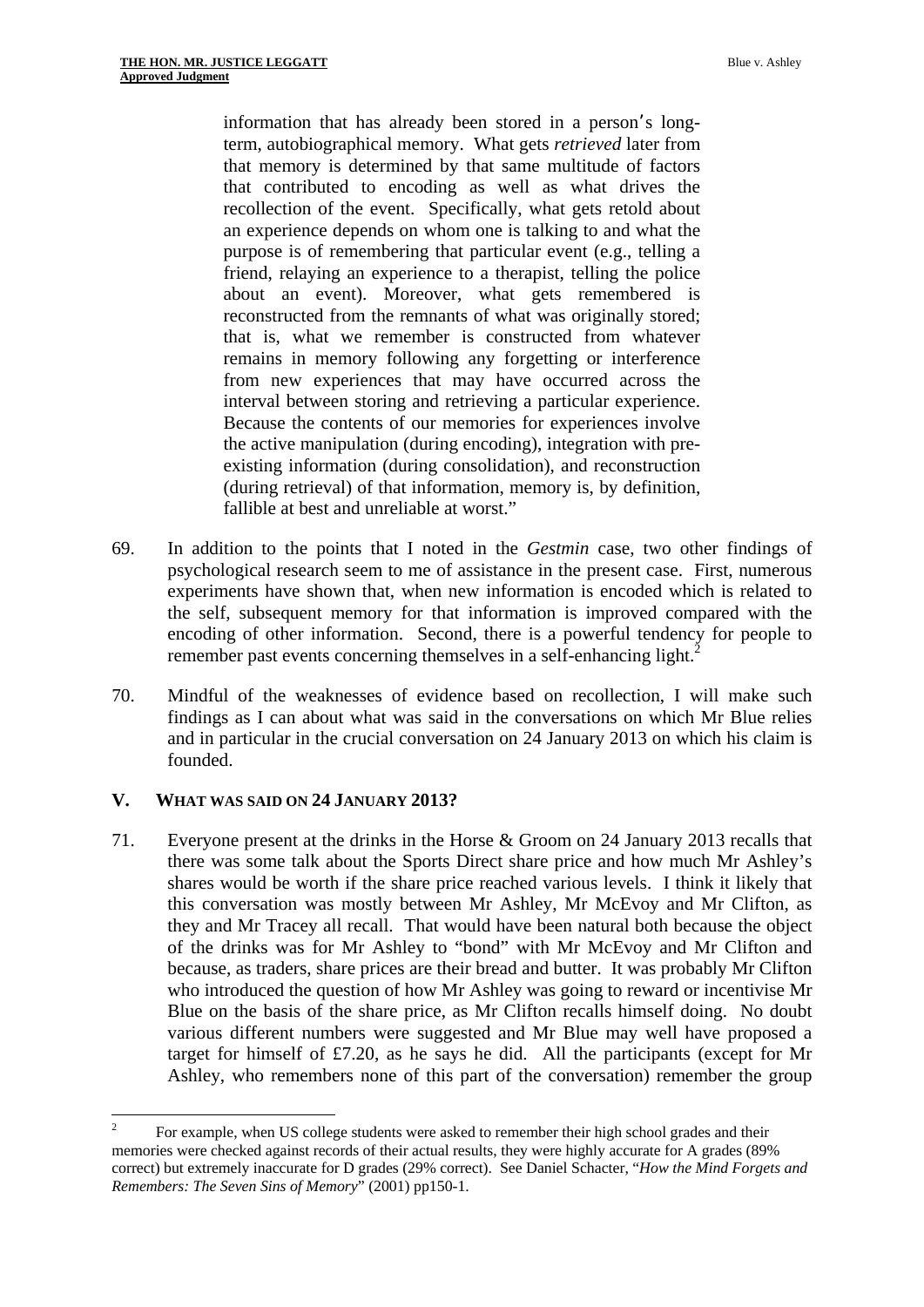information that has already been stored in a person's longterm, autobiographical memory. What gets *retrieved* later from that memory is determined by that same multitude of factors that contributed to encoding as well as what drives the recollection of the event. Specifically, what gets retold about an experience depends on whom one is talking to and what the purpose is of remembering that particular event (e.g., telling a friend, relaying an experience to a therapist, telling the police about an event). Moreover, what gets remembered is reconstructed from the remnants of what was originally stored; that is, what we remember is constructed from whatever remains in memory following any forgetting or interference from new experiences that may have occurred across the interval between storing and retrieving a particular experience. Because the contents of our memories for experiences involve the active manipulation (during encoding), integration with preexisting information (during consolidation), and reconstruction (during retrieval) of that information, memory is, by definition, fallible at best and unreliable at worst."

- 69. In addition to the points that I noted in the *Gestmin* case, two other findings of psychological research seem to me of assistance in the present case. First, numerous experiments have shown that, when new information is encoded which is related to the self, subsequent memory for that information is improved compared with the encoding of other information. Second, there is a powerful tendency for people to remember past events concerning themselves in a self-enhancing light.<sup>2</sup>
- 70. Mindful of the weaknesses of evidence based on recollection, I will make such findings as I can about what was said in the conversations on which Mr Blue relies and in particular in the crucial conversation on 24 January 2013 on which his claim is founded.

# **V. WHAT WAS SAID ON 24 JANUARY 2013?**

71. Everyone present at the drinks in the Horse & Groom on 24 January 2013 recalls that there was some talk about the Sports Direct share price and how much Mr Ashley's shares would be worth if the share price reached various levels. I think it likely that this conversation was mostly between Mr Ashley, Mr McEvoy and Mr Clifton, as they and Mr Tracey all recall. That would have been natural both because the object of the drinks was for Mr Ashley to "bond" with Mr McEvoy and Mr Clifton and because, as traders, share prices are their bread and butter. It was probably Mr Clifton who introduced the question of how Mr Ashley was going to reward or incentivise Mr Blue on the basis of the share price, as Mr Clifton recalls himself doing. No doubt various different numbers were suggested and Mr Blue may well have proposed a target for himself of £7.20, as he says he did. All the participants (except for Mr Ashley, who remembers none of this part of the conversation) remember the group

<sup>1</sup>  2 For example, when US college students were asked to remember their high school grades and their memories were checked against records of their actual results, they were highly accurate for A grades (89% correct) but extremely inaccurate for D grades (29% correct). See Daniel Schacter, "*How the Mind Forgets and Remembers: The Seven Sins of Memory*" (2001) pp150-1.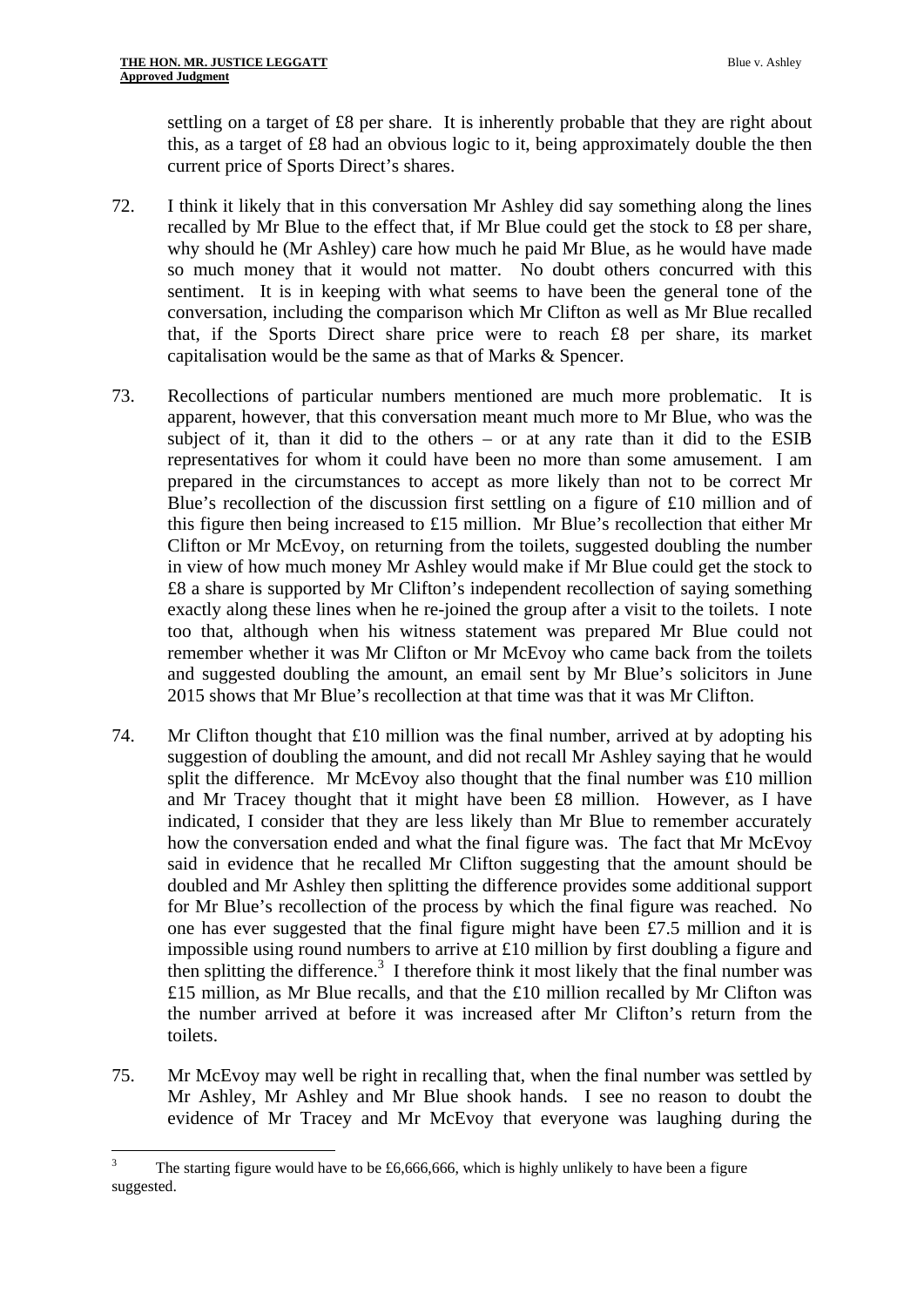settling on a target of £8 per share. It is inherently probable that they are right about this, as a target of £8 had an obvious logic to it, being approximately double the then current price of Sports Direct's shares.

- 72. I think it likely that in this conversation Mr Ashley did say something along the lines recalled by Mr Blue to the effect that, if Mr Blue could get the stock to £8 per share, why should he (Mr Ashley) care how much he paid Mr Blue, as he would have made so much money that it would not matter. No doubt others concurred with this sentiment. It is in keeping with what seems to have been the general tone of the conversation, including the comparison which Mr Clifton as well as Mr Blue recalled that, if the Sports Direct share price were to reach £8 per share, its market capitalisation would be the same as that of Marks & Spencer.
- 73. Recollections of particular numbers mentioned are much more problematic. It is apparent, however, that this conversation meant much more to Mr Blue, who was the subject of it, than it did to the others – or at any rate than it did to the ESIB representatives for whom it could have been no more than some amusement. I am prepared in the circumstances to accept as more likely than not to be correct Mr Blue's recollection of the discussion first settling on a figure of £10 million and of this figure then being increased to £15 million. Mr Blue's recollection that either Mr Clifton or Mr McEvoy, on returning from the toilets, suggested doubling the number in view of how much money Mr Ashley would make if Mr Blue could get the stock to £8 a share is supported by Mr Clifton's independent recollection of saying something exactly along these lines when he re-joined the group after a visit to the toilets. I note too that, although when his witness statement was prepared Mr Blue could not remember whether it was Mr Clifton or Mr McEvoy who came back from the toilets and suggested doubling the amount, an email sent by Mr Blue's solicitors in June 2015 shows that Mr Blue's recollection at that time was that it was Mr Clifton.
- 74. Mr Clifton thought that  $£10$  million was the final number, arrived at by adopting his suggestion of doubling the amount, and did not recall Mr Ashley saying that he would split the difference. Mr McEvoy also thought that the final number was  $\pounds 10$  million and Mr Tracey thought that it might have been £8 million. However, as I have indicated, I consider that they are less likely than Mr Blue to remember accurately how the conversation ended and what the final figure was. The fact that Mr McEvoy said in evidence that he recalled Mr Clifton suggesting that the amount should be doubled and Mr Ashley then splitting the difference provides some additional support for Mr Blue's recollection of the process by which the final figure was reached. No one has ever suggested that the final figure might have been £7.5 million and it is impossible using round numbers to arrive at £10 million by first doubling a figure and then splitting the difference.<sup>3</sup> I therefore think it most likely that the final number was £15 million, as Mr Blue recalls, and that the £10 million recalled by Mr Clifton was the number arrived at before it was increased after Mr Clifton's return from the toilets.
- 75. Mr McEvoy may well be right in recalling that, when the final number was settled by Mr Ashley, Mr Ashley and Mr Blue shook hands. I see no reason to doubt the evidence of Mr Tracey and Mr McEvoy that everyone was laughing during the

<sup>1</sup>  3 The starting figure would have to be £6,666,666, which is highly unlikely to have been a figure suggested.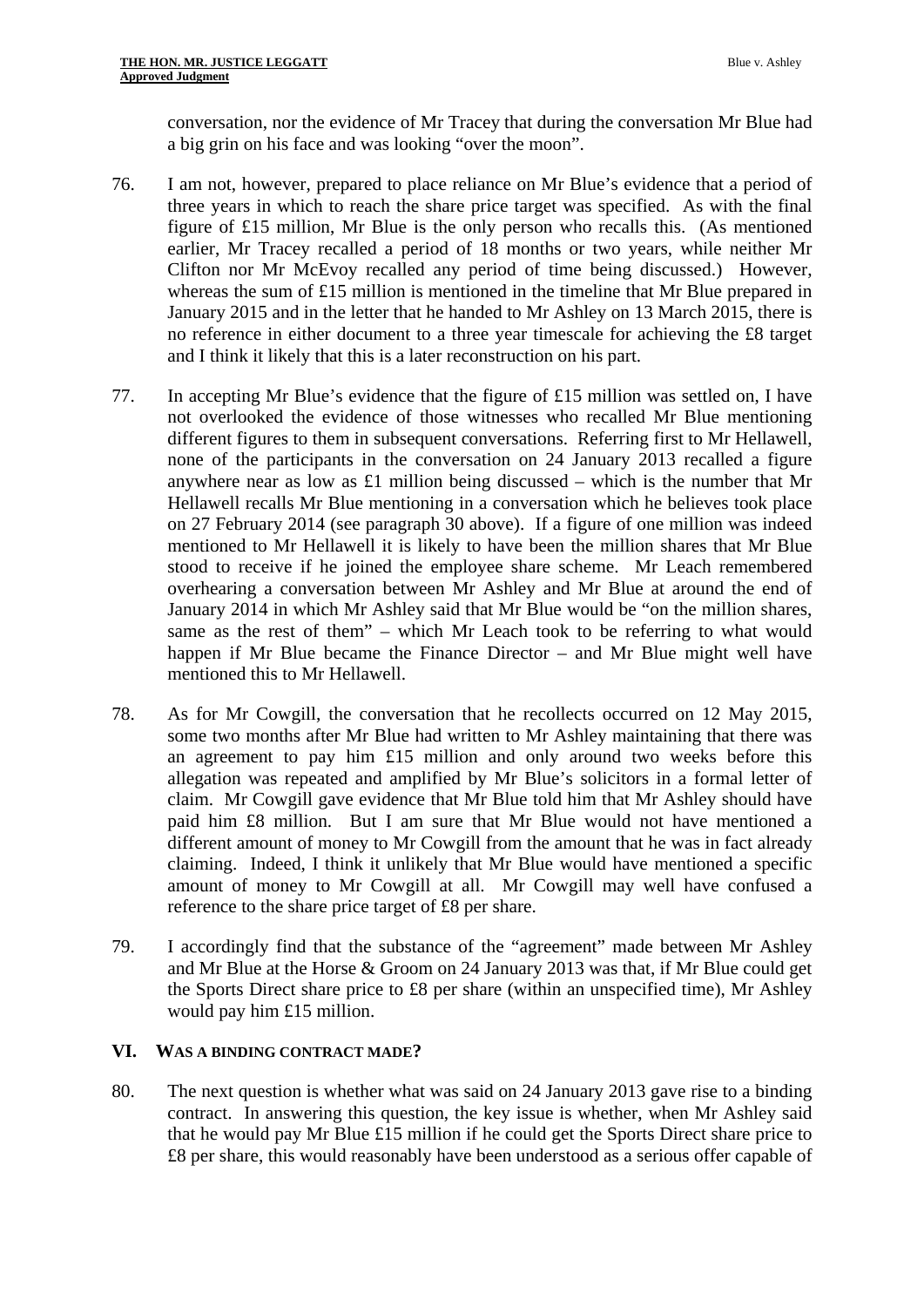conversation, nor the evidence of Mr Tracey that during the conversation Mr Blue had a big grin on his face and was looking "over the moon".

- 76. I am not, however, prepared to place reliance on Mr Blue's evidence that a period of three years in which to reach the share price target was specified. As with the final figure of £15 million, Mr Blue is the only person who recalls this. (As mentioned earlier, Mr Tracey recalled a period of 18 months or two years, while neither Mr Clifton nor Mr McEvoy recalled any period of time being discussed.) However, whereas the sum of £15 million is mentioned in the timeline that Mr Blue prepared in January 2015 and in the letter that he handed to Mr Ashley on 13 March 2015, there is no reference in either document to a three year timescale for achieving the £8 target and I think it likely that this is a later reconstruction on his part.
- 77. In accepting Mr Blue's evidence that the figure of £15 million was settled on, I have not overlooked the evidence of those witnesses who recalled Mr Blue mentioning different figures to them in subsequent conversations. Referring first to Mr Hellawell, none of the participants in the conversation on 24 January 2013 recalled a figure anywhere near as low as £1 million being discussed – which is the number that Mr Hellawell recalls Mr Blue mentioning in a conversation which he believes took place on 27 February 2014 (see paragraph 30 above). If a figure of one million was indeed mentioned to Mr Hellawell it is likely to have been the million shares that Mr Blue stood to receive if he joined the employee share scheme. Mr Leach remembered overhearing a conversation between Mr Ashley and Mr Blue at around the end of January 2014 in which Mr Ashley said that Mr Blue would be "on the million shares, same as the rest of them" – which Mr Leach took to be referring to what would happen if Mr Blue became the Finance Director – and Mr Blue might well have mentioned this to Mr Hellawell.
- 78. As for Mr Cowgill, the conversation that he recollects occurred on 12 May 2015, some two months after Mr Blue had written to Mr Ashley maintaining that there was an agreement to pay him £15 million and only around two weeks before this allegation was repeated and amplified by Mr Blue's solicitors in a formal letter of claim. Mr Cowgill gave evidence that Mr Blue told him that Mr Ashley should have paid him £8 million. But I am sure that Mr Blue would not have mentioned a different amount of money to Mr Cowgill from the amount that he was in fact already claiming. Indeed, I think it unlikely that Mr Blue would have mentioned a specific amount of money to Mr Cowgill at all. Mr Cowgill may well have confused a reference to the share price target of £8 per share.
- 79. I accordingly find that the substance of the "agreement" made between Mr Ashley and Mr Blue at the Horse & Groom on 24 January 2013 was that, if Mr Blue could get the Sports Direct share price to £8 per share (within an unspecified time), Mr Ashley would pay him £15 million.

# **VI. WAS A BINDING CONTRACT MADE?**

80. The next question is whether what was said on 24 January 2013 gave rise to a binding contract. In answering this question, the key issue is whether, when Mr Ashley said that he would pay Mr Blue £15 million if he could get the Sports Direct share price to £8 per share, this would reasonably have been understood as a serious offer capable of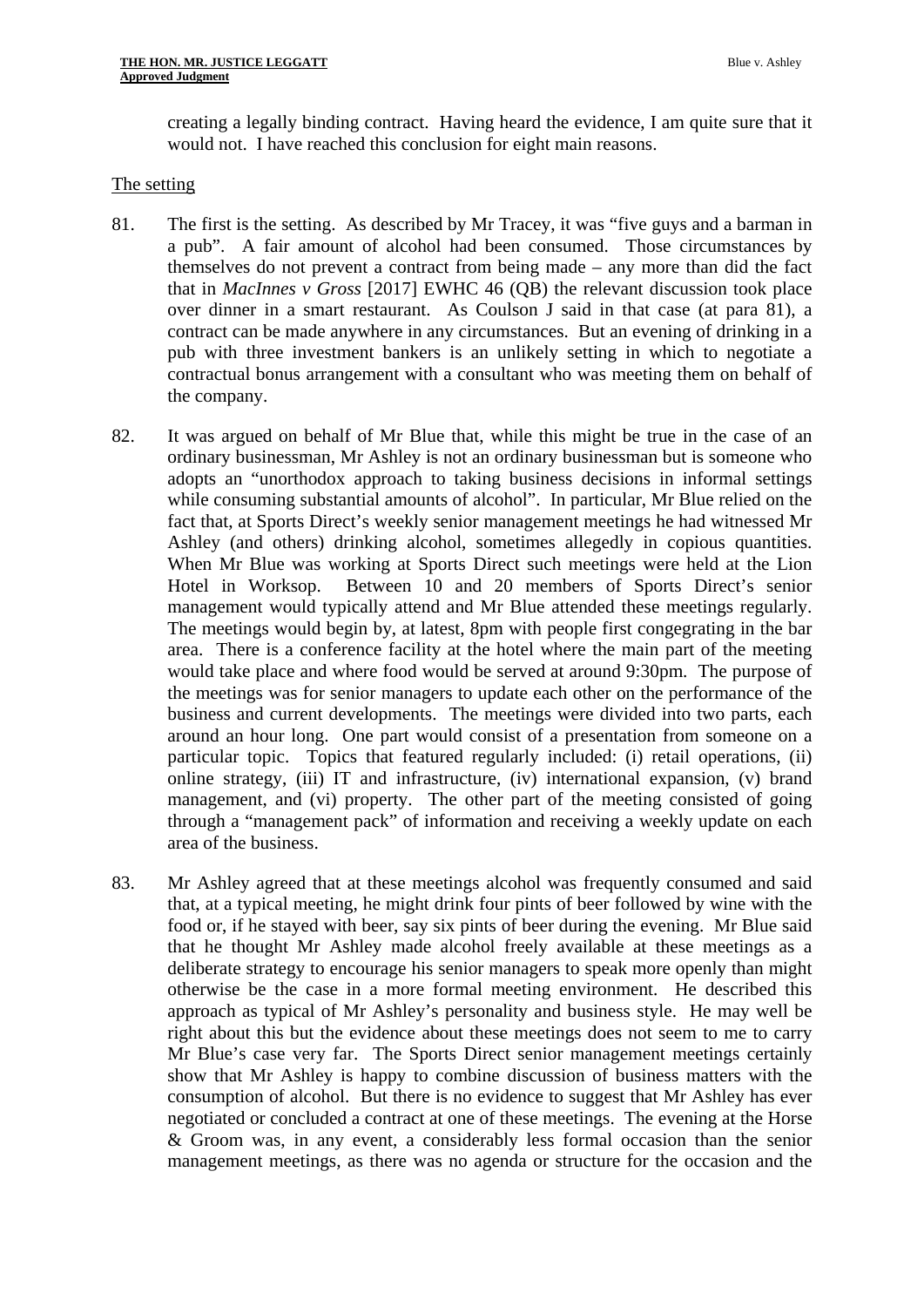creating a legally binding contract. Having heard the evidence, I am quite sure that it would not. I have reached this conclusion for eight main reasons.

#### The setting

- 81. The first is the setting. As described by Mr Tracey, it was "five guys and a barman in a pub". A fair amount of alcohol had been consumed. Those circumstances by themselves do not prevent a contract from being made – any more than did the fact that in *MacInnes v Gross* [2017] EWHC 46 (QB) the relevant discussion took place over dinner in a smart restaurant. As Coulson J said in that case (at para 81), a contract can be made anywhere in any circumstances. But an evening of drinking in a pub with three investment bankers is an unlikely setting in which to negotiate a contractual bonus arrangement with a consultant who was meeting them on behalf of the company.
- 82. It was argued on behalf of Mr Blue that, while this might be true in the case of an ordinary businessman, Mr Ashley is not an ordinary businessman but is someone who adopts an "unorthodox approach to taking business decisions in informal settings while consuming substantial amounts of alcohol". In particular, Mr Blue relied on the fact that, at Sports Direct's weekly senior management meetings he had witnessed Mr Ashley (and others) drinking alcohol, sometimes allegedly in copious quantities. When Mr Blue was working at Sports Direct such meetings were held at the Lion Hotel in Worksop. Between 10 and 20 members of Sports Direct's senior management would typically attend and Mr Blue attended these meetings regularly. The meetings would begin by, at latest, 8pm with people first congegrating in the bar area. There is a conference facility at the hotel where the main part of the meeting would take place and where food would be served at around 9:30pm. The purpose of the meetings was for senior managers to update each other on the performance of the business and current developments. The meetings were divided into two parts, each around an hour long. One part would consist of a presentation from someone on a particular topic. Topics that featured regularly included: (i) retail operations, (ii) online strategy, (iii) IT and infrastructure, (iv) international expansion, (v) brand management, and (vi) property. The other part of the meeting consisted of going through a "management pack" of information and receiving a weekly update on each area of the business.
- 83. Mr Ashley agreed that at these meetings alcohol was frequently consumed and said that, at a typical meeting, he might drink four pints of beer followed by wine with the food or, if he stayed with beer, say six pints of beer during the evening. Mr Blue said that he thought Mr Ashley made alcohol freely available at these meetings as a deliberate strategy to encourage his senior managers to speak more openly than might otherwise be the case in a more formal meeting environment. He described this approach as typical of Mr Ashley's personality and business style. He may well be right about this but the evidence about these meetings does not seem to me to carry Mr Blue's case very far. The Sports Direct senior management meetings certainly show that Mr Ashley is happy to combine discussion of business matters with the consumption of alcohol. But there is no evidence to suggest that Mr Ashley has ever negotiated or concluded a contract at one of these meetings. The evening at the Horse & Groom was, in any event, a considerably less formal occasion than the senior management meetings, as there was no agenda or structure for the occasion and the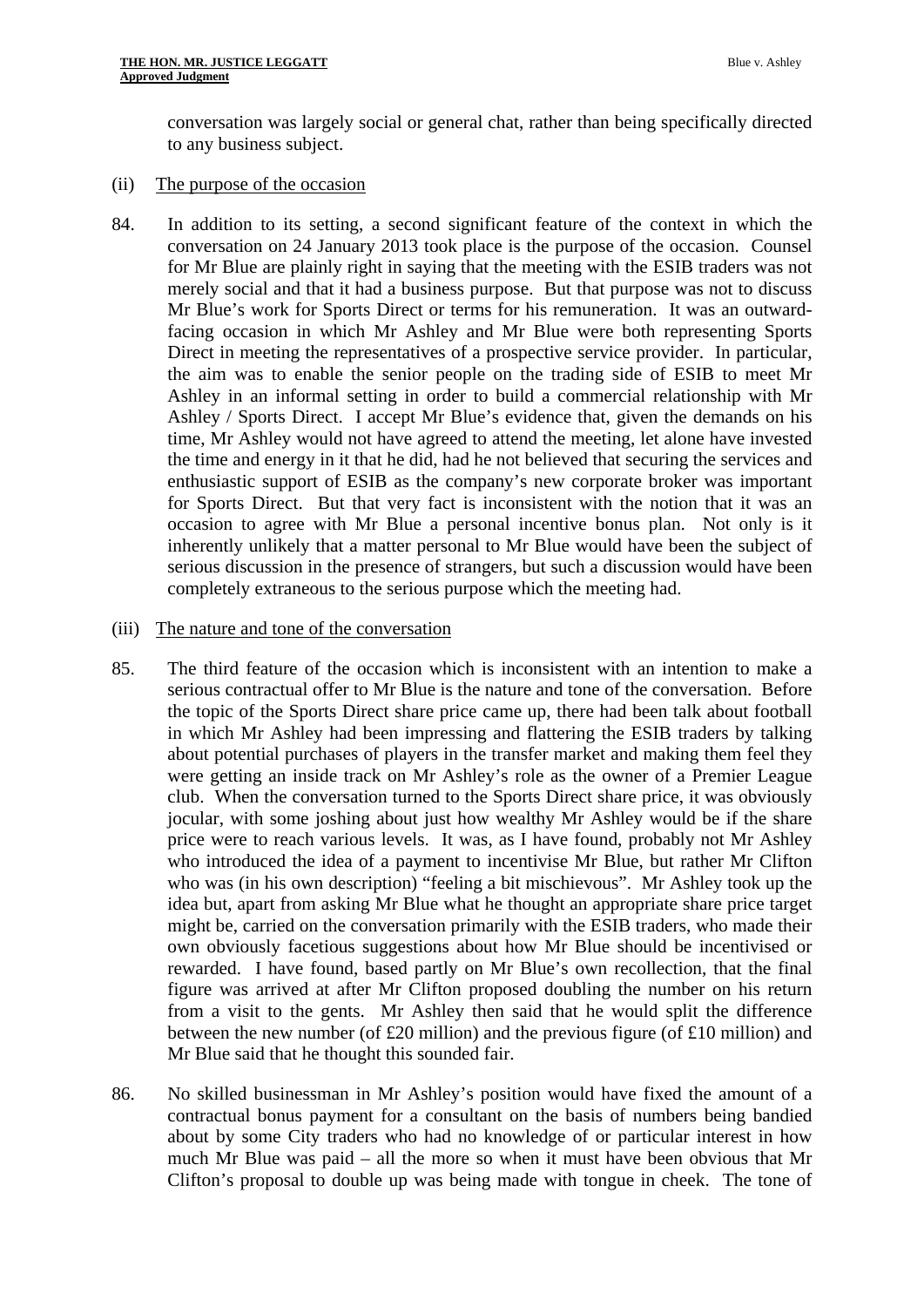conversation was largely social or general chat, rather than being specifically directed to any business subject.

- (ii) The purpose of the occasion
- 84. In addition to its setting, a second significant feature of the context in which the conversation on 24 January 2013 took place is the purpose of the occasion. Counsel for Mr Blue are plainly right in saying that the meeting with the ESIB traders was not merely social and that it had a business purpose. But that purpose was not to discuss Mr Blue's work for Sports Direct or terms for his remuneration. It was an outwardfacing occasion in which Mr Ashley and Mr Blue were both representing Sports Direct in meeting the representatives of a prospective service provider. In particular, the aim was to enable the senior people on the trading side of ESIB to meet Mr Ashley in an informal setting in order to build a commercial relationship with Mr Ashley / Sports Direct. I accept Mr Blue's evidence that, given the demands on his time, Mr Ashley would not have agreed to attend the meeting, let alone have invested the time and energy in it that he did, had he not believed that securing the services and enthusiastic support of ESIB as the company's new corporate broker was important for Sports Direct. But that very fact is inconsistent with the notion that it was an occasion to agree with Mr Blue a personal incentive bonus plan. Not only is it inherently unlikely that a matter personal to Mr Blue would have been the subject of serious discussion in the presence of strangers, but such a discussion would have been completely extraneous to the serious purpose which the meeting had.

#### (iii) The nature and tone of the conversation

- 85. The third feature of the occasion which is inconsistent with an intention to make a serious contractual offer to Mr Blue is the nature and tone of the conversation. Before the topic of the Sports Direct share price came up, there had been talk about football in which Mr Ashley had been impressing and flattering the ESIB traders by talking about potential purchases of players in the transfer market and making them feel they were getting an inside track on Mr Ashley's role as the owner of a Premier League club. When the conversation turned to the Sports Direct share price, it was obviously jocular, with some joshing about just how wealthy Mr Ashley would be if the share price were to reach various levels. It was, as I have found, probably not Mr Ashley who introduced the idea of a payment to incentivise Mr Blue, but rather Mr Clifton who was (in his own description) "feeling a bit mischievous". Mr Ashley took up the idea but, apart from asking Mr Blue what he thought an appropriate share price target might be, carried on the conversation primarily with the ESIB traders, who made their own obviously facetious suggestions about how Mr Blue should be incentivised or rewarded. I have found, based partly on Mr Blue's own recollection, that the final figure was arrived at after Mr Clifton proposed doubling the number on his return from a visit to the gents. Mr Ashley then said that he would split the difference between the new number (of £20 million) and the previous figure (of £10 million) and Mr Blue said that he thought this sounded fair.
- 86. No skilled businessman in Mr Ashley's position would have fixed the amount of a contractual bonus payment for a consultant on the basis of numbers being bandied about by some City traders who had no knowledge of or particular interest in how much Mr Blue was paid – all the more so when it must have been obvious that Mr Clifton's proposal to double up was being made with tongue in cheek. The tone of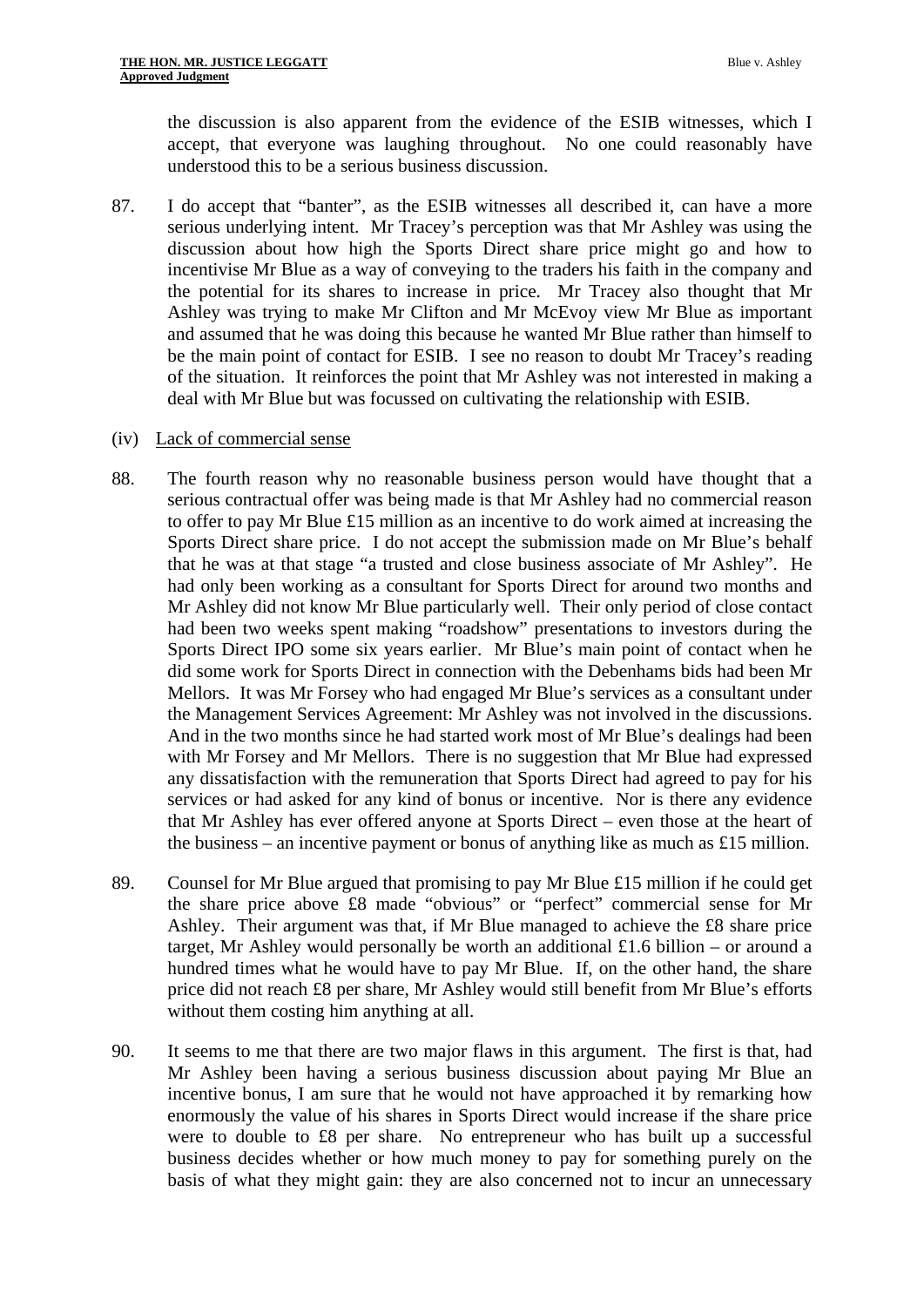the discussion is also apparent from the evidence of the ESIB witnesses, which I accept, that everyone was laughing throughout. No one could reasonably have understood this to be a serious business discussion.

87. I do accept that "banter", as the ESIB witnesses all described it, can have a more serious underlying intent. Mr Tracey's perception was that Mr Ashley was using the discussion about how high the Sports Direct share price might go and how to incentivise Mr Blue as a way of conveying to the traders his faith in the company and the potential for its shares to increase in price. Mr Tracey also thought that Mr Ashley was trying to make Mr Clifton and Mr McEvoy view Mr Blue as important and assumed that he was doing this because he wanted Mr Blue rather than himself to be the main point of contact for ESIB. I see no reason to doubt Mr Tracey's reading of the situation. It reinforces the point that Mr Ashley was not interested in making a deal with Mr Blue but was focussed on cultivating the relationship with ESIB.

#### (iv) Lack of commercial sense

- 88. The fourth reason why no reasonable business person would have thought that a serious contractual offer was being made is that Mr Ashley had no commercial reason to offer to pay Mr Blue £15 million as an incentive to do work aimed at increasing the Sports Direct share price. I do not accept the submission made on Mr Blue's behalf that he was at that stage "a trusted and close business associate of Mr Ashley". He had only been working as a consultant for Sports Direct for around two months and Mr Ashley did not know Mr Blue particularly well. Their only period of close contact had been two weeks spent making "roadshow" presentations to investors during the Sports Direct IPO some six years earlier. Mr Blue's main point of contact when he did some work for Sports Direct in connection with the Debenhams bids had been Mr Mellors. It was Mr Forsey who had engaged Mr Blue's services as a consultant under the Management Services Agreement: Mr Ashley was not involved in the discussions. And in the two months since he had started work most of Mr Blue's dealings had been with Mr Forsey and Mr Mellors. There is no suggestion that Mr Blue had expressed any dissatisfaction with the remuneration that Sports Direct had agreed to pay for his services or had asked for any kind of bonus or incentive. Nor is there any evidence that Mr Ashley has ever offered anyone at Sports Direct – even those at the heart of the business – an incentive payment or bonus of anything like as much as £15 million.
- 89. Counsel for Mr Blue argued that promising to pay Mr Blue  $\pounds$ 15 million if he could get the share price above £8 made "obvious" or "perfect" commercial sense for Mr Ashley. Their argument was that, if Mr Blue managed to achieve the £8 share price target, Mr Ashley would personally be worth an additional £1.6 billion – or around a hundred times what he would have to pay Mr Blue. If, on the other hand, the share price did not reach £8 per share, Mr Ashley would still benefit from Mr Blue's efforts without them costing him anything at all.
- 90. It seems to me that there are two major flaws in this argument. The first is that, had Mr Ashley been having a serious business discussion about paying Mr Blue an incentive bonus, I am sure that he would not have approached it by remarking how enormously the value of his shares in Sports Direct would increase if the share price were to double to £8 per share. No entrepreneur who has built up a successful business decides whether or how much money to pay for something purely on the basis of what they might gain: they are also concerned not to incur an unnecessary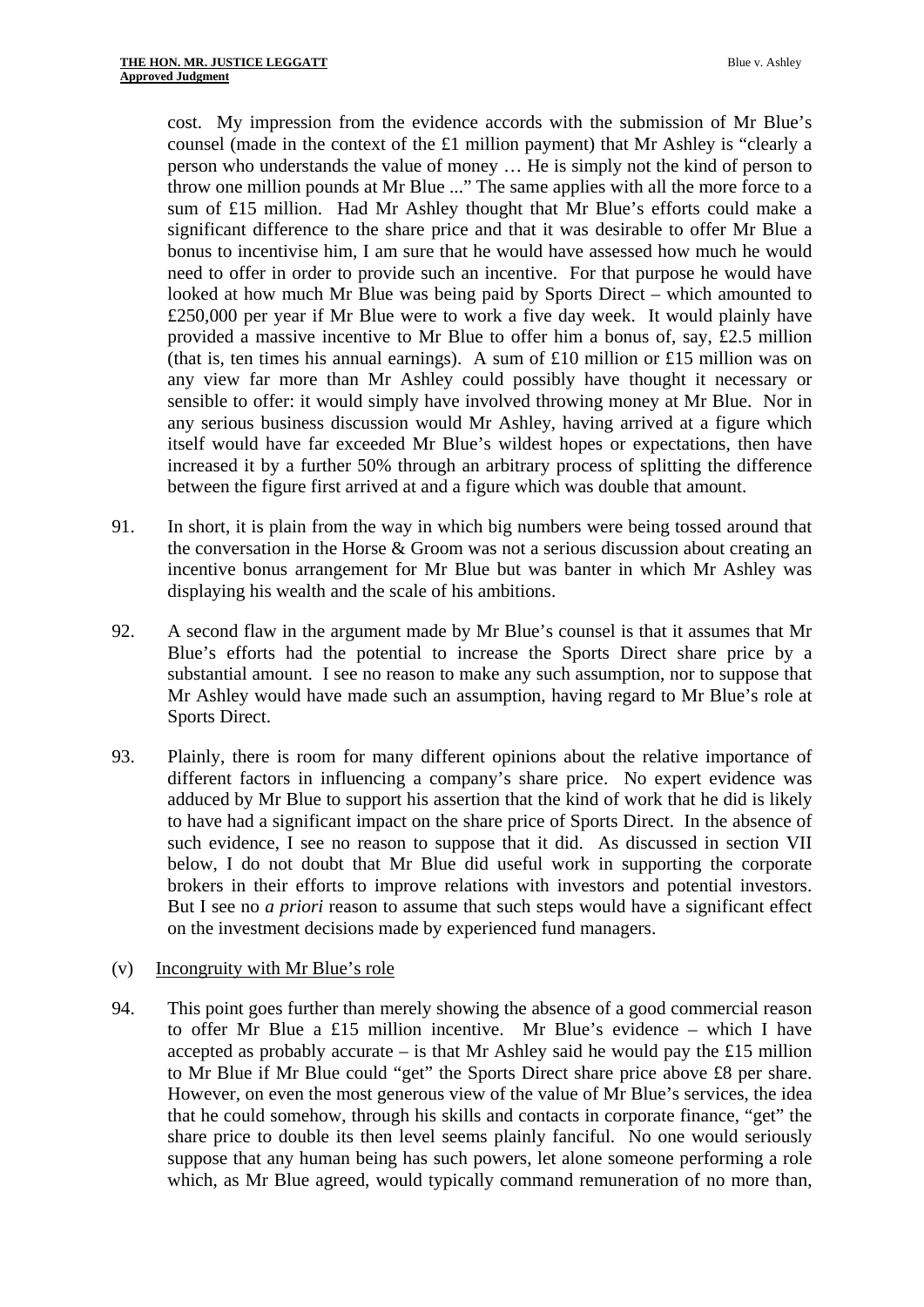cost. My impression from the evidence accords with the submission of Mr Blue's counsel (made in the context of the £1 million payment) that Mr Ashley is "clearly a person who understands the value of money … He is simply not the kind of person to throw one million pounds at Mr Blue ..." The same applies with all the more force to a sum of £15 million. Had Mr Ashley thought that Mr Blue's efforts could make a significant difference to the share price and that it was desirable to offer Mr Blue a bonus to incentivise him, I am sure that he would have assessed how much he would need to offer in order to provide such an incentive. For that purpose he would have looked at how much Mr Blue was being paid by Sports Direct – which amounted to £250,000 per year if Mr Blue were to work a five day week. It would plainly have provided a massive incentive to Mr Blue to offer him a bonus of, say,  $\pounds 2.5$  million (that is, ten times his annual earnings). A sum of  $£10$  million or  $£15$  million was on any view far more than Mr Ashley could possibly have thought it necessary or sensible to offer: it would simply have involved throwing money at Mr Blue. Nor in any serious business discussion would Mr Ashley, having arrived at a figure which itself would have far exceeded Mr Blue's wildest hopes or expectations, then have increased it by a further 50% through an arbitrary process of splitting the difference between the figure first arrived at and a figure which was double that amount.

- 91. In short, it is plain from the way in which big numbers were being tossed around that the conversation in the Horse & Groom was not a serious discussion about creating an incentive bonus arrangement for Mr Blue but was banter in which Mr Ashley was displaying his wealth and the scale of his ambitions.
- 92. A second flaw in the argument made by Mr Blue's counsel is that it assumes that Mr Blue's efforts had the potential to increase the Sports Direct share price by a substantial amount. I see no reason to make any such assumption, nor to suppose that Mr Ashley would have made such an assumption, having regard to Mr Blue's role at Sports Direct.
- brokers in their efforts to improve relations with investors and potential investors. 93. Plainly, there is room for many different opinions about the relative importance of different factors in influencing a company's share price. No expert evidence was adduced by Mr Blue to support his assertion that the kind of work that he did is likely to have had a significant impact on the share price of Sports Direct. In the absence of such evidence, I see no reason to suppose that it did. As discussed in section VII below, I do not doubt that Mr Blue did useful work in supporting the corporate But I see no *a priori* reason to assume that such steps would have a significant effect on the investment decisions made by experienced fund managers.
- Incongruity with Mr Blue's role
- (v) Incongruity with Mr Blue's role<br>94. This point goes further than merely showing the absence of a good commercial reason to offer Mr Blue a £15 million incentive. Mr Blue's evidence – which I have accepted as probably accurate – is that Mr Ashley said he would pay the £15 million to Mr Blue if Mr Blue could "get" the Sports Direct share price above £8 per share. However, on even the most generous view of the value of Mr Blue's services, the idea that he could somehow, through his skills and contacts in corporate finance, "get" the share price to double its then level seems plainly fanciful. No one would seriously suppose that any human being has such powers, let alone someone performing a role which, as Mr Blue agreed, would typically command remuneration of no more than,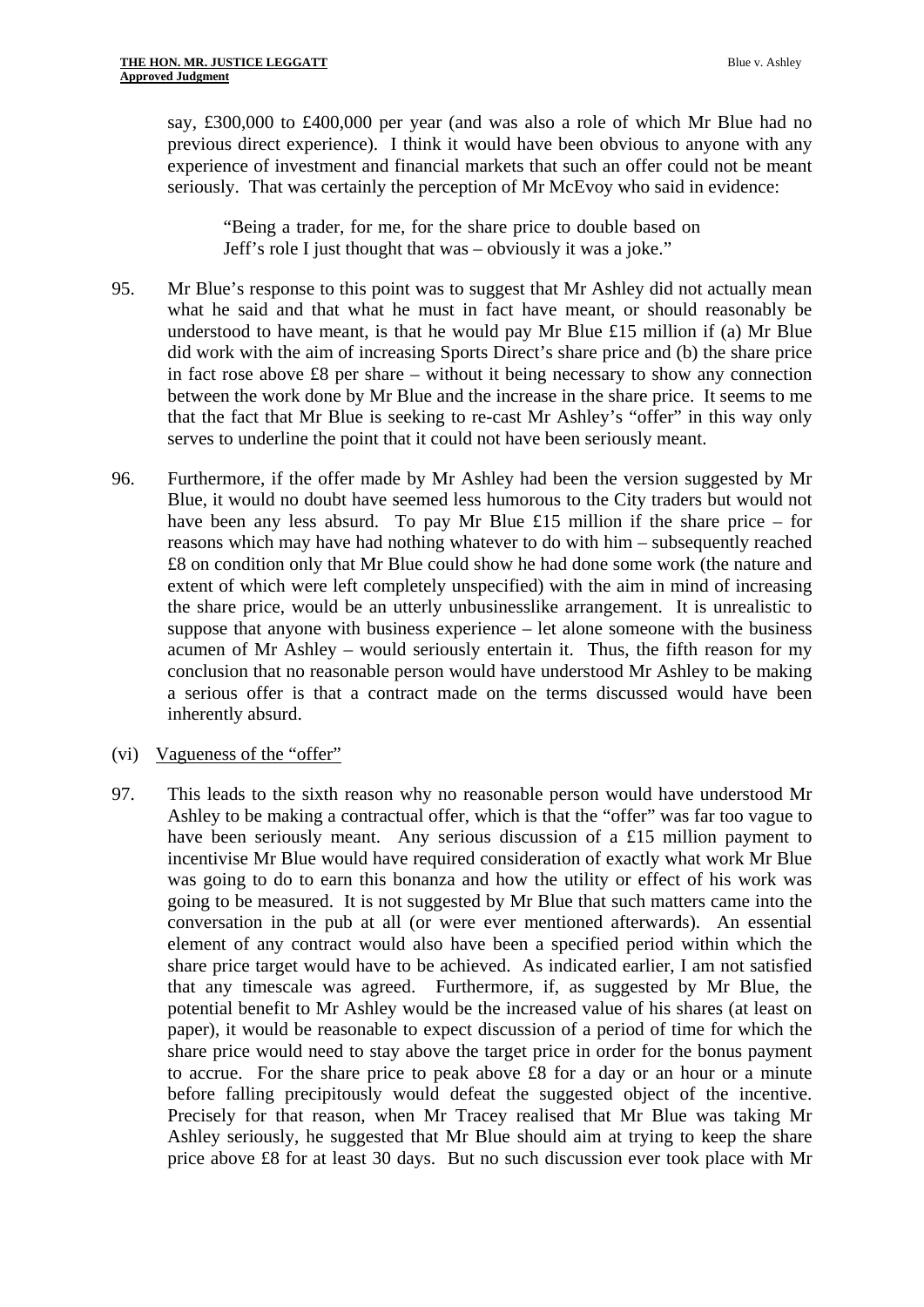say, £300,000 to £400,000 per year (and was also a role of which Mr Blue had no previous direct experience). I think it would have been obvious to anyone with any experience of investment and financial markets that such an offer could not be meant seriously. That was certainly the perception of Mr McEvoy who said in evidence:

"Being a trader, for me, for the share price to double based on Jeff's role I just thought that was – obviously it was a joke."

- 95. Mr Blue's response to this point was to suggest that Mr Ashley did not actually mean what he said and that what he must in fact have meant, or should reasonably be understood to have meant, is that he would pay Mr Blue £15 million if (a) Mr Blue did work with the aim of increasing Sports Direct's share price and (b) the share price in fact rose above £8 per share – without it being necessary to show any connection between the work done by Mr Blue and the increase in the share price. It seems to me that the fact that Mr Blue is seeking to re-cast Mr Ashley's "offer" in this way only serves to underline the point that it could not have been seriously meant.
- 96. Furthermore, if the offer made by Mr Ashley had been the version suggested by Mr Blue, it would no doubt have seemed less humorous to the City traders but would not have been any less absurd. To pay Mr Blue £15 million if the share price – for reasons which may have had nothing whatever to do with him – subsequently reached £8 on condition only that Mr Blue could show he had done some work (the nature and extent of which were left completely unspecified) with the aim in mind of increasing the share price, would be an utterly unbusinesslike arrangement. It is unrealistic to suppose that anyone with business experience – let alone someone with the business acumen of Mr Ashley – would seriously entertain it. Thus, the fifth reason for my conclusion that no reasonable person would have understood Mr Ashley to be making a serious offer is that a contract made on the terms discussed would have been inherently absurd.
- (vi) Vagueness of the "offer"
- 97. This leads to the sixth reason why no reasonable person would have understood Mr Ashley to be making a contractual offer, which is that the "offer" was far too vague to have been seriously meant. Any serious discussion of a £15 million payment to incentivise Mr Blue would have required consideration of exactly what work Mr Blue was going to do to earn this bonanza and how the utility or effect of his work was going to be measured. It is not suggested by Mr Blue that such matters came into the conversation in the pub at all (or were ever mentioned afterwards). An essential element of any contract would also have been a specified period within which the share price target would have to be achieved. As indicated earlier, I am not satisfied that any timescale was agreed. Furthermore, if, as suggested by Mr Blue, the potential benefit to Mr Ashley would be the increased value of his shares (at least on paper), it would be reasonable to expect discussion of a period of time for which the share price would need to stay above the target price in order for the bonus payment to accrue. For the share price to peak above £8 for a day or an hour or a minute before falling precipitously would defeat the suggested object of the incentive. Precisely for that reason, when Mr Tracey realised that Mr Blue was taking Mr Ashley seriously, he suggested that Mr Blue should aim at trying to keep the share price above £8 for at least 30 days. But no such discussion ever took place with Mr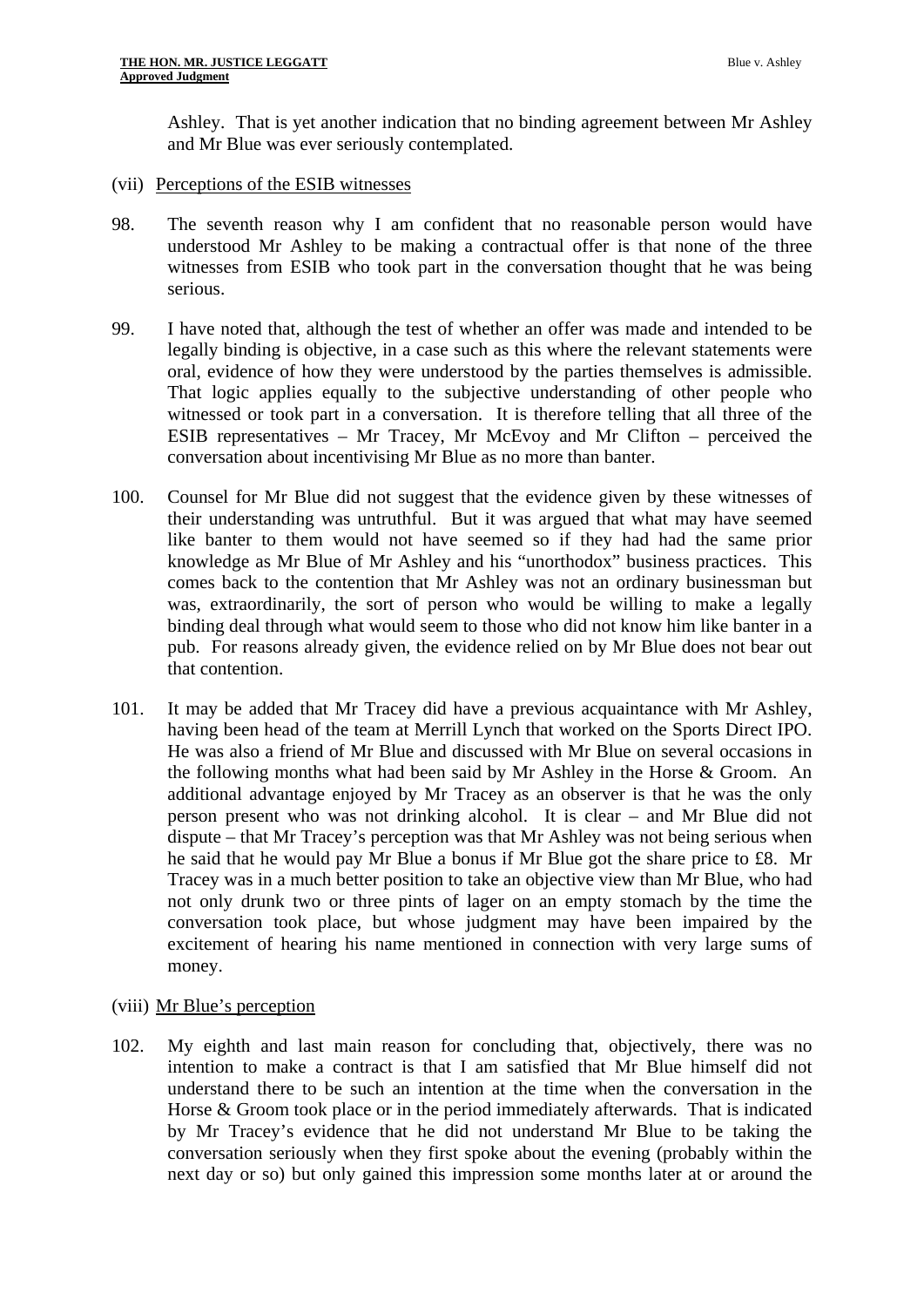Ashley. That is yet another indication that no binding agreement between Mr Ashley and Mr Blue was ever seriously contemplated.

- (vii) Perceptions of the ESIB witnesses
- 98. The seventh reason why I am confident that no reasonable person would have understood Mr Ashley to be making a contractual offer is that none of the three witnesses from ESIB who took part in the conversation thought that he was being serious.
- 99. I have noted that, although the test of whether an offer was made and intended to be legally binding is objective, in a case such as this where the relevant statements were oral, evidence of how they were understood by the parties themselves is admissible. That logic applies equally to the subjective understanding of other people who witnessed or took part in a conversation. It is therefore telling that all three of the ESIB representatives – Mr Tracey, Mr McEvoy and Mr Clifton – perceived the conversation about incentivising Mr Blue as no more than banter.
- 100. Counsel for Mr Blue did not suggest that the evidence given by these witnesses of their understanding was untruthful. But it was argued that what may have seemed like banter to them would not have seemed so if they had had the same prior knowledge as Mr Blue of Mr Ashley and his "unorthodox" business practices. This comes back to the contention that Mr Ashley was not an ordinary businessman but was, extraordinarily, the sort of person who would be willing to make a legally binding deal through what would seem to those who did not know him like banter in a pub. For reasons already given, the evidence relied on by Mr Blue does not bear out that contention.
- 101. It may be added that Mr Tracey did have a previous acquaintance with Mr Ashley, having been head of the team at Merrill Lynch that worked on the Sports Direct IPO. He was also a friend of Mr Blue and discussed with Mr Blue on several occasions in the following months what had been said by Mr Ashley in the Horse & Groom. An additional advantage enjoyed by Mr Tracey as an observer is that he was the only person present who was not drinking alcohol. It is clear – and Mr Blue did not dispute – that Mr Tracey's perception was that Mr Ashley was not being serious when he said that he would pay Mr Blue a bonus if Mr Blue got the share price to £8. Mr Tracey was in a much better position to take an objective view than Mr Blue, who had not only drunk two or three pints of lager on an empty stomach by the time the conversation took place, but whose judgment may have been impaired by the excitement of hearing his name mentioned in connection with very large sums of money.
- (viii) Mr Blue's perception
- 102. My eighth and last main reason for concluding that, objectively, there was no intention to make a contract is that I am satisfied that Mr Blue himself did not understand there to be such an intention at the time when the conversation in the Horse & Groom took place or in the period immediately afterwards. That is indicated by Mr Tracey's evidence that he did not understand Mr Blue to be taking the conversation seriously when they first spoke about the evening (probably within the next day or so) but only gained this impression some months later at or around the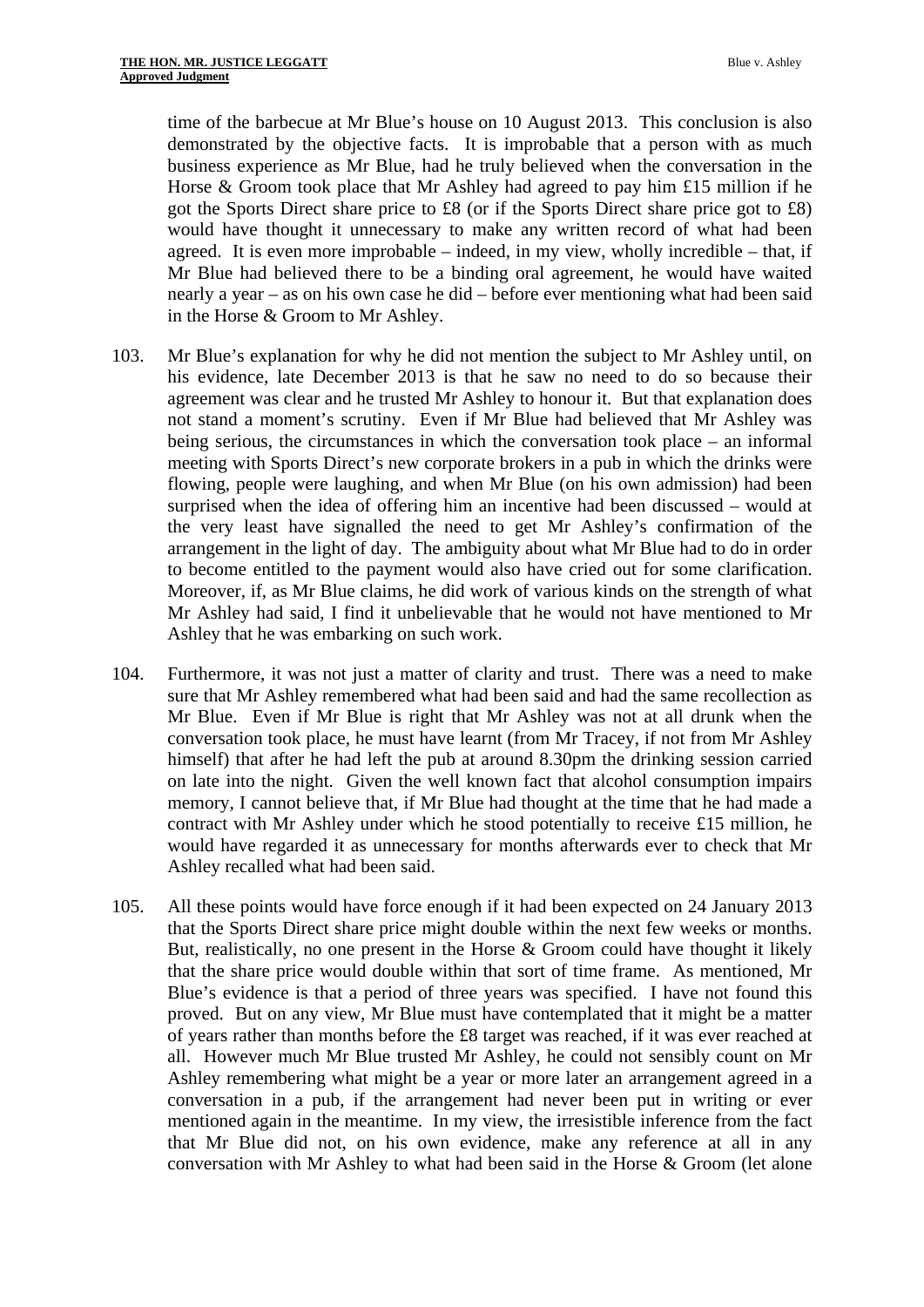time of the barbecue at Mr Blue's house on 10 August 2013. This conclusion is also demonstrated by the objective facts. It is improbable that a person with as much business experience as Mr Blue, had he truly believed when the conversation in the Horse & Groom took place that Mr Ashley had agreed to pay him £15 million if he got the Sports Direct share price to £8 (or if the Sports Direct share price got to £8) would have thought it unnecessary to make any written record of what had been agreed. It is even more improbable – indeed, in my view, wholly incredible – that, if Mr Blue had believed there to be a binding oral agreement, he would have waited nearly a year – as on his own case he did – before ever mentioning what had been said in the Horse & Groom to Mr Ashley.

- 103. Mr Blue's explanation for why he did not mention the subject to Mr Ashley until, on his evidence, late December 2013 is that he saw no need to do so because their agreement was clear and he trusted Mr Ashley to honour it. But that explanation does not stand a moment's scrutiny. Even if Mr Blue had believed that Mr Ashley was being serious, the circumstances in which the conversation took place – an informal meeting with Sports Direct's new corporate brokers in a pub in which the drinks were flowing, people were laughing, and when Mr Blue (on his own admission) had been surprised when the idea of offering him an incentive had been discussed – would at the very least have signalled the need to get Mr Ashley's confirmation of the arrangement in the light of day. The ambiguity about what Mr Blue had to do in order to become entitled to the payment would also have cried out for some clarification. Moreover, if, as Mr Blue claims, he did work of various kinds on the strength of what Mr Ashley had said, I find it unbelievable that he would not have mentioned to Mr Ashley that he was embarking on such work.
- 104. Furthermore, it was not just a matter of clarity and trust. There was a need to make sure that Mr Ashley remembered what had been said and had the same recollection as Mr Blue. Even if Mr Blue is right that Mr Ashley was not at all drunk when the conversation took place, he must have learnt (from Mr Tracey, if not from Mr Ashley himself) that after he had left the pub at around 8.30pm the drinking session carried on late into the night. Given the well known fact that alcohol consumption impairs memory, I cannot believe that, if Mr Blue had thought at the time that he had made a contract with Mr Ashley under which he stood potentially to receive £15 million, he would have regarded it as unnecessary for months afterwards ever to check that Mr Ashley recalled what had been said.
- 105. All these points would have force enough if it had been expected on 24 January 2013 that the Sports Direct share price might double within the next few weeks or months. But, realistically, no one present in the Horse & Groom could have thought it likely that the share price would double within that sort of time frame. As mentioned, Mr Blue's evidence is that a period of three years was specified. I have not found this proved. But on any view, Mr Blue must have contemplated that it might be a matter of years rather than months before the £8 target was reached, if it was ever reached at all. However much Mr Blue trusted Mr Ashley, he could not sensibly count on Mr Ashley remembering what might be a year or more later an arrangement agreed in a conversation in a pub, if the arrangement had never been put in writing or ever mentioned again in the meantime. In my view, the irresistible inference from the fact that Mr Blue did not, on his own evidence, make any reference at all in any conversation with Mr Ashley to what had been said in the Horse & Groom (let alone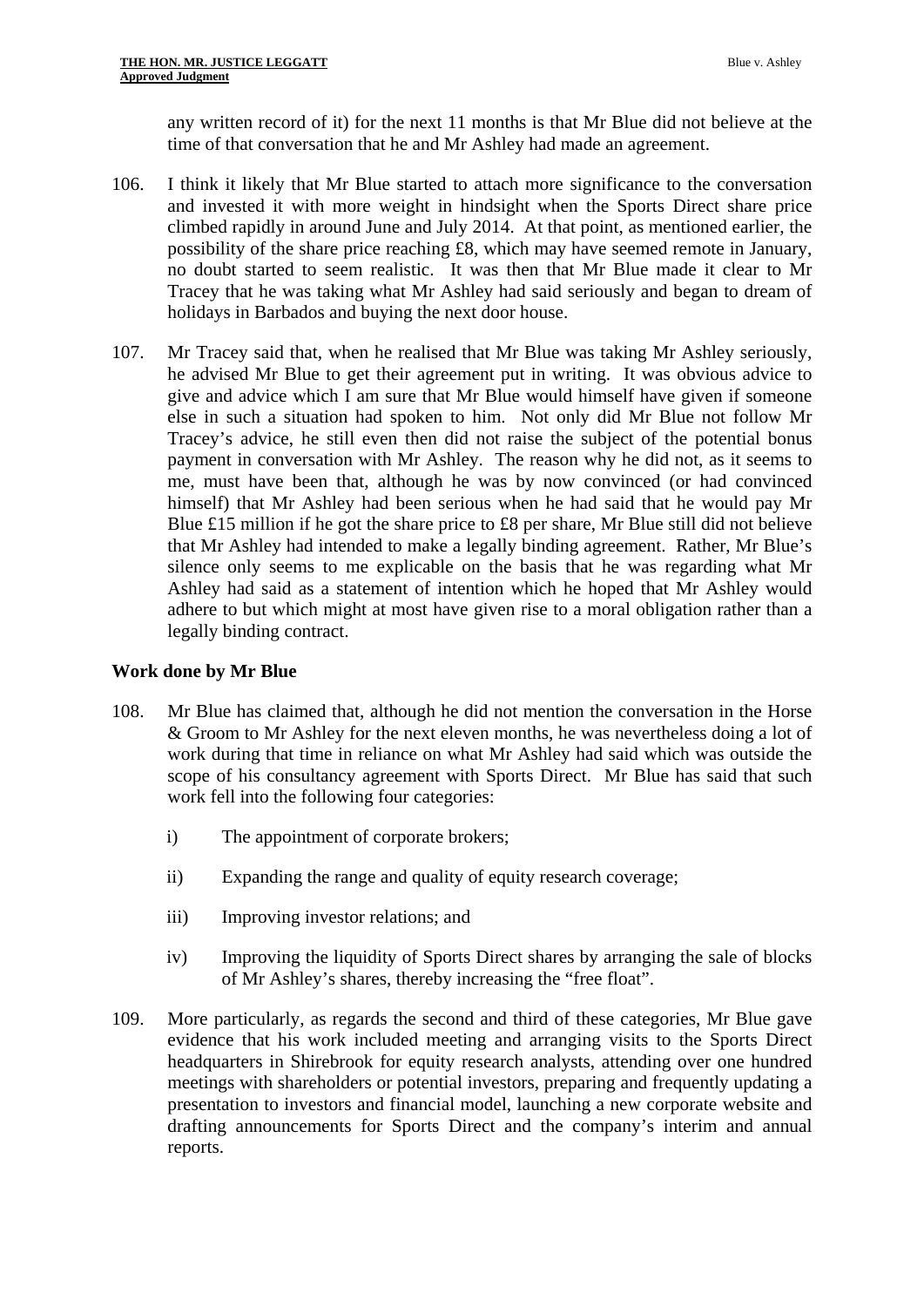any written record of it) for the next 11 months is that Mr Blue did not believe at the time of that conversation that he and Mr Ashley had made an agreement.

- 106. I think it likely that Mr Blue started to attach more significance to the conversation and invested it with more weight in hindsight when the Sports Direct share price climbed rapidly in around June and July 2014. At that point, as mentioned earlier, the possibility of the share price reaching £8, which may have seemed remote in January, no doubt started to seem realistic. It was then that Mr Blue made it clear to Mr Tracey that he was taking what Mr Ashley had said seriously and began to dream of holidays in Barbados and buying the next door house.
- 107. Mr Tracey said that, when he realised that Mr Blue was taking Mr Ashley seriously, he advised Mr Blue to get their agreement put in writing. It was obvious advice to give and advice which I am sure that Mr Blue would himself have given if someone else in such a situation had spoken to him. Not only did Mr Blue not follow Mr Tracey's advice, he still even then did not raise the subject of the potential bonus payment in conversation with Mr Ashley. The reason why he did not, as it seems to me, must have been that, although he was by now convinced (or had convinced himself) that Mr Ashley had been serious when he had said that he would pay Mr Blue £15 million if he got the share price to £8 per share, Mr Blue still did not believe that Mr Ashley had intended to make a legally binding agreement. Rather, Mr Blue's silence only seems to me explicable on the basis that he was regarding what Mr Ashley had said as a statement of intention which he hoped that Mr Ashley would adhere to but which might at most have given rise to a moral obligation rather than a legally binding contract.

# **Work done by Mr Blue**

- 108. Mr Blue has claimed that, although he did not mention the conversation in the Horse & Groom to Mr Ashley for the next eleven months, he was nevertheless doing a lot of work during that time in reliance on what Mr Ashley had said which was outside the scope of his consultancy agreement with Sports Direct. Mr Blue has said that such work fell into the following four categories:
	- i) The appointment of corporate brokers;
	- ii) Expanding the range and quality of equity research coverage;
	- iii) Improving investor relations; and
	- iv) Improving the liquidity of Sports Direct shares by arranging the sale of blocks of Mr Ashley's shares, thereby increasing the "free float".
- 109. More particularly, as regards the second and third of these categories, Mr Blue gave evidence that his work included meeting and arranging visits to the Sports Direct headquarters in Shirebrook for equity research analysts, attending over one hundred meetings with shareholders or potential investors, preparing and frequently updating a presentation to investors and financial model, launching a new corporate website and drafting announcements for Sports Direct and the company's interim and annual reports.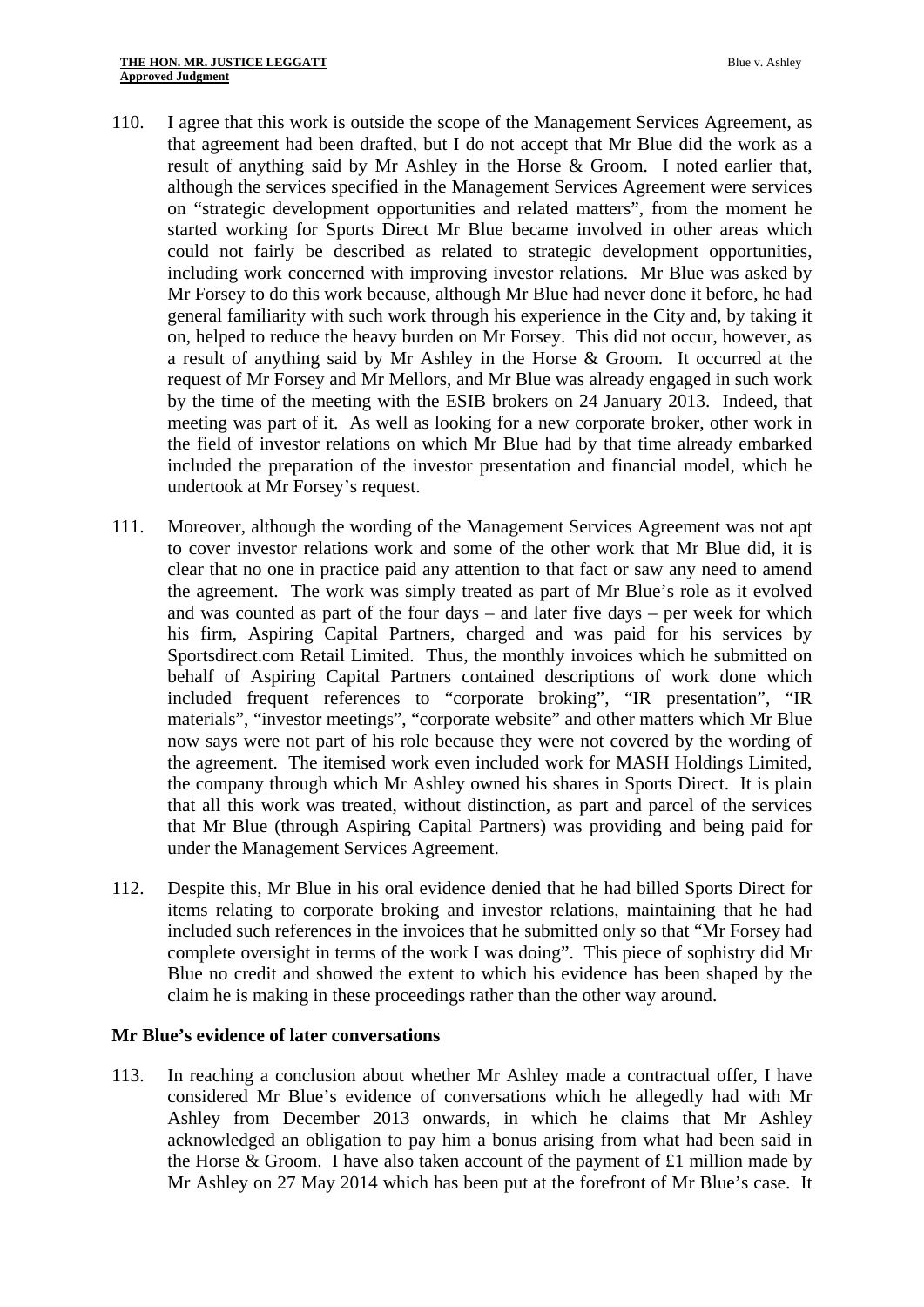- 110. I agree that this work is outside the scope of the Management Services Agreement, as that agreement had been drafted, but I do not accept that Mr Blue did the work as a result of anything said by Mr Ashley in the Horse & Groom. I noted earlier that, although the services specified in the Management Services Agreement were services on "strategic development opportunities and related matters", from the moment he started working for Sports Direct Mr Blue became involved in other areas which could not fairly be described as related to strategic development opportunities, including work concerned with improving investor relations. Mr Blue was asked by Mr Forsey to do this work because, although Mr Blue had never done it before, he had general familiarity with such work through his experience in the City and, by taking it on, helped to reduce the heavy burden on Mr Forsey. This did not occur, however, as a result of anything said by Mr Ashley in the Horse & Groom. It occurred at the request of Mr Forsey and Mr Mellors, and Mr Blue was already engaged in such work by the time of the meeting with the ESIB brokers on 24 January 2013. Indeed, that meeting was part of it. As well as looking for a new corporate broker, other work in the field of investor relations on which Mr Blue had by that time already embarked included the preparation of the investor presentation and financial model, which he undertook at Mr Forsey's request.
- 111. Moreover, although the wording of the Management Services Agreement was not apt to cover investor relations work and some of the other work that Mr Blue did, it is clear that no one in practice paid any attention to that fact or saw any need to amend the agreement. The work was simply treated as part of Mr Blue's role as it evolved and was counted as part of the four days – and later five days – per week for which his firm, Aspiring Capital Partners, charged and was paid for his services by Sportsdirect.com Retail Limited. Thus, the monthly invoices which he submitted on behalf of Aspiring Capital Partners contained descriptions of work done which included frequent references to "corporate broking", "IR presentation", "IR materials", "investor meetings", "corporate website" and other matters which Mr Blue now says were not part of his role because they were not covered by the wording of the agreement. The itemised work even included work for MASH Holdings Limited, the company through which Mr Ashley owned his shares in Sports Direct. It is plain that all this work was treated, without distinction, as part and parcel of the services that Mr Blue (through Aspiring Capital Partners) was providing and being paid for under the Management Services Agreement.
- 112. Despite this, Mr Blue in his oral evidence denied that he had billed Sports Direct for items relating to corporate broking and investor relations, maintaining that he had included such references in the invoices that he submitted only so that "Mr Forsey had complete oversight in terms of the work I was doing". This piece of sophistry did Mr Blue no credit and showed the extent to which his evidence has been shaped by the claim he is making in these proceedings rather than the other way around.

#### **Mr Blue's evidence of later conversations**

113. In reaching a conclusion about whether Mr Ashley made a contractual offer, I have considered Mr Blue's evidence of conversations which he allegedly had with Mr Ashley from December 2013 onwards, in which he claims that Mr Ashley acknowledged an obligation to pay him a bonus arising from what had been said in the Horse  $&$  Groom. I have also taken account of the payment of £1 million made by Mr Ashley on 27 May 2014 which has been put at the forefront of Mr Blue's case. It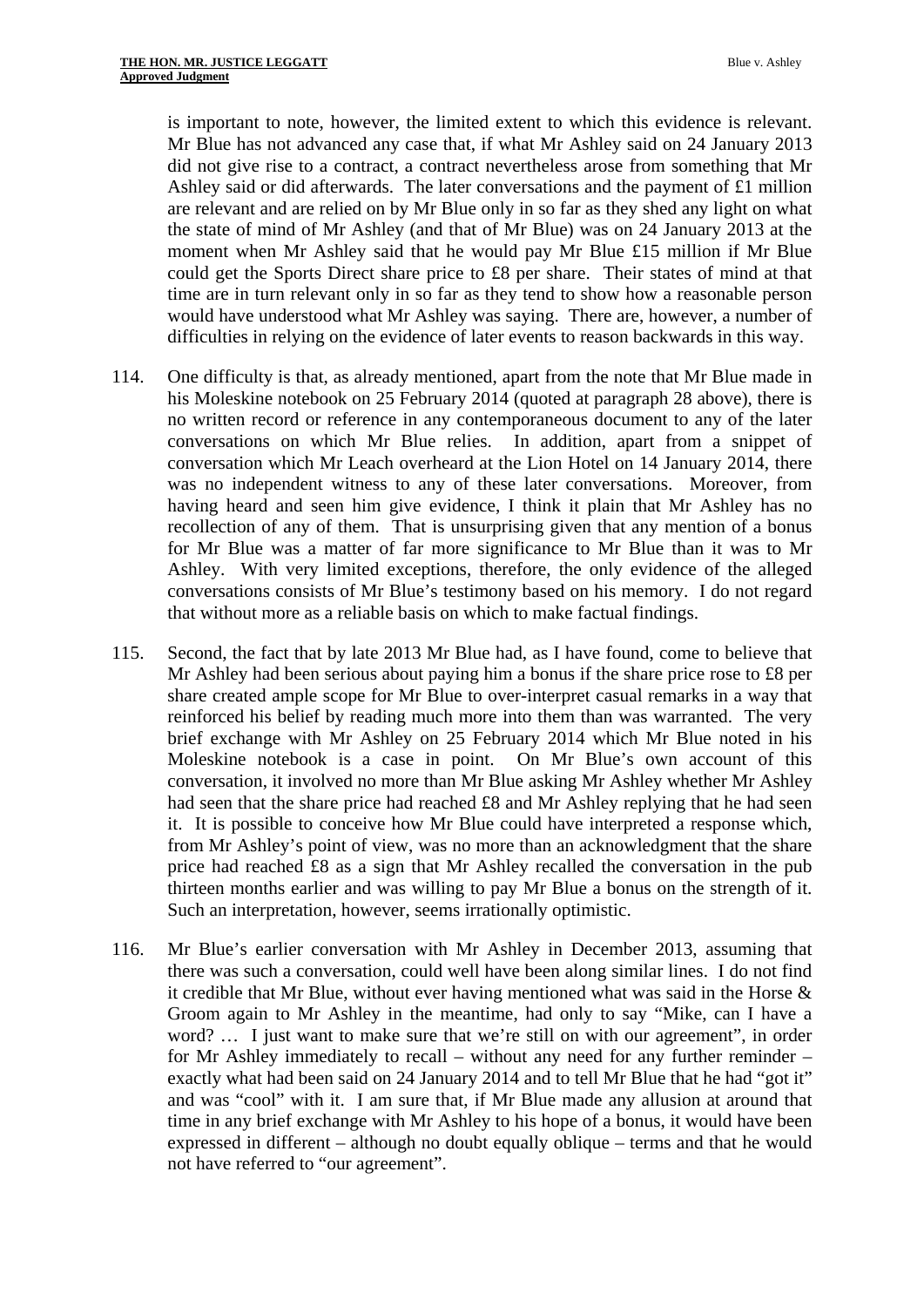is important to note, however, the limited extent to which this evidence is relevant. Mr Blue has not advanced any case that, if what Mr Ashley said on 24 January 2013 did not give rise to a contract, a contract nevertheless arose from something that Mr Ashley said or did afterwards. The later conversations and the payment of £1 million are relevant and are relied on by Mr Blue only in so far as they shed any light on what the state of mind of Mr Ashley (and that of Mr Blue) was on 24 January 2013 at the moment when Mr Ashley said that he would pay Mr Blue £15 million if Mr Blue could get the Sports Direct share price to £8 per share. Their states of mind at that time are in turn relevant only in so far as they tend to show how a reasonable person would have understood what Mr Ashley was saying. There are, however, a number of difficulties in relying on the evidence of later events to reason backwards in this way.

- 114. One difficulty is that, as already mentioned, apart from the note that Mr Blue made in his Moleskine notebook on 25 February 2014 (quoted at paragraph 28 above), there is no written record or reference in any contemporaneous document to any of the later conversations on which Mr Blue relies. In addition, apart from a snippet of conversation which Mr Leach overheard at the Lion Hotel on 14 January 2014, there was no independent witness to any of these later conversations. Moreover, from having heard and seen him give evidence, I think it plain that Mr Ashley has no recollection of any of them. That is unsurprising given that any mention of a bonus for Mr Blue was a matter of far more significance to Mr Blue than it was to Mr Ashley. With very limited exceptions, therefore, the only evidence of the alleged conversations consists of Mr Blue's testimony based on his memory. I do not regard that without more as a reliable basis on which to make factual findings.
- thirteen months earlier and was willing to pay Mr Blue a bonus on the strength of it. Such an interpretation, however, seems irrationally optimistic. 115. Second, the fact that by late 2013 Mr Blue had, as I have found, come to believe that Mr Ashley had been serious about paying him a bonus if the share price rose to £8 per share created ample scope for Mr Blue to over-interpret casual remarks in a way that reinforced his belief by reading much more into them than was warranted. The very brief exchange with Mr Ashley on 25 February 2014 which Mr Blue noted in his Moleskine notebook is a case in point. On Mr Blue's own account of this conversation, it involved no more than Mr Blue asking Mr Ashley whether Mr Ashley had seen that the share price had reached £8 and Mr Ashley replying that he had seen it. It is possible to conceive how Mr Blue could have interpreted a response which, from Mr Ashley's point of view, was no more than an acknowledgment that the share price had reached £8 as a sign that Mr Ashley recalled the conversation in the pub
- 116. Mr Blue's earlier conversation with Mr Ashley in December 2013, assuming that there was such a conversation, could well have been along similar lines. I do not find it credible that Mr Blue, without ever having mentioned what was said in the Horse & Groom again to Mr Ashley in the meantime, had only to say "Mike, can I have a word? … I just want to make sure that we're still on with our agreement", in order for Mr Ashley immediately to recall – without any need for any further reminder – exactly what had been said on 24 January 2014 and to tell Mr Blue that he had "got it" and was "cool" with it. I am sure that, if Mr Blue made any allusion at around that time in any brief exchange with Mr Ashley to his hope of a bonus, it would have been expressed in different – although no doubt equally oblique – terms and that he would not have referred to "our agreement".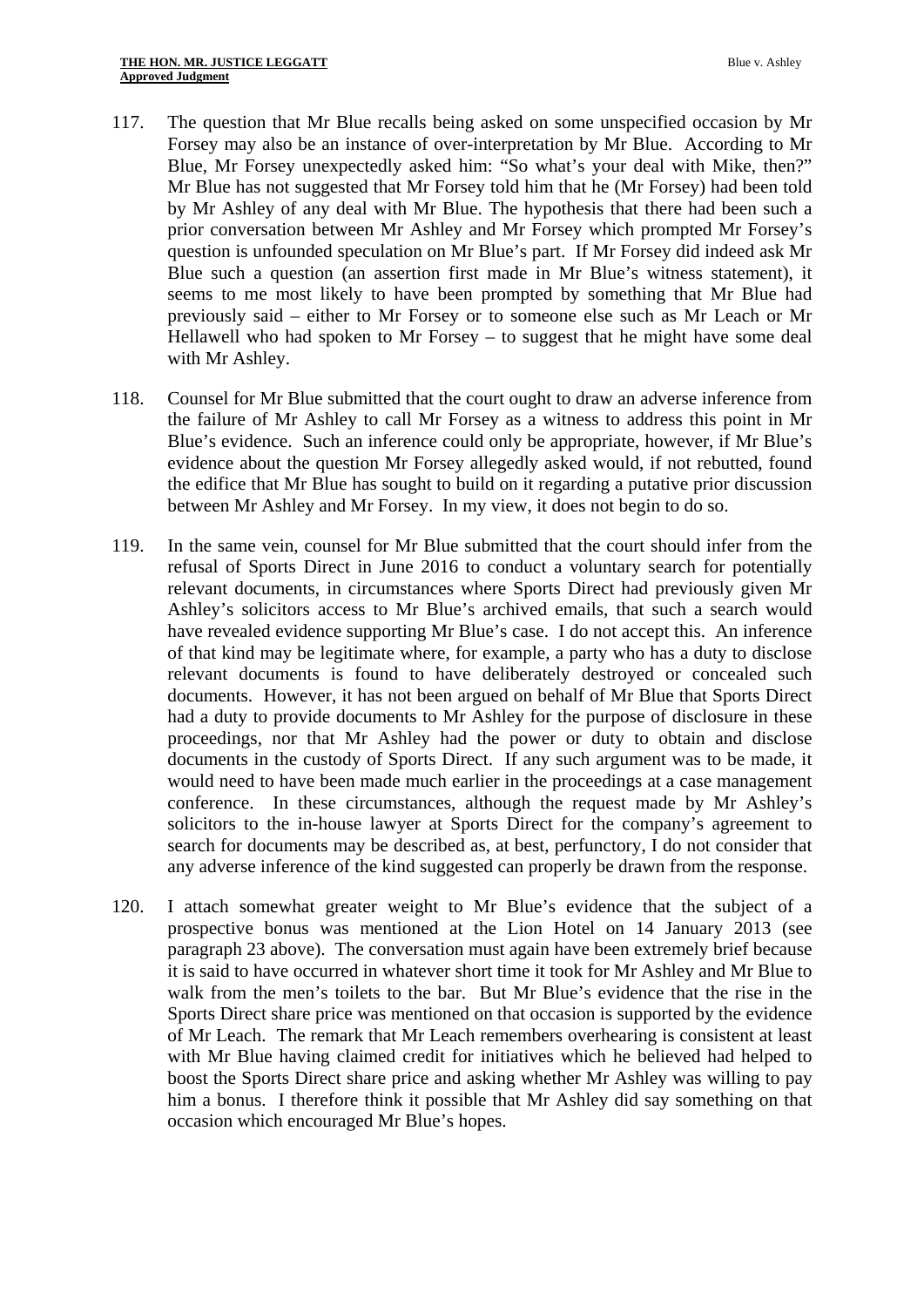- 117. The question that Mr Blue recalls being asked on some unspecified occasion by Mr Forsey may also be an instance of over-interpretation by Mr Blue. According to Mr Blue, Mr Forsey unexpectedly asked him: "So what's your deal with Mike, then?" Mr Blue has not suggested that Mr Forsey told him that he (Mr Forsey) had been told by Mr Ashley of any deal with Mr Blue. The hypothesis that there had been such a prior conversation between Mr Ashley and Mr Forsey which prompted Mr Forsey's question is unfounded speculation on Mr Blue's part. If Mr Forsey did indeed ask Mr Blue such a question (an assertion first made in Mr Blue's witness statement), it seems to me most likely to have been prompted by something that Mr Blue had previously said – either to Mr Forsey or to someone else such as Mr Leach or Mr Hellawell who had spoken to Mr Forsey – to suggest that he might have some deal with Mr Ashley.
- 118. Counsel for Mr Blue submitted that the court ought to draw an adverse inference from the failure of Mr Ashley to call Mr Forsey as a witness to address this point in Mr Blue's evidence. Such an inference could only be appropriate, however, if Mr Blue's evidence about the question Mr Forsey allegedly asked would, if not rebutted, found the edifice that Mr Blue has sought to build on it regarding a putative prior discussion between Mr Ashley and Mr Forsey. In my view, it does not begin to do so.
- 119. In the same vein, counsel for Mr Blue submitted that the court should infer from the refusal of Sports Direct in June 2016 to conduct a voluntary search for potentially relevant documents, in circumstances where Sports Direct had previously given Mr Ashley's solicitors access to Mr Blue's archived emails, that such a search would have revealed evidence supporting Mr Blue's case. I do not accept this. An inference of that kind may be legitimate where, for example, a party who has a duty to disclose relevant documents is found to have deliberately destroyed or concealed such documents. However, it has not been argued on behalf of Mr Blue that Sports Direct had a duty to provide documents to Mr Ashley for the purpose of disclosure in these proceedings, nor that Mr Ashley had the power or duty to obtain and disclose documents in the custody of Sports Direct. If any such argument was to be made, it would need to have been made much earlier in the proceedings at a case management conference. In these circumstances, although the request made by Mr Ashley's solicitors to the in-house lawyer at Sports Direct for the company's agreement to search for documents may be described as, at best, perfunctory, I do not consider that any adverse inference of the kind suggested can properly be drawn from the response.
- 120. I attach somewhat greater weight to Mr Blue's evidence that the subject of a prospective bonus was mentioned at the Lion Hotel on 14 January 2013 (see paragraph 23 above). The conversation must again have been extremely brief because it is said to have occurred in whatever short time it took for Mr Ashley and Mr Blue to walk from the men's toilets to the bar. But Mr Blue's evidence that the rise in the Sports Direct share price was mentioned on that occasion is supported by the evidence of Mr Leach. The remark that Mr Leach remembers overhearing is consistent at least with Mr Blue having claimed credit for initiatives which he believed had helped to boost the Sports Direct share price and asking whether Mr Ashley was willing to pay him a bonus. I therefore think it possible that Mr Ashley did say something on that occasion which encouraged Mr Blue's hopes.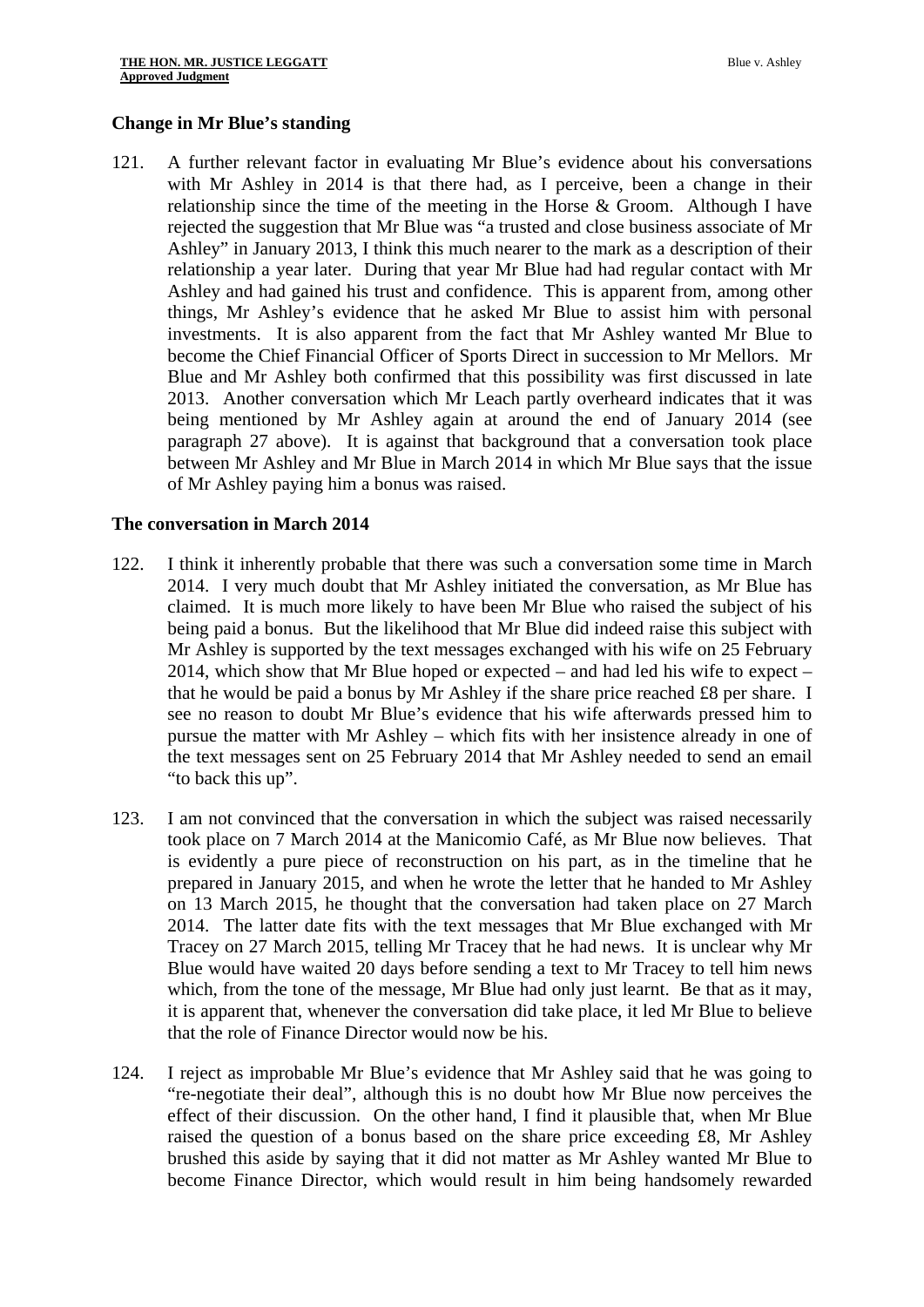# **Change in Mr Blue's standing**

121. A further relevant factor in evaluating Mr Blue's evidence about his conversations with Mr Ashley in 2014 is that there had, as I perceive, been a change in their relationship since the time of the meeting in the Horse & Groom. Although I have rejected the suggestion that Mr Blue was "a trusted and close business associate of Mr Ashley" in January 2013, I think this much nearer to the mark as a description of their relationship a year later. During that year Mr Blue had had regular contact with Mr Ashley and had gained his trust and confidence. This is apparent from, among other things, Mr Ashley's evidence that he asked Mr Blue to assist him with personal investments. It is also apparent from the fact that Mr Ashley wanted Mr Blue to become the Chief Financial Officer of Sports Direct in succession to Mr Mellors. Mr Blue and Mr Ashley both confirmed that this possibility was first discussed in late 2013. Another conversation which Mr Leach partly overheard indicates that it was being mentioned by Mr Ashley again at around the end of January 2014 (see paragraph 27 above). It is against that background that a conversation took place between Mr Ashley and Mr Blue in March 2014 in which Mr Blue says that the issue of Mr Ashley paying him a bonus was raised.

# **The conversation in March 2014**

- 122. I think it inherently probable that there was such a conversation some time in March 2014. I very much doubt that Mr Ashley initiated the conversation, as Mr Blue has claimed. It is much more likely to have been Mr Blue who raised the subject of his being paid a bonus. But the likelihood that Mr Blue did indeed raise this subject with Mr Ashley is supported by the text messages exchanged with his wife on 25 February 2014, which show that Mr Blue hoped or expected – and had led his wife to expect – that he would be paid a bonus by Mr Ashley if the share price reached £8 per share. I see no reason to doubt Mr Blue's evidence that his wife afterwards pressed him to pursue the matter with Mr Ashley – which fits with her insistence already in one of the text messages sent on 25 February 2014 that Mr Ashley needed to send an email "to back this up".
- 123. I am not convinced that the conversation in which the subject was raised necessarily took place on 7 March 2014 at the Manicomio Café, as Mr Blue now believes. That is evidently a pure piece of reconstruction on his part, as in the timeline that he prepared in January 2015, and when he wrote the letter that he handed to Mr Ashley on 13 March 2015, he thought that the conversation had taken place on 27 March 2014. The latter date fits with the text messages that Mr Blue exchanged with Mr Tracey on 27 March 2015, telling Mr Tracey that he had news. It is unclear why Mr Blue would have waited 20 days before sending a text to Mr Tracey to tell him news which, from the tone of the message, Mr Blue had only just learnt. Be that as it may, it is apparent that, whenever the conversation did take place, it led Mr Blue to believe that the role of Finance Director would now be his.
- 124. I reject as improbable Mr Blue's evidence that Mr Ashley said that he was going to "re-negotiate their deal", although this is no doubt how Mr Blue now perceives the effect of their discussion. On the other hand, I find it plausible that, when Mr Blue raised the question of a bonus based on the share price exceeding £8, Mr Ashley brushed this aside by saying that it did not matter as Mr Ashley wanted Mr Blue to become Finance Director, which would result in him being handsomely rewarded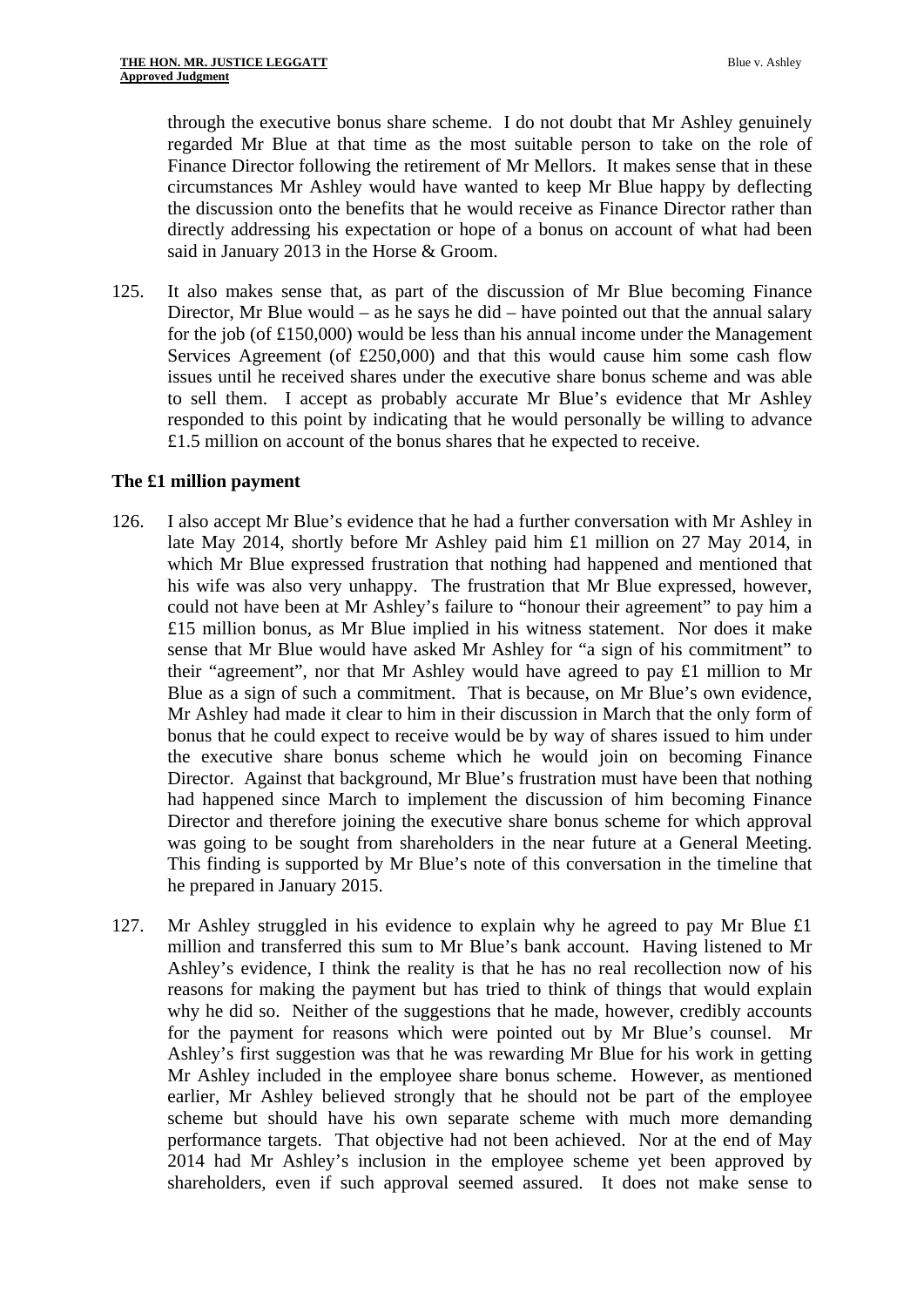through the executive bonus share scheme. I do not doubt that Mr Ashley genuinely regarded Mr Blue at that time as the most suitable person to take on the role of Finance Director following the retirement of Mr Mellors. It makes sense that in these circumstances Mr Ashley would have wanted to keep Mr Blue happy by deflecting the discussion onto the benefits that he would receive as Finance Director rather than directly addressing his expectation or hope of a bonus on account of what had been said in January 2013 in the Horse & Groom.

125. It also makes sense that, as part of the discussion of Mr Blue becoming Finance Director, Mr Blue would – as he says he did – have pointed out that the annual salary for the job (of  $£150,000$ ) would be less than his annual income under the Management Services Agreement (of £250,000) and that this would cause him some cash flow issues until he received shares under the executive share bonus scheme and was able to sell them. I accept as probably accurate Mr Blue's evidence that Mr Ashley responded to this point by indicating that he would personally be willing to advance £1.5 million on account of the bonus shares that he expected to receive.

# **The £1 million payment**

- 126. I also accept Mr Blue's evidence that he had a further conversation with Mr Ashley in late May 2014, shortly before Mr Ashley paid him £1 million on 27 May 2014, in which Mr Blue expressed frustration that nothing had happened and mentioned that his wife was also very unhappy. The frustration that Mr Blue expressed, however, could not have been at Mr Ashley's failure to "honour their agreement" to pay him a £15 million bonus, as Mr Blue implied in his witness statement. Nor does it make sense that Mr Blue would have asked Mr Ashley for "a sign of his commitment" to their "agreement", nor that Mr Ashley would have agreed to pay £1 million to Mr Blue as a sign of such a commitment. That is because, on Mr Blue's own evidence, Mr Ashley had made it clear to him in their discussion in March that the only form of bonus that he could expect to receive would be by way of shares issued to him under the executive share bonus scheme which he would join on becoming Finance Director. Against that background, Mr Blue's frustration must have been that nothing had happened since March to implement the discussion of him becoming Finance Director and therefore joining the executive share bonus scheme for which approval was going to be sought from shareholders in the near future at a General Meeting. This finding is supported by Mr Blue's note of this conversation in the timeline that he prepared in January 2015.
- 127. Mr Ashley struggled in his evidence to explain why he agreed to pay Mr Blue  $\pounds 1$ million and transferred this sum to Mr Blue's bank account. Having listened to Mr Ashley's evidence, I think the reality is that he has no real recollection now of his reasons for making the payment but has tried to think of things that would explain why he did so. Neither of the suggestions that he made, however, credibly accounts for the payment for reasons which were pointed out by Mr Blue's counsel. Mr Ashley's first suggestion was that he was rewarding Mr Blue for his work in getting Mr Ashley included in the employee share bonus scheme. However, as mentioned earlier, Mr Ashley believed strongly that he should not be part of the employee scheme but should have his own separate scheme with much more demanding performance targets. That objective had not been achieved. Nor at the end of May 2014 had Mr Ashley's inclusion in the employee scheme yet been approved by shareholders, even if such approval seemed assured. It does not make sense to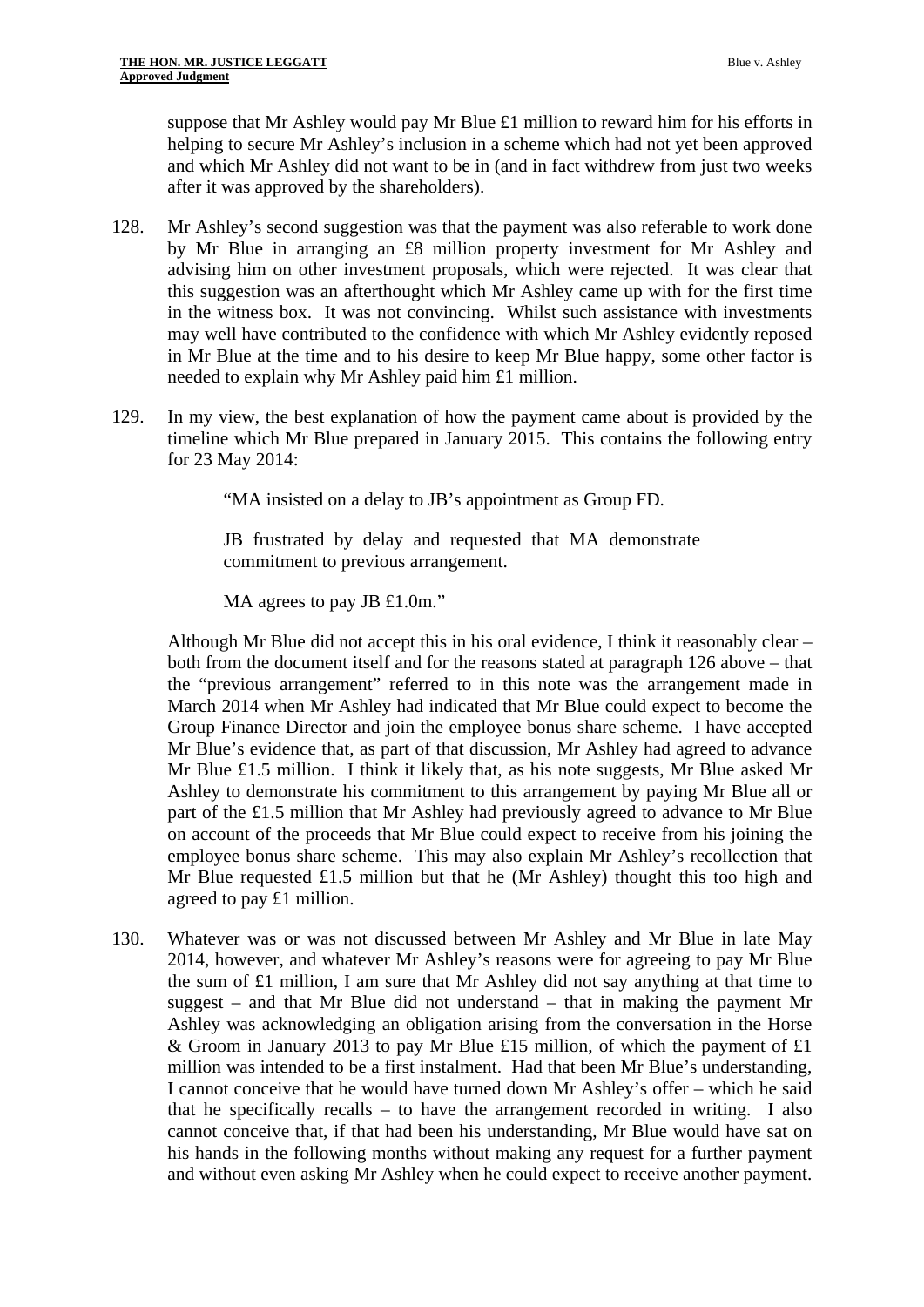suppose that Mr Ashley would pay Mr Blue £1 million to reward him for his efforts in helping to secure Mr Ashley's inclusion in a scheme which had not yet been approved and which Mr Ashley did not want to be in (and in fact withdrew from just two weeks after it was approved by the shareholders).

- 128. Mr Ashley's second suggestion was that the payment was also referable to work done by Mr Blue in arranging an £8 million property investment for Mr Ashley and advising him on other investment proposals, which were rejected. It was clear that this suggestion was an afterthought which Mr Ashley came up with for the first time in the witness box. It was not convincing. Whilst such assistance with investments may well have contributed to the confidence with which Mr Ashley evidently reposed in Mr Blue at the time and to his desire to keep Mr Blue happy, some other factor is needed to explain why Mr Ashley paid him £1 million.
- 129. In my view, the best explanation of how the payment came about is provided by the timeline which Mr Blue prepared in January 2015. This contains the following entry for 23 May 2014:

"MA insisted on a delay to JB's appointment as Group FD.

JB frustrated by delay and requested that MA demonstrate commitment to previous arrangement.

MA agrees to pay JB £1.0m."

Although Mr Blue did not accept this in his oral evidence, I think it reasonably clear – both from the document itself and for the reasons stated at paragraph 126 above – that the "previous arrangement" referred to in this note was the arrangement made in March 2014 when Mr Ashley had indicated that Mr Blue could expect to become the Group Finance Director and join the employee bonus share scheme. I have accepted Mr Blue's evidence that, as part of that discussion, Mr Ashley had agreed to advance Mr Blue £1.5 million. I think it likely that, as his note suggests, Mr Blue asked Mr Ashley to demonstrate his commitment to this arrangement by paying Mr Blue all or part of the £1.5 million that Mr Ashley had previously agreed to advance to Mr Blue on account of the proceeds that Mr Blue could expect to receive from his joining the employee bonus share scheme. This may also explain Mr Ashley's recollection that Mr Blue requested £1.5 million but that he (Mr Ashley) thought this too high and agreed to pay £1 million.

130. Whatever was or was not discussed between Mr Ashley and Mr Blue in late May 2014, however, and whatever Mr Ashley's reasons were for agreeing to pay Mr Blue the sum of £1 million, I am sure that Mr Ashley did not say anything at that time to suggest – and that Mr Blue did not understand – that in making the payment Mr Ashley was acknowledging an obligation arising from the conversation in the Horse & Groom in January 2013 to pay Mr Blue £15 million, of which the payment of £1 million was intended to be a first instalment. Had that been Mr Blue's understanding, I cannot conceive that he would have turned down Mr Ashley's offer – which he said that he specifically recalls – to have the arrangement recorded in writing. I also cannot conceive that, if that had been his understanding, Mr Blue would have sat on his hands in the following months without making any request for a further payment and without even asking Mr Ashley when he could expect to receive another payment.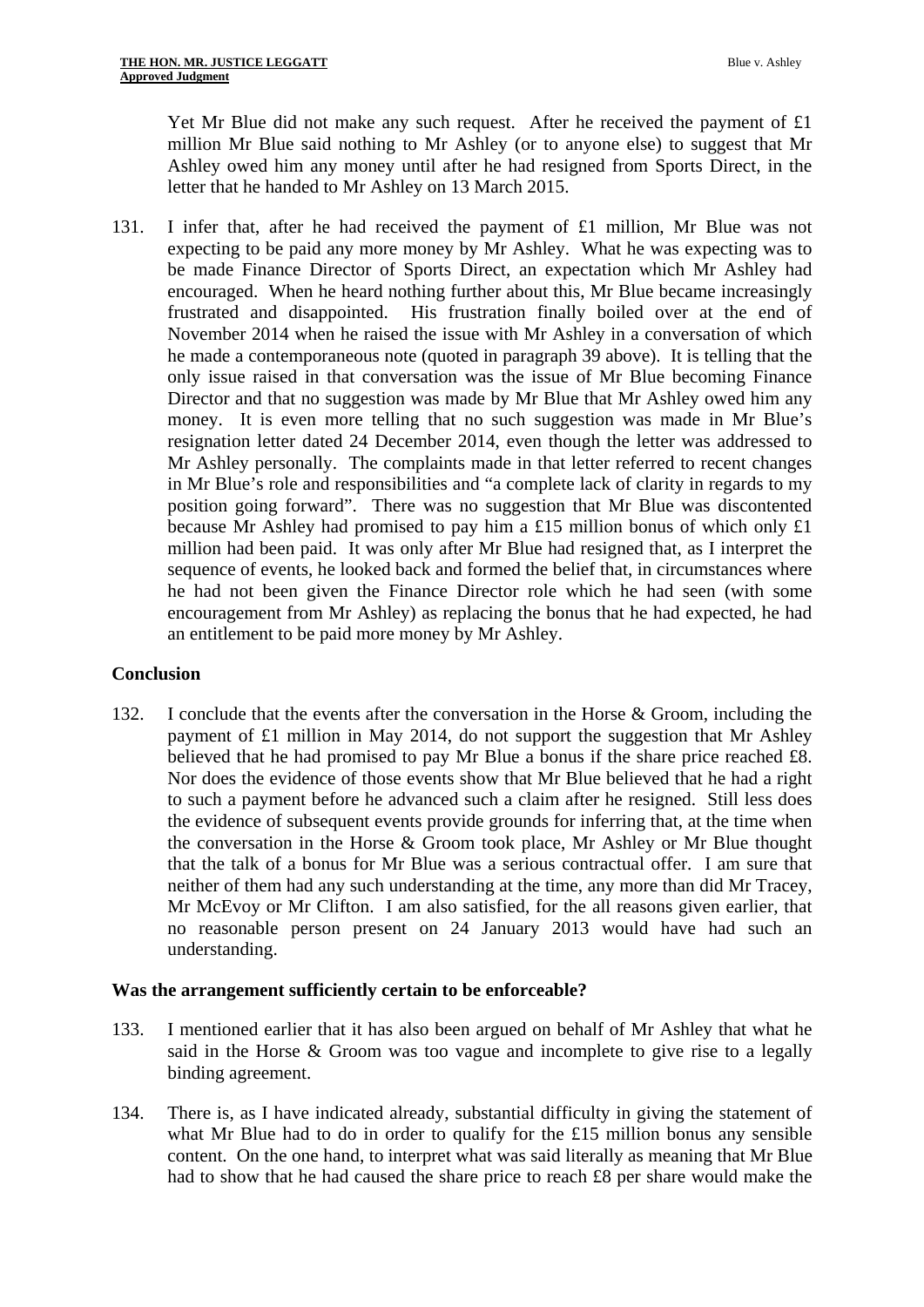Yet Mr Blue did not make any such request. After he received the payment of £1 million Mr Blue said nothing to Mr Ashley (or to anyone else) to suggest that Mr Ashley owed him any money until after he had resigned from Sports Direct, in the letter that he handed to Mr Ashley on 13 March 2015.

131. I infer that, after he had received the payment of £1 million, Mr Blue was not expecting to be paid any more money by Mr Ashley. What he was expecting was to be made Finance Director of Sports Direct, an expectation which Mr Ashley had encouraged. When he heard nothing further about this, Mr Blue became increasingly frustrated and disappointed. His frustration finally boiled over at the end of November 2014 when he raised the issue with Mr Ashley in a conversation of which he made a contemporaneous note (quoted in paragraph 39 above). It is telling that the only issue raised in that conversation was the issue of Mr Blue becoming Finance Director and that no suggestion was made by Mr Blue that Mr Ashley owed him any money. It is even more telling that no such suggestion was made in Mr Blue's resignation letter dated 24 December 2014, even though the letter was addressed to Mr Ashley personally. The complaints made in that letter referred to recent changes in Mr Blue's role and responsibilities and "a complete lack of clarity in regards to my position going forward". There was no suggestion that Mr Blue was discontented because Mr Ashley had promised to pay him a £15 million bonus of which only £1 million had been paid. It was only after Mr Blue had resigned that, as I interpret the sequence of events, he looked back and formed the belief that, in circumstances where he had not been given the Finance Director role which he had seen (with some encouragement from Mr Ashley) as replacing the bonus that he had expected, he had an entitlement to be paid more money by Mr Ashley.

# **Conclusion**

132. I conclude that the events after the conversation in the Horse & Groom, including the payment of £1 million in May 2014, do not support the suggestion that Mr Ashley believed that he had promised to pay Mr Blue a bonus if the share price reached £8. Nor does the evidence of those events show that Mr Blue believed that he had a right to such a payment before he advanced such a claim after he resigned. Still less does the evidence of subsequent events provide grounds for inferring that, at the time when the conversation in the Horse & Groom took place, Mr Ashley or Mr Blue thought that the talk of a bonus for Mr Blue was a serious contractual offer. I am sure that neither of them had any such understanding at the time, any more than did Mr Tracey, Mr McEvoy or Mr Clifton. I am also satisfied, for the all reasons given earlier, that no reasonable person present on 24 January 2013 would have had such an understanding.

# **Was the arrangement sufficiently certain to be enforceable?**

- 133. I mentioned earlier that it has also been argued on behalf of Mr Ashley that what he said in the Horse & Groom was too vague and incomplete to give rise to a legally binding agreement.
- 134. There is, as I have indicated already, substantial difficulty in giving the statement of what Mr Blue had to do in order to qualify for the £15 million bonus any sensible content. On the one hand, to interpret what was said literally as meaning that Mr Blue had to show that he had caused the share price to reach £8 per share would make the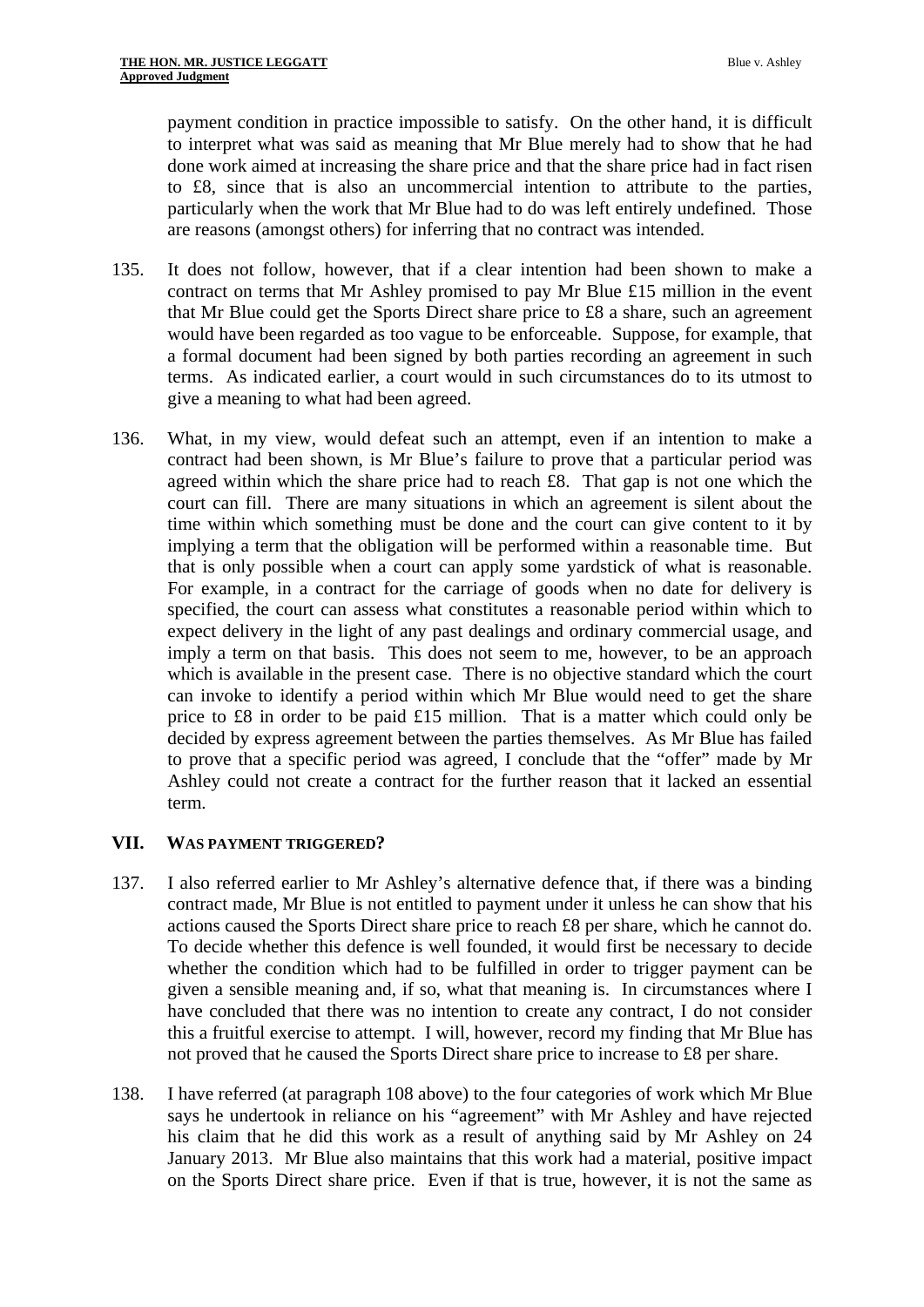payment condition in practice impossible to satisfy. On the other hand, it is difficult to interpret what was said as meaning that Mr Blue merely had to show that he had done work aimed at increasing the share price and that the share price had in fact risen to £8, since that is also an uncommercial intention to attribute to the parties, particularly when the work that Mr Blue had to do was left entirely undefined. Those are reasons (amongst others) for inferring that no contract was intended.

- 135. It does not follow, however, that if a clear intention had been shown to make a contract on terms that Mr Ashley promised to pay Mr Blue £15 million in the event that Mr Blue could get the Sports Direct share price to £8 a share, such an agreement would have been regarded as too vague to be enforceable. Suppose, for example, that a formal document had been signed by both parties recording an agreement in such terms. As indicated earlier, a court would in such circumstances do to its utmost to give a meaning to what had been agreed.
- 136. What, in my view, would defeat such an attempt, even if an intention to make a contract had been shown, is Mr Blue's failure to prove that a particular period was agreed within which the share price had to reach £8. That gap is not one which the court can fill. There are many situations in which an agreement is silent about the time within which something must be done and the court can give content to it by implying a term that the obligation will be performed within a reasonable time. But that is only possible when a court can apply some yardstick of what is reasonable. For example, in a contract for the carriage of goods when no date for delivery is specified, the court can assess what constitutes a reasonable period within which to expect delivery in the light of any past dealings and ordinary commercial usage, and imply a term on that basis. This does not seem to me, however, to be an approach which is available in the present case. There is no objective standard which the court can invoke to identify a period within which Mr Blue would need to get the share price to £8 in order to be paid £15 million. That is a matter which could only be decided by express agreement between the parties themselves. As Mr Blue has failed to prove that a specific period was agreed, I conclude that the "offer" made by Mr Ashley could not create a contract for the further reason that it lacked an essential term.

# **VII. WAS PAYMENT TRIGGERED?**

- 137. I also referred earlier to Mr Ashley's alternative defence that, if there was a binding contract made, Mr Blue is not entitled to payment under it unless he can show that his actions caused the Sports Direct share price to reach £8 per share, which he cannot do. To decide whether this defence is well founded, it would first be necessary to decide whether the condition which had to be fulfilled in order to trigger payment can be given a sensible meaning and, if so, what that meaning is. In circumstances where I have concluded that there was no intention to create any contract, I do not consider this a fruitful exercise to attempt. I will, however, record my finding that Mr Blue has not proved that he caused the Sports Direct share price to increase to £8 per share.
- 138. I have referred (at paragraph 108 above) to the four categories of work which Mr Blue says he undertook in reliance on his "agreement" with Mr Ashley and have rejected his claim that he did this work as a result of anything said by Mr Ashley on 24 January 2013. Mr Blue also maintains that this work had a material, positive impact on the Sports Direct share price. Even if that is true, however, it is not the same as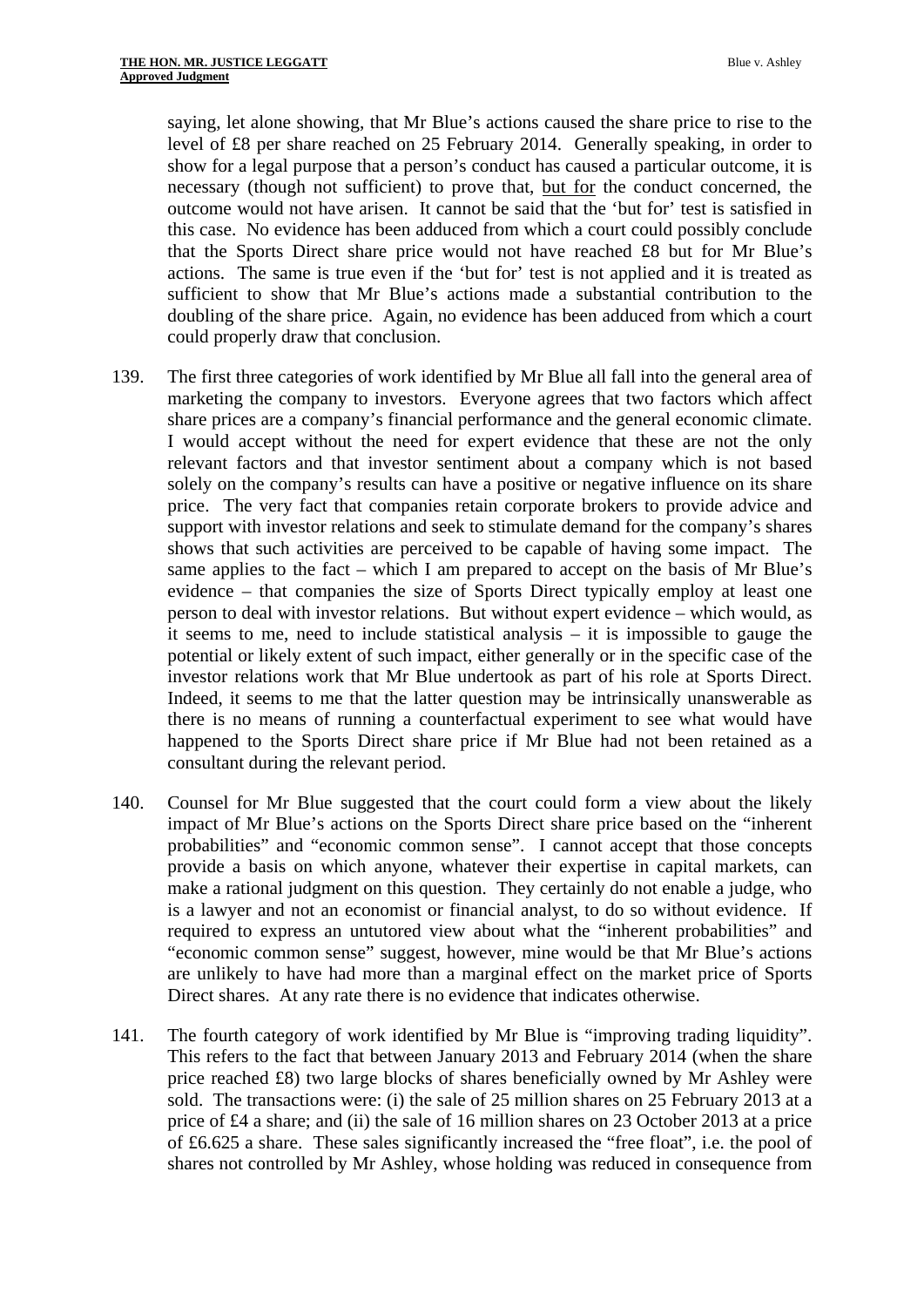saying, let alone showing, that Mr Blue's actions caused the share price to rise to the level of £8 per share reached on 25 February 2014. Generally speaking, in order to show for a legal purpose that a person's conduct has caused a particular outcome, it is necessary (though not sufficient) to prove that, but for the conduct concerned, the outcome would not have arisen. It cannot be said that the 'but for' test is satisfied in this case. No evidence has been adduced from which a court could possibly conclude that the Sports Direct share price would not have reached £8 but for Mr Blue's actions. The same is true even if the 'but for' test is not applied and it is treated as sufficient to show that Mr Blue's actions made a substantial contribution to the doubling of the share price. Again, no evidence has been adduced from which a court could properly draw that conclusion.

- 139. The first three categories of work identified by Mr Blue all fall into the general area of marketing the company to investors. Everyone agrees that two factors which affect share prices are a company's financial performance and the general economic climate. I would accept without the need for expert evidence that these are not the only relevant factors and that investor sentiment about a company which is not based solely on the company's results can have a positive or negative influence on its share price. The very fact that companies retain corporate brokers to provide advice and support with investor relations and seek to stimulate demand for the company's shares shows that such activities are perceived to be capable of having some impact. The same applies to the fact – which I am prepared to accept on the basis of Mr Blue's evidence – that companies the size of Sports Direct typically employ at least one person to deal with investor relations. But without expert evidence – which would, as it seems to me, need to include statistical analysis – it is impossible to gauge the potential or likely extent of such impact, either generally or in the specific case of the investor relations work that Mr Blue undertook as part of his role at Sports Direct. Indeed, it seems to me that the latter question may be intrinsically unanswerable as there is no means of running a counterfactual experiment to see what would have happened to the Sports Direct share price if Mr Blue had not been retained as a consultant during the relevant period.
- 140. Counsel for Mr Blue suggested that the court could form a view about the likely impact of Mr Blue's actions on the Sports Direct share price based on the "inherent probabilities" and "economic common sense". I cannot accept that those concepts provide a basis on which anyone, whatever their expertise in capital markets, can make a rational judgment on this question. They certainly do not enable a judge, who is a lawyer and not an economist or financial analyst, to do so without evidence. If required to express an untutored view about what the "inherent probabilities" and "economic common sense" suggest, however, mine would be that Mr Blue's actions are unlikely to have had more than a marginal effect on the market price of Sports Direct shares. At any rate there is no evidence that indicates otherwise.
- 141. The fourth category of work identified by Mr Blue is "improving trading liquidity". This refers to the fact that between January 2013 and February 2014 (when the share price reached £8) two large blocks of shares beneficially owned by Mr Ashley were sold. The transactions were: (i) the sale of 25 million shares on 25 February 2013 at a price of £4 a share; and (ii) the sale of 16 million shares on 23 October 2013 at a price of £6.625 a share. These sales significantly increased the "free float", i.e. the pool of shares not controlled by Mr Ashley, whose holding was reduced in consequence from